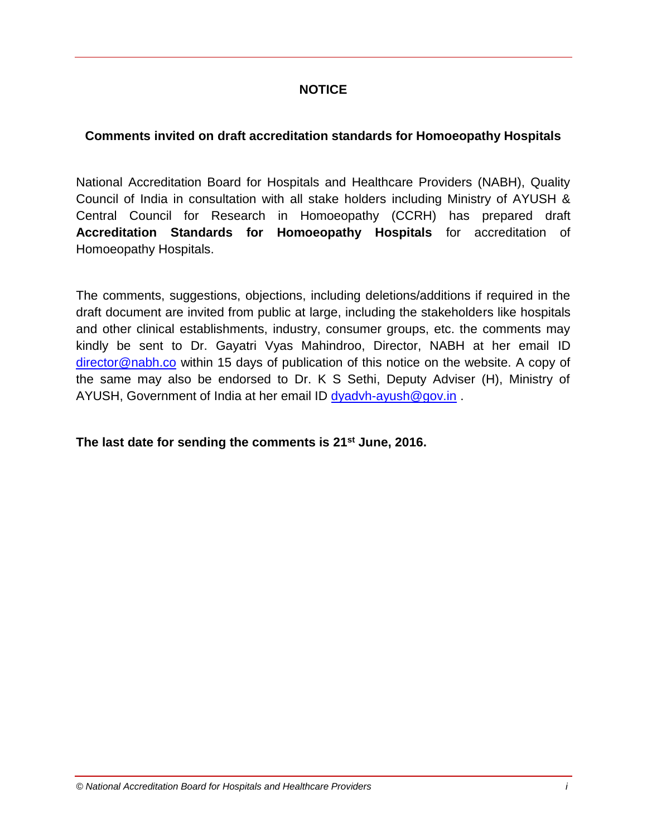# **NOTICE**

# **Comments invited on draft accreditation standards for Homoeopathy Hospitals**

National Accreditation Board for Hospitals and Healthcare Providers (NABH), Quality Council of India in consultation with all stake holders including Ministry of AYUSH & Central Council for Research in Homoeopathy (CCRH) has prepared draft **Accreditation Standards for Homoeopathy Hospitals** for accreditation of Homoeopathy Hospitals.

The comments, suggestions, objections, including deletions/additions if required in the draft document are invited from public at large, including the stakeholders like hospitals and other clinical establishments, industry, consumer groups, etc. the comments may kindly be sent to Dr. Gayatri Vyas Mahindroo, Director, NABH at her email ID [director@nabh.co](mailto:director@nabh.co) within 15 days of publication of this notice on the website. A copy of the same may also be endorsed to Dr. K S Sethi, Deputy Adviser (H), Ministry of AYUSH, Government of India at her email ID [dyadvh-ayush@gov.in](mailto:dyadvh-ayush@gov.in).

# **The last date for sending the comments is 21st June, 2016.**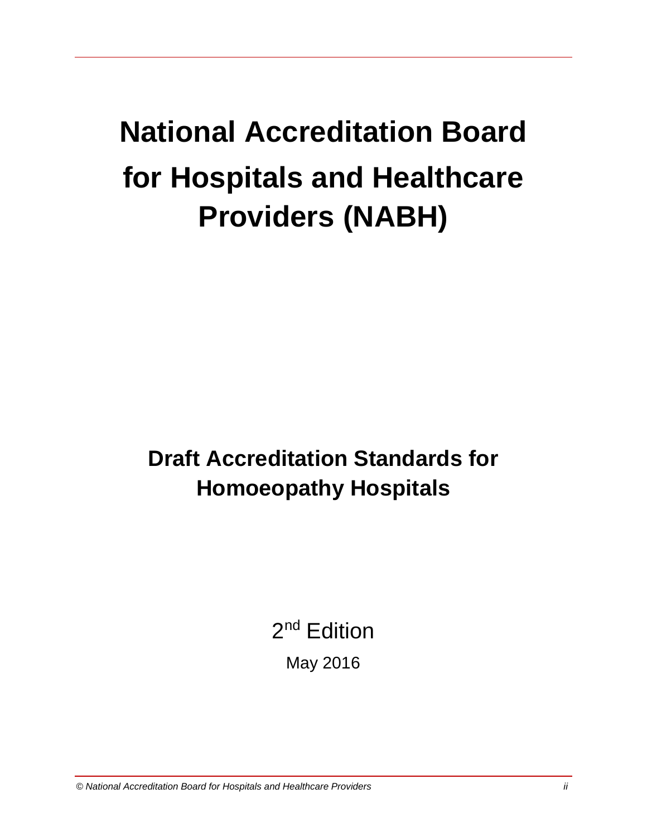# **National Accreditation Board for Hospitals and Healthcare Providers (NABH)**

**Draft Accreditation Standards for Homoeopathy Hospitals** 

2<sup>nd</sup> Edition

May 2016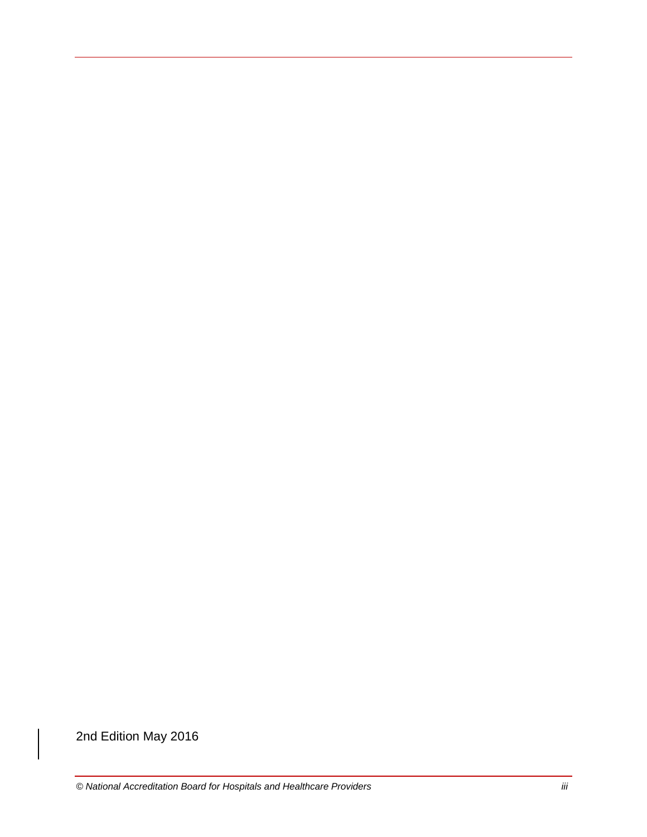2nd Edition May 2016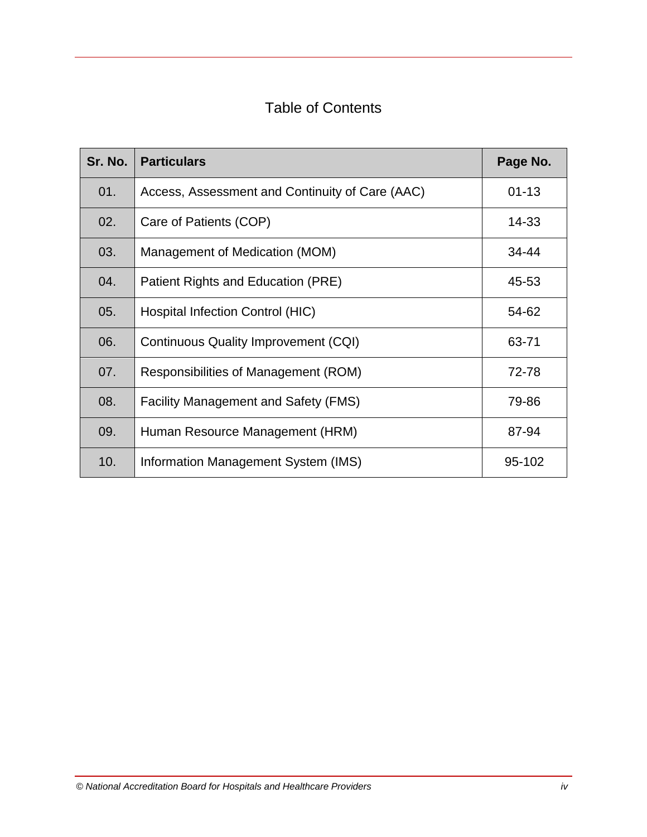# Table of Contents

| Sr. No. | <b>Particulars</b>                              | Page No.  |
|---------|-------------------------------------------------|-----------|
| 01.     | Access, Assessment and Continuity of Care (AAC) | $01 - 13$ |
| 02.     | Care of Patients (COP)                          | 14-33     |
| 03.     | Management of Medication (MOM)                  | 34-44     |
| 04.     | Patient Rights and Education (PRE)              | 45-53     |
| 05.     | <b>Hospital Infection Control (HIC)</b>         | 54-62     |
| 06.     | Continuous Quality Improvement (CQI)            | 63-71     |
| 07.     | Responsibilities of Management (ROM)            | 72-78     |
| 08.     | <b>Facility Management and Safety (FMS)</b>     | 79-86     |
| 09.     | Human Resource Management (HRM)                 | 87-94     |
| 10.     | Information Management System (IMS)             | 95-102    |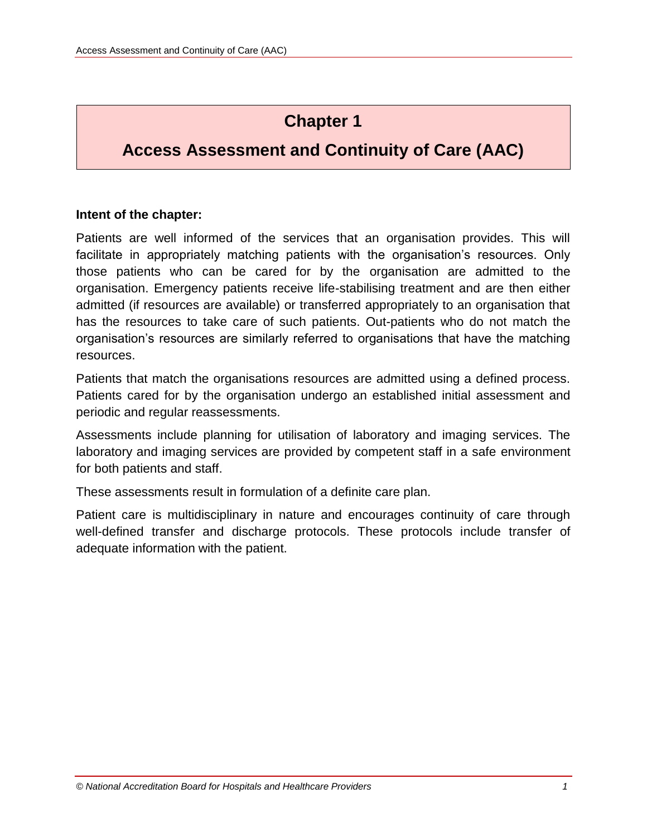# **Chapter 1**

# **Access Assessment and Continuity of Care (AAC)**

# **Intent of the chapter:**

Patients are well informed of the services that an organisation provides. This will facilitate in appropriately matching patients with the organisation's resources. Only those patients who can be cared for by the organisation are admitted to the organisation. Emergency patients receive life-stabilising treatment and are then either admitted (if resources are available) or transferred appropriately to an organisation that has the resources to take care of such patients. Out-patients who do not match the organisation's resources are similarly referred to organisations that have the matching resources.

Patients that match the organisations resources are admitted using a defined process. Patients cared for by the organisation undergo an established initial assessment and periodic and regular reassessments.

Assessments include planning for utilisation of laboratory and imaging services. The laboratory and imaging services are provided by competent staff in a safe environment for both patients and staff.

These assessments result in formulation of a definite care plan.

Patient care is multidisciplinary in nature and encourages continuity of care through well-defined transfer and discharge protocols. These protocols include transfer of adequate information with the patient.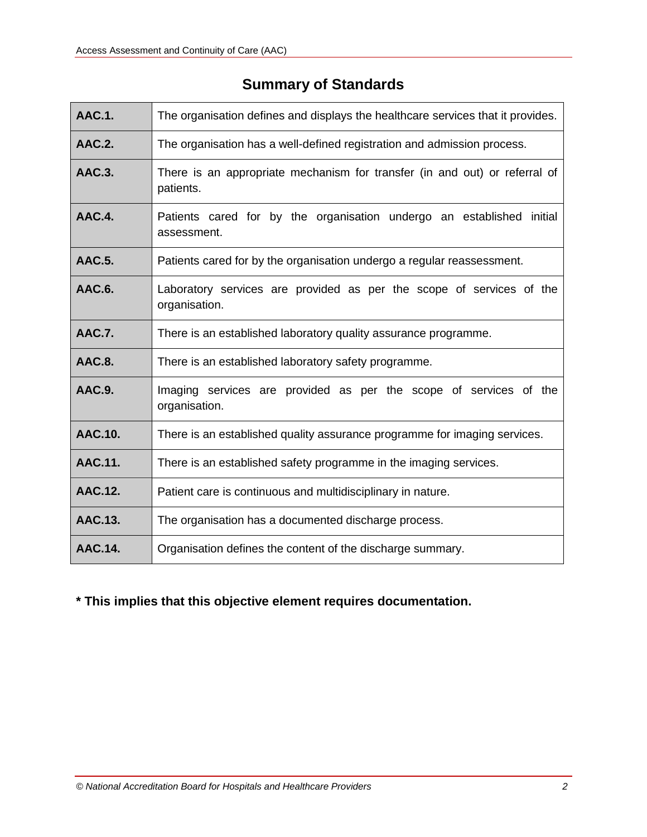| <b>AAC.1.</b>  | The organisation defines and displays the healthcare services that it provides.         |
|----------------|-----------------------------------------------------------------------------------------|
| <b>AAC.2.</b>  | The organisation has a well-defined registration and admission process.                 |
| <b>AAC.3.</b>  | There is an appropriate mechanism for transfer (in and out) or referral of<br>patients. |
| AAC.4.         | Patients cared for by the organisation undergo an established initial<br>assessment.    |
| <b>AAC.5.</b>  | Patients cared for by the organisation undergo a regular reassessment.                  |
| AAC.6.         | Laboratory services are provided as per the scope of services of the<br>organisation.   |
| <b>AAC.7.</b>  | There is an established laboratory quality assurance programme.                         |
| AAC.8.         | There is an established laboratory safety programme.                                    |
| <b>AAC.9.</b>  | Imaging services are provided as per the scope of services of the<br>organisation.      |
| <b>AAC.10.</b> | There is an established quality assurance programme for imaging services.               |
| AAC.11.        | There is an established safety programme in the imaging services.                       |
| AAC.12.        | Patient care is continuous and multidisciplinary in nature.                             |
| <b>AAC.13.</b> | The organisation has a documented discharge process.                                    |
| <b>AAC.14.</b> | Organisation defines the content of the discharge summary.                              |

# **Summary of Standards**

**\* This implies that this objective element requires documentation.**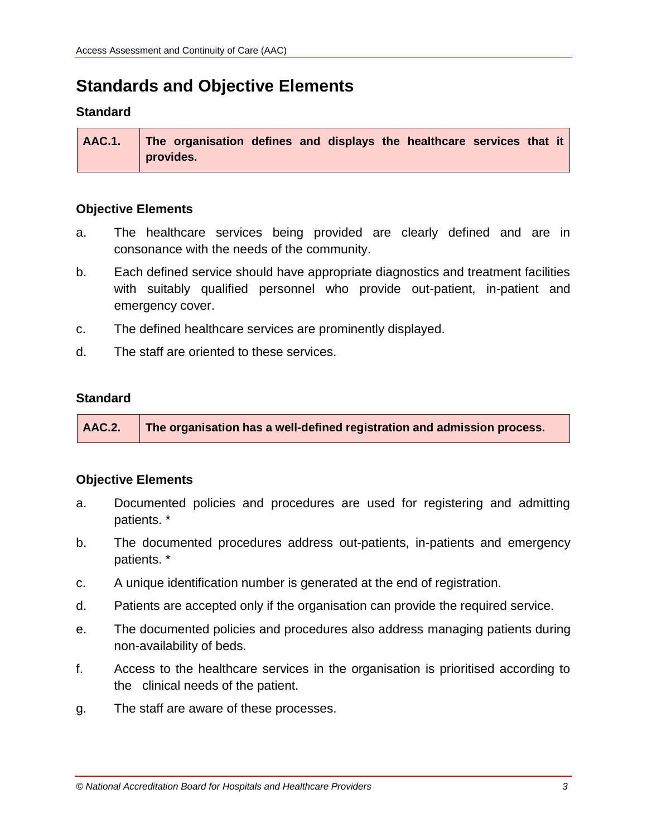# **Standards and Objective Elements**

### **Standard**

| $\vert$ AAC.1. $\vert$ The organisation defines and displays the healthcare services that it $\vert$ |  |
|------------------------------------------------------------------------------------------------------|--|
| provides.                                                                                            |  |

#### **Objective Elements**

- a. The healthcare services being provided are clearly defined and are in consonance with the needs of the community.
- b. Each defined service should have appropriate diagnostics and treatment facilities with suitably qualified personnel who provide out-patient, in-patient and emergency cover.
- c. The defined healthcare services are prominently displayed.
- d. The staff are oriented to these services.

#### **Standard**

**AAC.2. The organisation has a well-defined registration and admission process.**

- a. Documented policies and procedures are used for registering and admitting patients. \*
- b. The documented procedures address out-patients, in-patients and emergency patients. \*
- c. A unique identification number is generated at the end of registration.
- d. Patients are accepted only if the organisation can provide the required service.
- e. The documented policies and procedures also address managing patients during non-availability of beds.
- f. Access to the healthcare services in the organisation is prioritised according to the clinical needs of the patient.
- g. The staff are aware of these processes.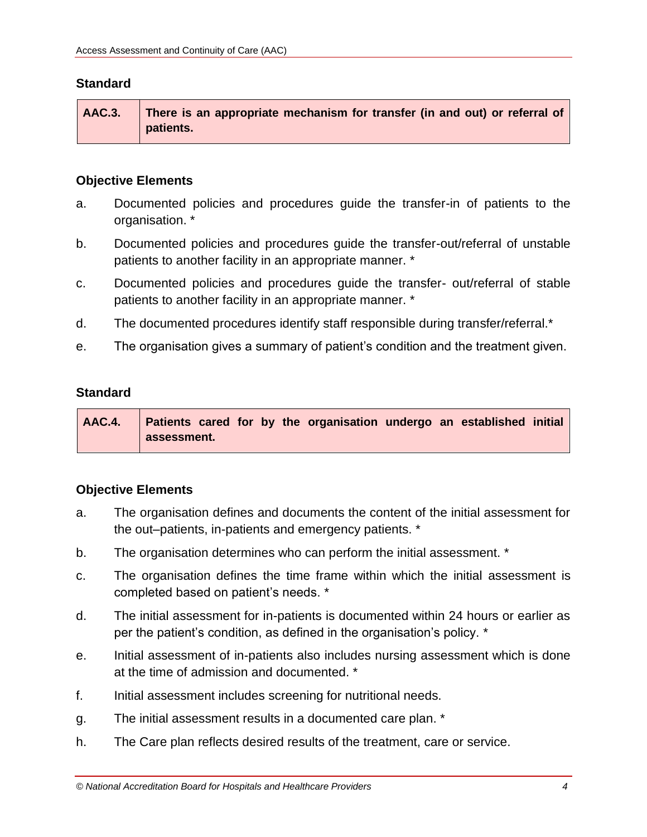| AAC.3. There is an appropriate mechanism for transfer (in and out) or referral of |
|-----------------------------------------------------------------------------------|
| patients.                                                                         |

# **Objective Elements**

- a. Documented policies and procedures guide the transfer-in of patients to the organisation. \*
- b. Documented policies and procedures guide the transfer-out/referral of unstable patients to another facility in an appropriate manner. \*
- c. Documented policies and procedures guide the transfer- out/referral of stable patients to another facility in an appropriate manner. \*
- d. The documented procedures identify staff responsible during transfer/referral.\*
- e. The organisation gives a summary of patient's condition and the treatment given.

# **Standard**

| AAC.4. Patients cared for by the organisation undergo an established initial |  |
|------------------------------------------------------------------------------|--|
| assessment.                                                                  |  |

- a. The organisation defines and documents the content of the initial assessment for the out–patients, in-patients and emergency patients. \*
- b. The organisation determines who can perform the initial assessment. \*
- c. The organisation defines the time frame within which the initial assessment is completed based on patient's needs. \*
- d. The initial assessment for in-patients is documented within 24 hours or earlier as per the patient's condition, as defined in the organisation's policy. \*
- e. Initial assessment of in-patients also includes nursing assessment which is done at the time of admission and documented. \*
- f. Initial assessment includes screening for nutritional needs.
- g. The initial assessment results in a documented care plan. \*
- h. The Care plan reflects desired results of the treatment, care or service.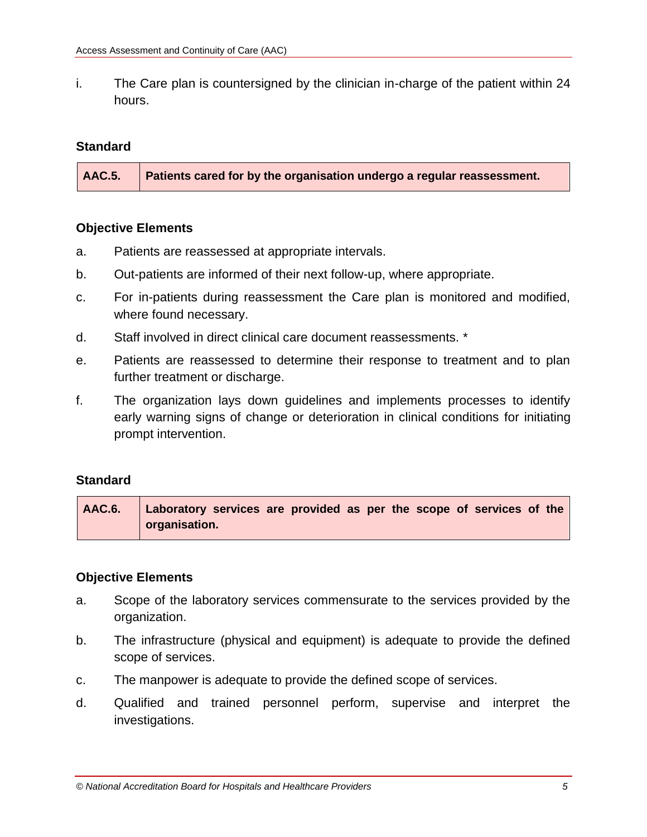i. The Care plan is countersigned by the clinician in-charge of the patient within 24 hours.

# **Standard**

**AAC.5. Patients cared for by the organisation undergo a regular reassessment.**

# **Objective Elements**

- a. Patients are reassessed at appropriate intervals.
- b. Out-patients are informed of their next follow-up, where appropriate.
- c. For in-patients during reassessment the Care plan is monitored and modified, where found necessary.
- d. Staff involved in direct clinical care document reassessments. \*
- e. Patients are reassessed to determine their response to treatment and to plan further treatment or discharge.
- f. The organization lays down guidelines and implements processes to identify early warning signs of change or deterioration in clinical conditions for initiating prompt intervention.

# **Standard**

| AAC.6. Laboratory services are provided as per the scope of services of the |
|-----------------------------------------------------------------------------|
| organisation.                                                               |

- a. Scope of the laboratory services commensurate to the services provided by the organization.
- b. The infrastructure (physical and equipment) is adequate to provide the defined scope of services.
- c. The manpower is adequate to provide the defined scope of services.
- d. Qualified and trained personnel perform, supervise and interpret the investigations.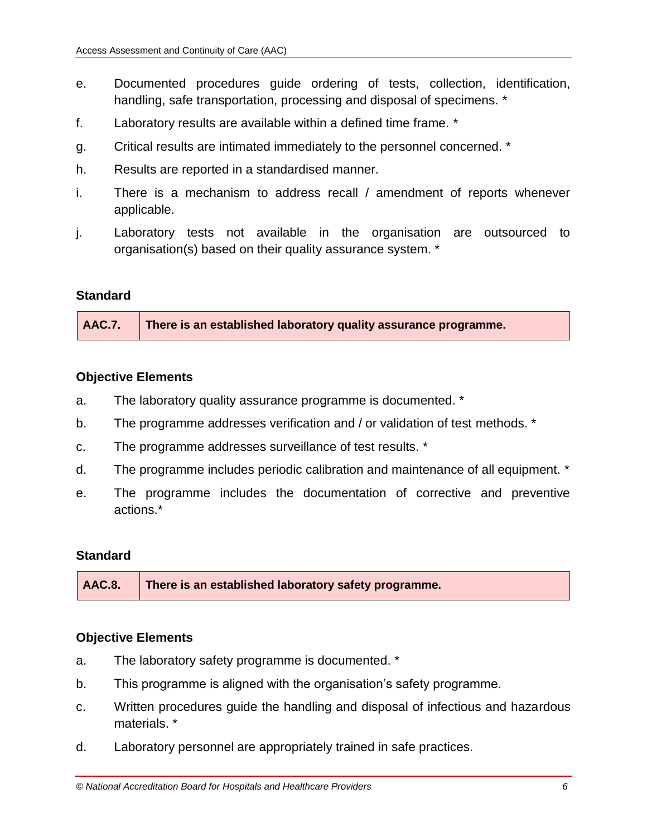- e. Documented procedures guide ordering of tests, collection, identification, handling, safe transportation, processing and disposal of specimens. \*
- f. Laboratory results are available within a defined time frame. \*
- g. Critical results are intimated immediately to the personnel concerned. \*
- h. Results are reported in a standardised manner.
- i. There is a mechanism to address recall / amendment of reports whenever applicable.
- j. Laboratory tests not available in the organisation are outsourced to organisation(s) based on their quality assurance system. \*

**AAC.7. There is an established laboratory quality assurance programme.**

# **Objective Elements**

- a. The laboratory quality assurance programme is documented. \*
- b. The programme addresses verification and / or validation of test methods. \*
- c. The programme addresses surveillance of test results. \*
- d. The programme includes periodic calibration and maintenance of all equipment. \*
- e. The programme includes the documentation of corrective and preventive actions.\*

# **Standard**

**AAC.8. There is an established laboratory safety programme.**

- a. The laboratory safety programme is documented. \*
- b. This programme is aligned with the organisation's safety programme.
- c. Written procedures guide the handling and disposal of infectious and hazardous materials. \*
- d. Laboratory personnel are appropriately trained in safe practices.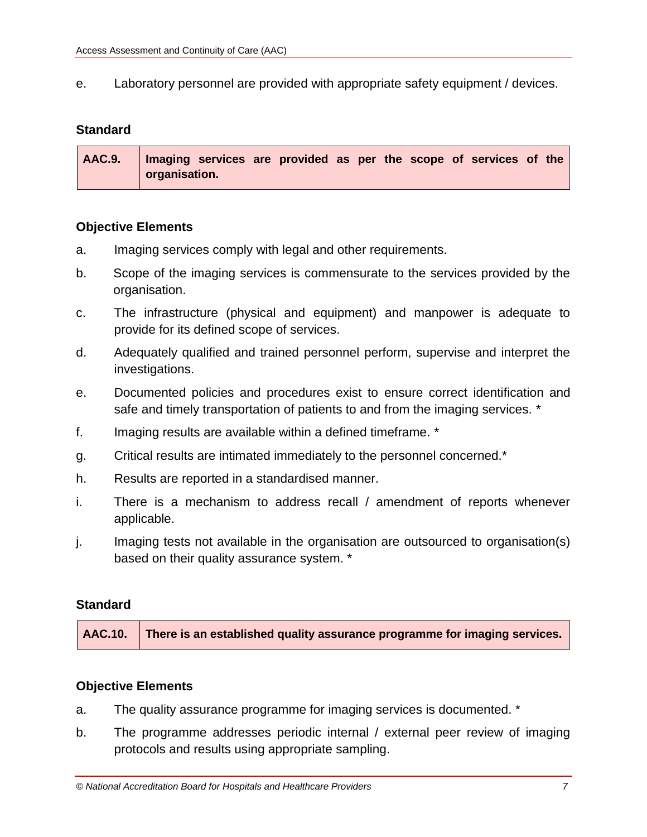e. Laboratory personnel are provided with appropriate safety equipment / devices.

# **Standard**

| AAC.9.   Imaging services are provided as per the scope of services of the |
|----------------------------------------------------------------------------|
| organisation.                                                              |

#### **Objective Elements**

- a. Imaging services comply with legal and other requirements.
- b. Scope of the imaging services is commensurate to the services provided by the organisation.
- c. The infrastructure (physical and equipment) and manpower is adequate to provide for its defined scope of services.
- d. Adequately qualified and trained personnel perform, supervise and interpret the investigations.
- e. Documented policies and procedures exist to ensure correct identification and safe and timely transportation of patients to and from the imaging services. \*
- f. Imaging results are available within a defined timeframe. \*
- g. Critical results are intimated immediately to the personnel concerned.\*
- h. Results are reported in a standardised manner.
- i. There is a mechanism to address recall / amendment of reports whenever applicable.
- j. Imaging tests not available in the organisation are outsourced to organisation(s) based on their quality assurance system. \*

#### **Standard**

| AAC.10. There is an established quality assurance programme for imaging services. |
|-----------------------------------------------------------------------------------|
|                                                                                   |

- a. The quality assurance programme for imaging services is documented. \*
- b. The programme addresses periodic internal / external peer review of imaging protocols and results using appropriate sampling.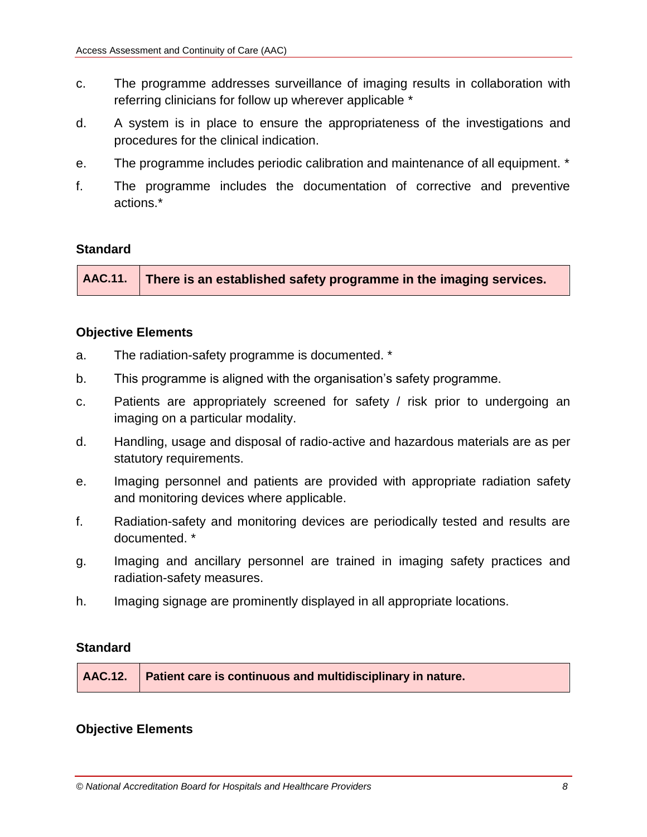- c. The programme addresses surveillance of imaging results in collaboration with referring clinicians for follow up wherever applicable \*
- d. A system is in place to ensure the appropriateness of the investigations and procedures for the clinical indication.
- e. The programme includes periodic calibration and maintenance of all equipment. \*
- f. The programme includes the documentation of corrective and preventive actions.\*

**AAC.11. There is an established safety programme in the imaging services.**

# **Objective Elements**

- a. The radiation-safety programme is documented. \*
- b. This programme is aligned with the organisation's safety programme.
- c. Patients are appropriately screened for safety / risk prior to undergoing an imaging on a particular modality.
- d. Handling, usage and disposal of radio-active and hazardous materials are as per statutory requirements.
- e. Imaging personnel and patients are provided with appropriate radiation safety and monitoring devices where applicable.
- f. Radiation-safety and monitoring devices are periodically tested and results are documented. \*
- g. Imaging and ancillary personnel are trained in imaging safety practices and radiation-safety measures.
- h. Imaging signage are prominently displayed in all appropriate locations.

# **Standard**

|  | AAC.12.   Patient care is continuous and multidisciplinary in nature. |
|--|-----------------------------------------------------------------------|
|--|-----------------------------------------------------------------------|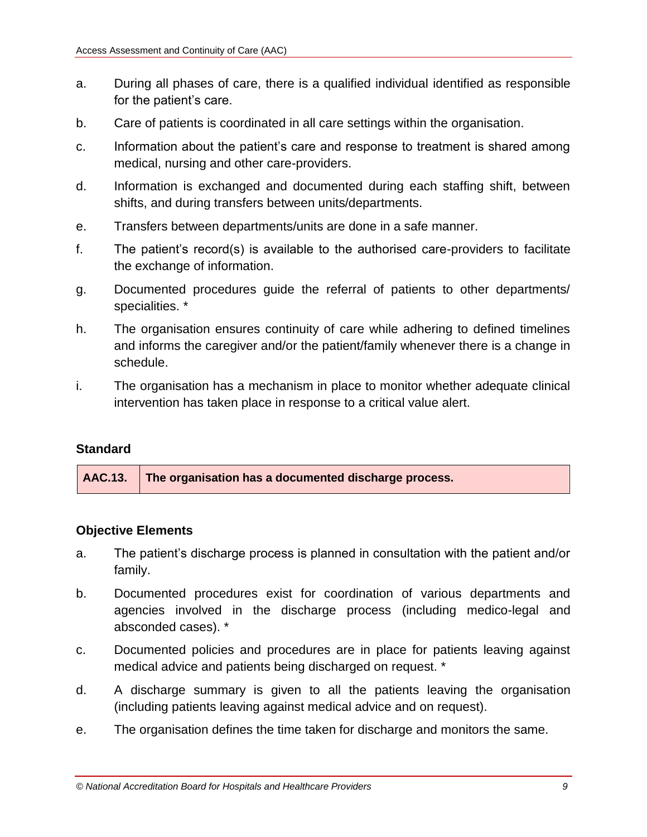- a. During all phases of care, there is a qualified individual identified as responsible for the patient's care.
- b. Care of patients is coordinated in all care settings within the organisation.
- c. Information about the patient's care and response to treatment is shared among medical, nursing and other care-providers.
- d. Information is exchanged and documented during each staffing shift, between shifts, and during transfers between units/departments.
- e. Transfers between departments/units are done in a safe manner.
- f. The patient's record(s) is available to the authorised care-providers to facilitate the exchange of information.
- g. Documented procedures guide the referral of patients to other departments/ specialities. \*
- h. The organisation ensures continuity of care while adhering to defined timelines and informs the caregiver and/or the patient/family whenever there is a change in schedule.
- i. The organisation has a mechanism in place to monitor whether adequate clinical intervention has taken place in response to a critical value alert.

**AAC.13. The organisation has a documented discharge process.**

- a. The patient's discharge process is planned in consultation with the patient and/or family.
- b. Documented procedures exist for coordination of various departments and agencies involved in the discharge process (including medico-legal and absconded cases). \*
- c. Documented policies and procedures are in place for patients leaving against medical advice and patients being discharged on request. \*
- d. A discharge summary is given to all the patients leaving the organisation (including patients leaving against medical advice and on request).
- e. The organisation defines the time taken for discharge and monitors the same.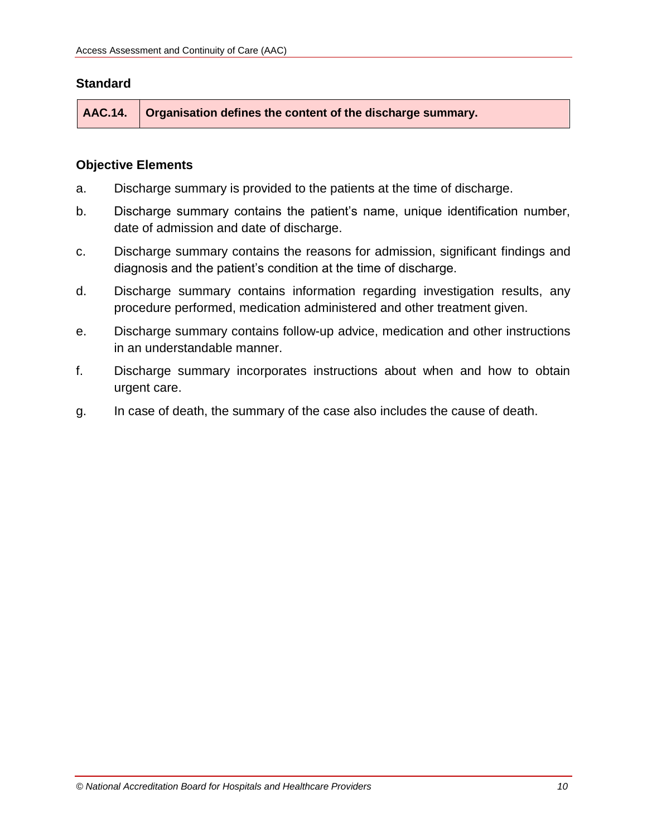**AAC.14. Organisation defines the content of the discharge summary.**

- a. Discharge summary is provided to the patients at the time of discharge.
- b. Discharge summary contains the patient's name, unique identification number, date of admission and date of discharge.
- c. Discharge summary contains the reasons for admission, significant findings and diagnosis and the patient's condition at the time of discharge.
- d. Discharge summary contains information regarding investigation results, any procedure performed, medication administered and other treatment given.
- e. Discharge summary contains follow-up advice, medication and other instructions in an understandable manner.
- f. Discharge summary incorporates instructions about when and how to obtain urgent care.
- g. In case of death, the summary of the case also includes the cause of death.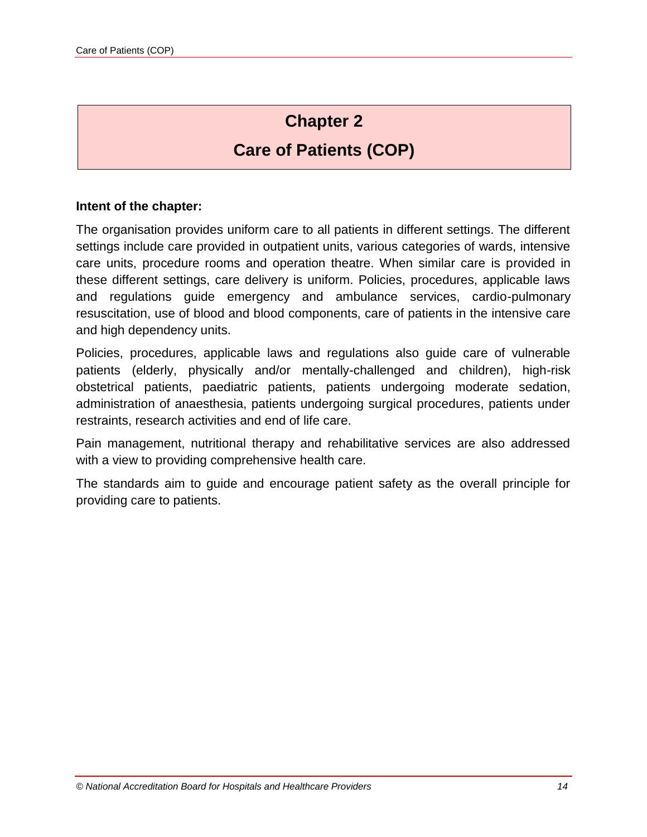# **Chapter 2**

# **Care of Patients (COP)**

#### **Intent of the chapter:**

The organisation provides uniform care to all patients in different settings. The different settings include care provided in outpatient units, various categories of wards, intensive care units, procedure rooms and operation theatre. When similar care is provided in these different settings, care delivery is uniform. Policies, procedures, applicable laws and regulations guide emergency and ambulance services, cardio-pulmonary resuscitation, use of blood and blood components, care of patients in the intensive care and high dependency units.

Policies, procedures, applicable laws and regulations also guide care of vulnerable patients (elderly, physically and/or mentally-challenged and children), high-risk obstetrical patients, paediatric patients, patients undergoing moderate sedation, administration of anaesthesia, patients undergoing surgical procedures, patients under restraints, research activities and end of life care.

Pain management, nutritional therapy and rehabilitative services are also addressed with a view to providing comprehensive health care.

The standards aim to guide and encourage patient safety as the overall principle for providing care to patients.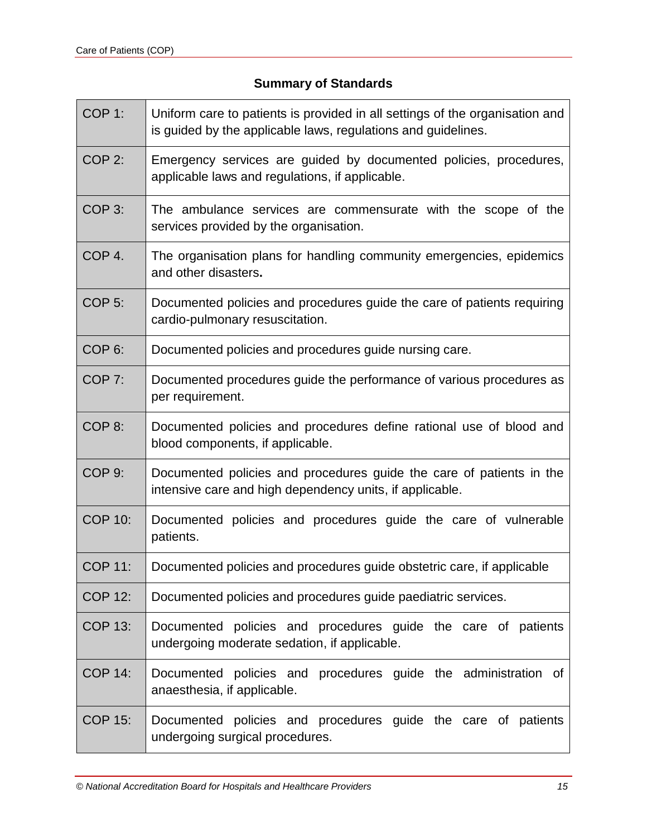# **Summary of Standards**

| COP <sub>1:</sub>  | Uniform care to patients is provided in all settings of the organisation and<br>is guided by the applicable laws, regulations and guidelines. |
|--------------------|-----------------------------------------------------------------------------------------------------------------------------------------------|
| COP <sub>2:</sub>  | Emergency services are guided by documented policies, procedures,<br>applicable laws and regulations, if applicable.                          |
| COP <sub>3</sub> : | The ambulance services are commensurate with the scope of the<br>services provided by the organisation.                                       |
| COP <sub>4</sub> . | The organisation plans for handling community emergencies, epidemics<br>and other disasters.                                                  |
| COP <sub>5:</sub>  | Documented policies and procedures guide the care of patients requiring<br>cardio-pulmonary resuscitation.                                    |
| COP <sub>6:</sub>  | Documented policies and procedures guide nursing care.                                                                                        |
| COP <sub>7:</sub>  | Documented procedures guide the performance of various procedures as<br>per requirement.                                                      |
| COP <sub>8:</sub>  | Documented policies and procedures define rational use of blood and<br>blood components, if applicable.                                       |
| COP <sub>9:</sub>  | Documented policies and procedures guide the care of patients in the<br>intensive care and high dependency units, if applicable.              |
| <b>COP 10:</b>     | Documented policies and procedures guide the care of vulnerable<br>patients.                                                                  |
| <b>COP 11:</b>     | Documented policies and procedures guide obstetric care, if applicable                                                                        |
| <b>COP 12:</b>     | Documented policies and procedures guide paediatric services.                                                                                 |
| <b>COP 13:</b>     | Documented policies and procedures guide the care of patients<br>undergoing moderate sedation, if applicable.                                 |
| <b>COP 14:</b>     | Documented policies and procedures guide the administration of<br>anaesthesia, if applicable.                                                 |
| <b>COP 15:</b>     | Documented policies and procedures guide the care of patients<br>undergoing surgical procedures.                                              |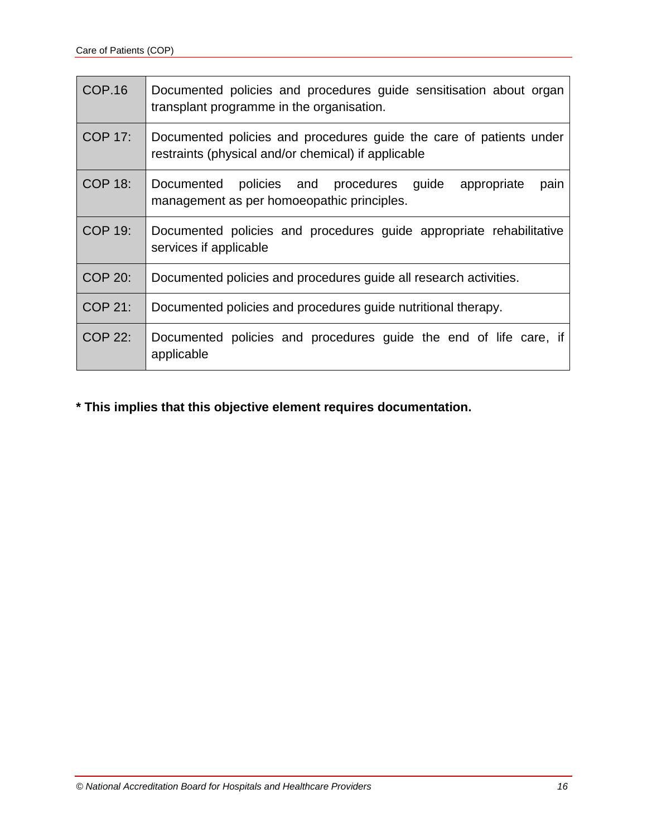| <b>COP.16</b>  | Documented policies and procedures guide sensitisation about organ<br>transplant programme in the organisation.            |
|----------------|----------------------------------------------------------------------------------------------------------------------------|
| <b>COP 17:</b> | Documented policies and procedures guide the care of patients under<br>restraints (physical and/or chemical) if applicable |
| <b>COP 18:</b> | policies and procedures guide<br>Documented<br>appropriate<br>pain<br>management as per homoeopathic principles.           |
| <b>COP 19:</b> | Documented policies and procedures guide appropriate rehabilitative<br>services if applicable                              |
| <b>COP 20:</b> | Documented policies and procedures guide all research activities.                                                          |
| <b>COP 21:</b> | Documented policies and procedures guide nutritional therapy.                                                              |
| <b>COP 22:</b> | Documented policies and procedures guide the end of life care, if<br>applicable                                            |

# **\* This implies that this objective element requires documentation.**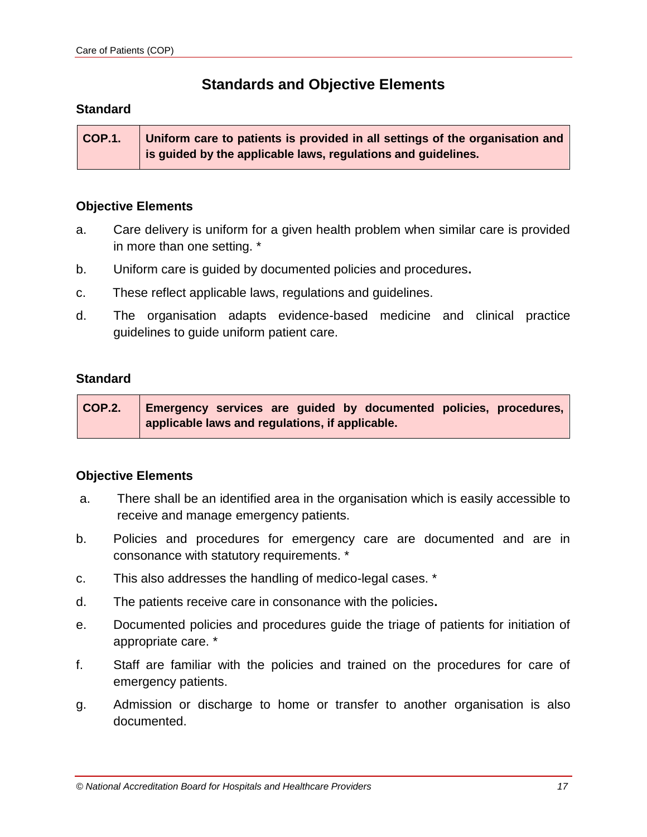# **Standards and Objective Elements**

#### **Standard**

**COP.1. Uniform care to patients is provided in all settings of the organisation and is guided by the applicable laws, regulations and guidelines.**

#### **Objective Elements**

- a. Care delivery is uniform for a given health problem when similar care is provided in more than one setting. \*
- b. Uniform care is guided by documented policies and procedures**.**
- c. These reflect applicable laws, regulations and guidelines.
- d. The organisation adapts evidence-based medicine and clinical practice guidelines to guide uniform patient care.

#### **Standard**

| <b>COP.2.</b> | Emergency services are guided by documented policies, procedures, |
|---------------|-------------------------------------------------------------------|
|               | applicable laws and regulations, if applicable.                   |

- a. There shall be an identified area in the organisation which is easily accessible to receive and manage emergency patients.
- b. Policies and procedures for emergency care are documented and are in consonance with statutory requirements. \*
- c. This also addresses the handling of medico-legal cases. \*
- d. The patients receive care in consonance with the policies**.**
- e. Documented policies and procedures guide the triage of patients for initiation of appropriate care. \*
- f. Staff are familiar with the policies and trained on the procedures for care of emergency patients.
- g. Admission or discharge to home or transfer to another organisation is also documented.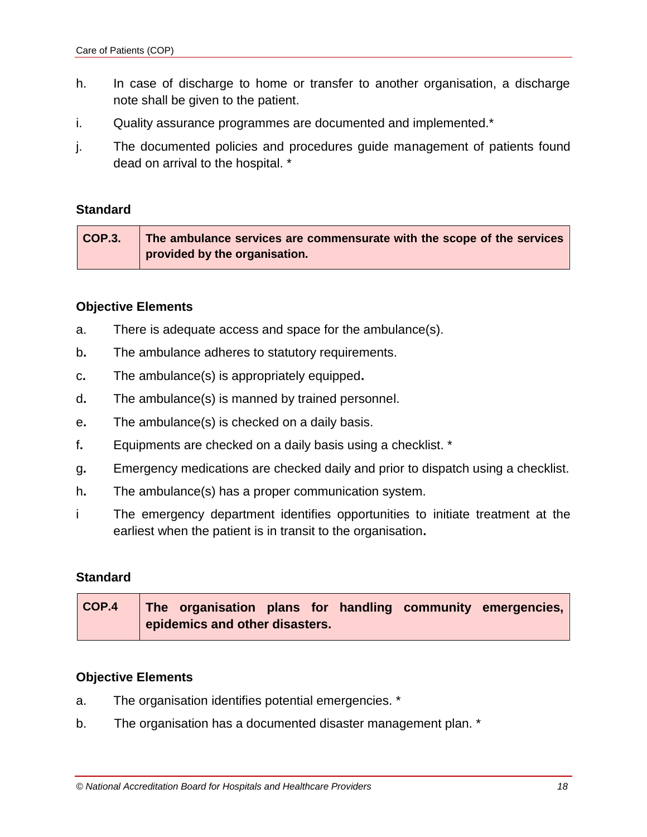- h. In case of discharge to home or transfer to another organisation, a discharge note shall be given to the patient.
- i. Quality assurance programmes are documented and implemented.\*
- j. The documented policies and procedures guide management of patients found dead on arrival to the hospital. \*

| COP.3. | The ambulance services are commensurate with the scope of the services |
|--------|------------------------------------------------------------------------|
|        | provided by the organisation.                                          |

#### **Objective Elements**

- a. There is adequate access and space for the ambulance(s).
- b**.** The ambulance adheres to statutory requirements.
- c**.** The ambulance(s) is appropriately equipped**.**
- d**.** The ambulance(s) is manned by trained personnel.
- e**.** The ambulance(s) is checked on a daily basis.
- f**.** Equipments are checked on a daily basis using a checklist. \*
- g**.** Emergency medications are checked daily and prior to dispatch using a checklist.
- h**.** The ambulance(s) has a proper communication system.
- i The emergency department identifies opportunities to initiate treatment at the earliest when the patient is in transit to the organisation**.**

#### **Standard**

| $\overline{COP.4}$ |                                |  |  | The organisation plans for handling community emergencies, |
|--------------------|--------------------------------|--|--|------------------------------------------------------------|
|                    | epidemics and other disasters. |  |  |                                                            |

- a. The organisation identifies potential emergencies. \*
- b. The organisation has a documented disaster management plan. \*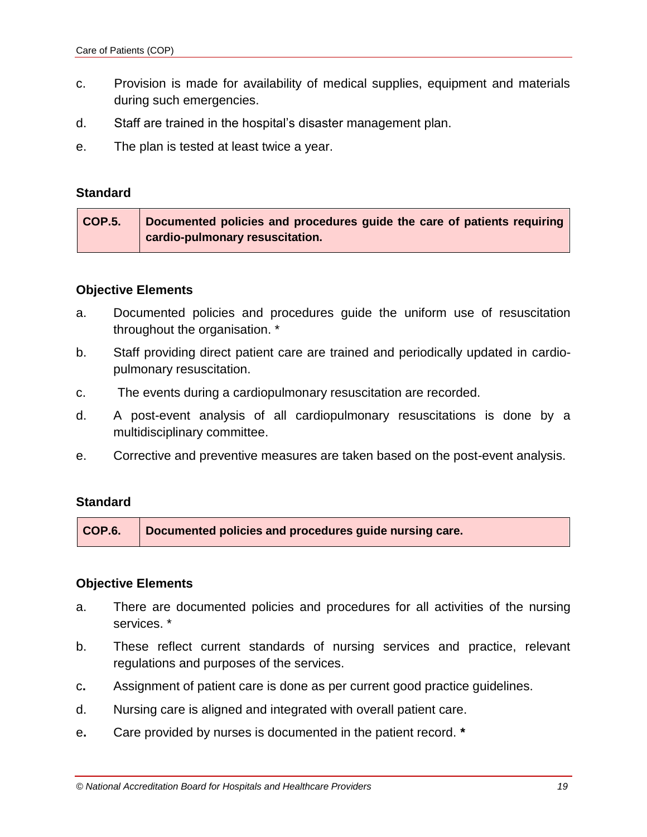- c. Provision is made for availability of medical supplies, equipment and materials during such emergencies.
- d. Staff are trained in the hospital's disaster management plan.
- e. The plan is tested at least twice a year.

| COP.5. | Documented policies and procedures guide the care of patients requiring |
|--------|-------------------------------------------------------------------------|
|        | cardio-pulmonary resuscitation.                                         |

#### **Objective Elements**

- a. Documented policies and procedures guide the uniform use of resuscitation throughout the organisation. \*
- b. Staff providing direct patient care are trained and periodically updated in cardiopulmonary resuscitation.
- c. The events during a cardiopulmonary resuscitation are recorded.
- d. A post-event analysis of all cardiopulmonary resuscitations is done by a multidisciplinary committee.
- e. Corrective and preventive measures are taken based on the post-event analysis.

# **Standard**

**COP.6. Documented policies and procedures guide nursing care.**

- a. There are documented policies and procedures for all activities of the nursing services. \*
- b. These reflect current standards of nursing services and practice, relevant regulations and purposes of the services.
- c**.** Assignment of patient care is done as per current good practice guidelines.
- d. Nursing care is aligned and integrated with overall patient care.
- e**.** Care provided by nurses is documented in the patient record. **\***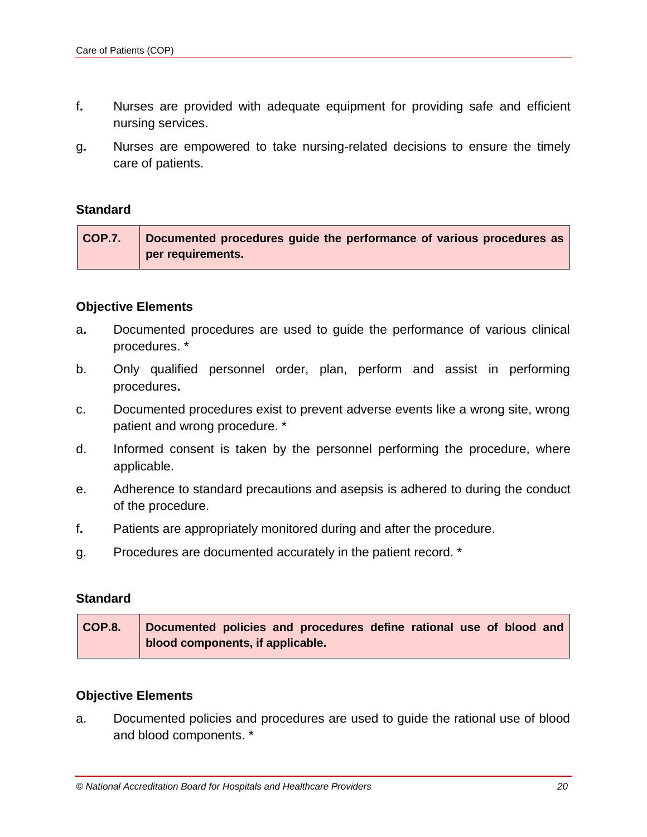- f**.** Nurses are provided with adequate equipment for providing safe and efficient nursing services.
- g**.** Nurses are empowered to take nursing-related decisions to ensure the timely care of patients.

| COP.7. | Documented procedures guide the performance of various procedures as |
|--------|----------------------------------------------------------------------|
|        | per requirements.                                                    |

#### **Objective Elements**

- a**.** Documented procedures are used to guide the performance of various clinical procedures. \*
- b. Only qualified personnel order, plan, perform and assist in performing procedures**.**
- c.Documented procedures exist to prevent adverse events like a wrong site, wrong patient and wrong procedure. \*
- d. Informed consent is taken by the personnel performing the procedure, where applicable.
- e. Adherence to standard precautions and asepsis is adhered to during the conduct of the procedure.
- f**.** Patients are appropriately monitored during and after the procedure.
- g. Procedures are documented accurately in the patient record. \*

#### **Standard**

| COP.8. | Documented policies and procedures define rational use of blood and |
|--------|---------------------------------------------------------------------|
|        | blood components, if applicable.                                    |

#### **Objective Elements**

a. Documented policies and procedures are used to guide the rational use of blood and blood components. \*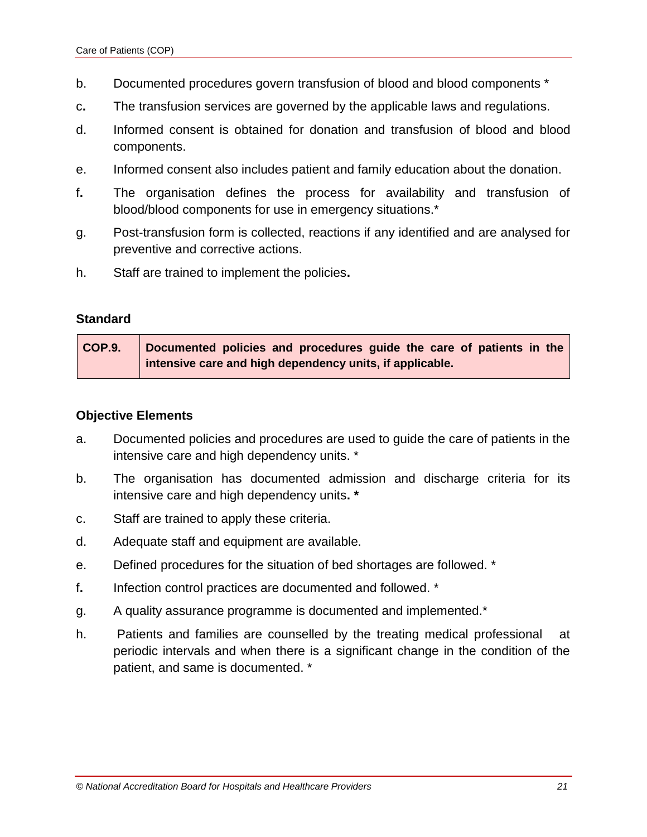- b. Documented procedures govern transfusion of blood and blood components \*
- c**.** The transfusion services are governed by the applicable laws and regulations.
- d. Informed consent is obtained for donation and transfusion of blood and blood components.
- e. Informed consent also includes patient and family education about the donation.
- f**.** The organisation defines the process for availability and transfusion of blood/blood components for use in emergency situations.\*
- g. Post-transfusion form is collected, reactions if any identified and are analysed for preventive and corrective actions.
- h. Staff are trained to implement the policies**.**

| COP.9. | Documented policies and procedures guide the care of patients in the |
|--------|----------------------------------------------------------------------|
|        | intensive care and high dependency units, if applicable.             |

- a. Documented policies and procedures are used to guide the care of patients in the intensive care and high dependency units. \*
- b. The organisation has documented admission and discharge criteria for its intensive care and high dependency units**. \***
- c. Staff are trained to apply these criteria.
- d. Adequate staff and equipment are available.
- e. Defined procedures for the situation of bed shortages are followed. \*
- f**.** Infection control practices are documented and followed. \*
- g. A quality assurance programme is documented and implemented.\*
- h. Patients and families are counselled by the treating medical professional at periodic intervals and when there is a significant change in the condition of the patient, and same is documented. \*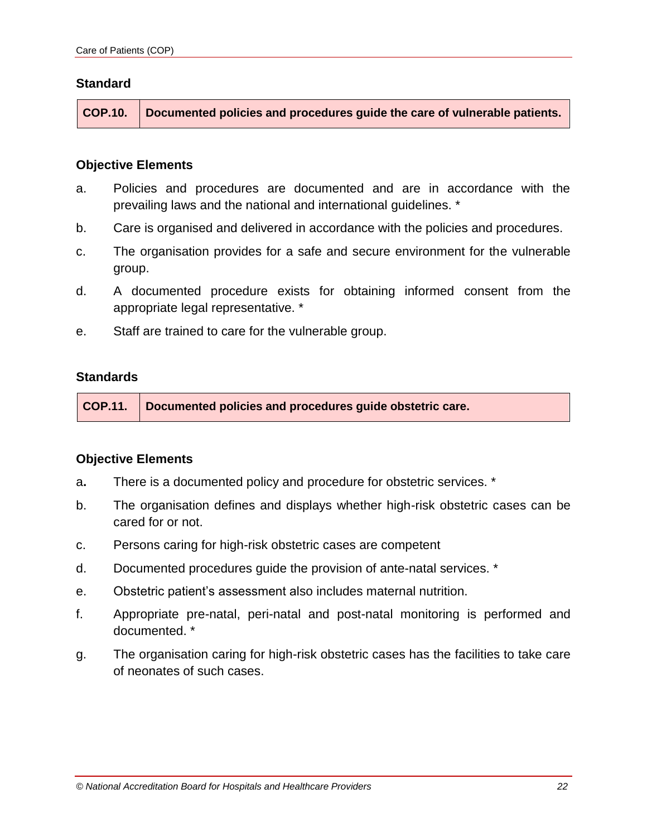**COP.10. Documented policies and procedures guide the care of vulnerable patients.** 

#### **Objective Elements**

- a. Policies and procedures are documented and are in accordance with the prevailing laws and the national and international guidelines. \*
- b. Care is organised and delivered in accordance with the policies and procedures.
- c. The organisation provides for a safe and secure environment for the vulnerable group.
- d. A documented procedure exists for obtaining informed consent from the appropriate legal representative. \*
- e. Staff are trained to care for the vulnerable group.

#### **Standards**

**COP.11. Documented policies and procedures guide obstetric care.**

- a**.** There is a documented policy and procedure for obstetric services. \*
- b. The organisation defines and displays whether high-risk obstetric cases can be cared for or not.
- c. Persons caring for high-risk obstetric cases are competent
- d. Documented procedures guide the provision of ante-natal services. \*
- e. Obstetric patient's assessment also includes maternal nutrition.
- f. Appropriate pre-natal, peri-natal and post-natal monitoring is performed and documented. \*
- g. The organisation caring for high-risk obstetric cases has the facilities to take care of neonates of such cases.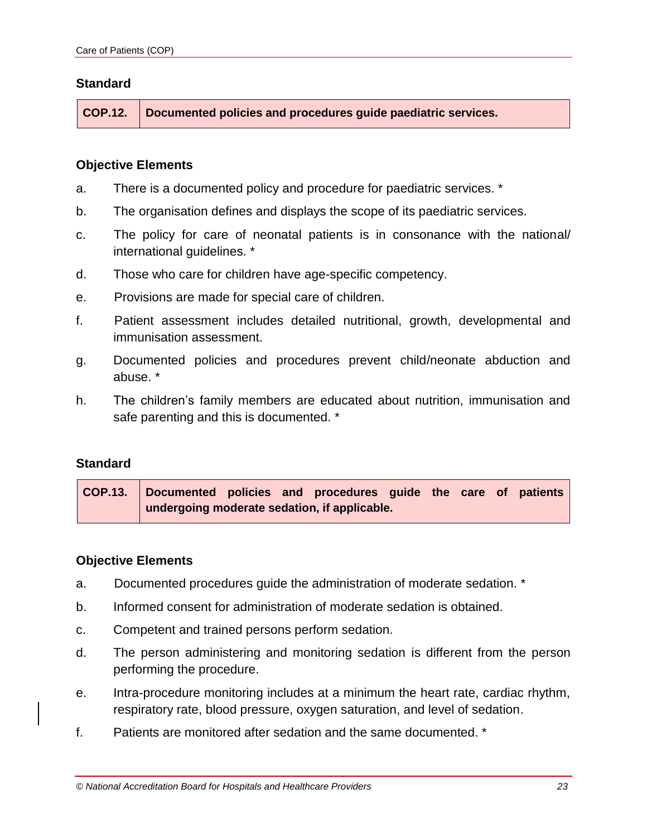**COP.12. Documented policies and procedures guide paediatric services.**

#### **Objective Elements**

- a. There is a documented policy and procedure for paediatric services. \*
- b. The organisation defines and displays the scope of its paediatric services.
- c. The policy for care of neonatal patients is in consonance with the national/ international guidelines. \*
- d. Those who care for children have age-specific competency.
- e. Provisions are made for special care of children.
- f. Patient assessment includes detailed nutritional, growth, developmental and immunisation assessment.
- g. Documented policies and procedures prevent child/neonate abduction and abuse. \*
- h. The children's family members are educated about nutrition, immunisation and safe parenting and this is documented. \*

#### **Standard**

**COP.13. Documented policies and procedures guide the care of patients undergoing moderate sedation, if applicable.**

- a. Documented procedures guide the administration of moderate sedation. \*
- b. Informed consent for administration of moderate sedation is obtained.
- c. Competent and trained persons perform sedation.
- d. The person administering and monitoring sedation is different from the person performing the procedure.
- e. Intra-procedure monitoring includes at a minimum the heart rate, cardiac rhythm, respiratory rate, blood pressure, oxygen saturation, and level of sedation.
- f. Patients are monitored after sedation and the same documented. \*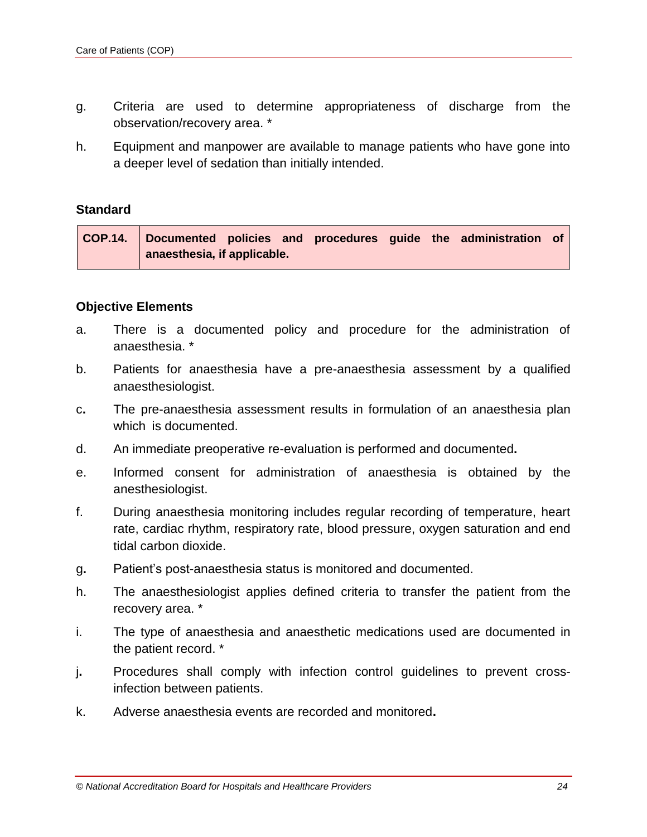- g. Criteria are used to determine appropriateness of discharge from the observation/recovery area. \*
- h. Equipment and manpower are available to manage patients who have gone into a deeper level of sedation than initially intended.

|                             |  |  |  | COP.14. Documented policies and procedures guide the administration of |  |
|-----------------------------|--|--|--|------------------------------------------------------------------------|--|
| anaesthesia, if applicable. |  |  |  |                                                                        |  |

- a. There is a documented policy and procedure for the administration of anaesthesia. \*
- b. Patients for anaesthesia have a pre-anaesthesia assessment by a qualified anaesthesiologist.
- c**.** The pre-anaesthesia assessment results in formulation of an anaesthesia plan which is documented.
- d. An immediate preoperative re-evaluation is performed and documented**.**
- e. Informed consent for administration of anaesthesia is obtained by the anesthesiologist.
- f. During anaesthesia monitoring includes regular recording of temperature, heart rate, cardiac rhythm, respiratory rate, blood pressure, oxygen saturation and end tidal carbon dioxide.
- g**.** Patient's post-anaesthesia status is monitored and documented.
- h. The anaesthesiologist applies defined criteria to transfer the patient from the recovery area. \*
- i. The type of anaesthesia and anaesthetic medications used are documented in the patient record. \*
- j**.** Procedures shall comply with infection control guidelines to prevent crossinfection between patients.
- k. Adverse anaesthesia events are recorded and monitored**.**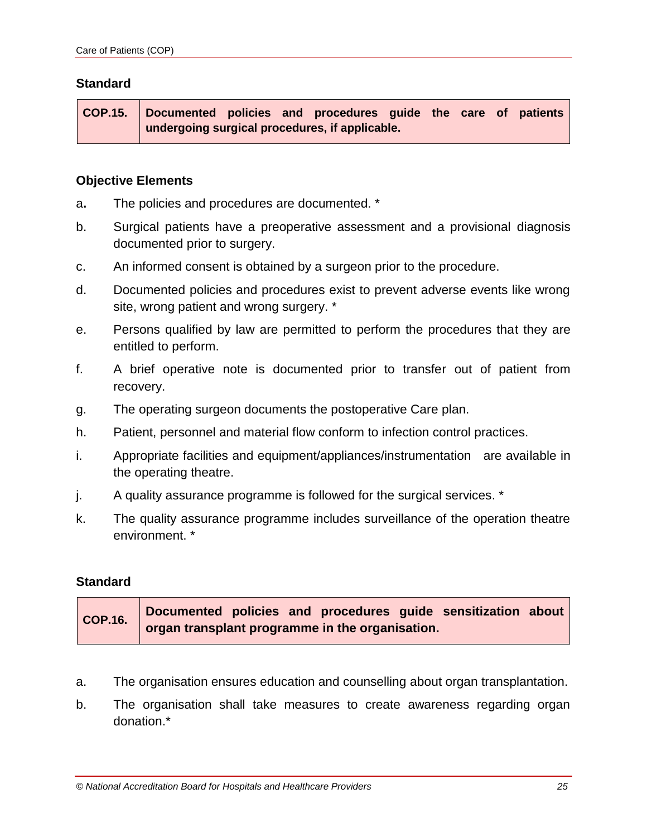**COP.15. Documented policies and procedures guide the care of patients undergoing surgical procedures, if applicable.**

#### **Objective Elements**

- a**.** The policies and procedures are documented. \*
- b. Surgical patients have a preoperative assessment and a provisional diagnosis documented prior to surgery.
- c. An informed consent is obtained by a surgeon prior to the procedure.
- d. Documented policies and procedures exist to prevent adverse events like wrong site, wrong patient and wrong surgery. \*
- e. Persons qualified by law are permitted to perform the procedures that they are entitled to perform.
- f. A brief operative note is documented prior to transfer out of patient from recovery.
- g. The operating surgeon documents the postoperative Care plan.
- h. Patient, personnel and material flow conform to infection control practices.
- i. Appropriate facilities and equipment/appliances/instrumentation are available in the operating theatre.
- j. A quality assurance programme is followed for the surgical services. \*
- k. The quality assurance programme includes surveillance of the operation theatre environment. \*

# **Standard**

| COP.16. | Documented policies and procedures guide sensitization about |
|---------|--------------------------------------------------------------|
|         | organ transplant programme in the organisation.              |

- a. The organisation ensures education and counselling about organ transplantation.
- b. The organisation shall take measures to create awareness regarding organ donation.\*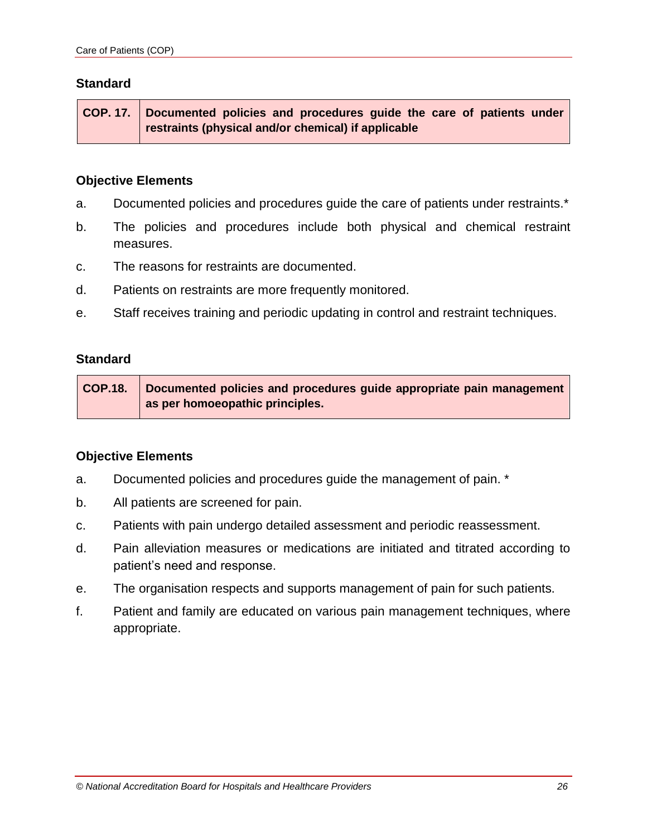**COP. 17. Documented policies and procedures guide the care of patients under restraints (physical and/or chemical) if applicable**

#### **Objective Elements**

- a. Documented policies and procedures guide the care of patients under restraints.\*
- b. The policies and procedures include both physical and chemical restraint measures.
- c. The reasons for restraints are documented.
- d. Patients on restraints are more frequently monitored.
- e. Staff receives training and periodic updating in control and restraint techniques.

#### **Standard**

**COP.18. Documented policies and procedures guide appropriate pain management as per homoeopathic principles.**

- a. Documented policies and procedures guide the management of pain. \*
- b. All patients are screened for pain.
- c. Patients with pain undergo detailed assessment and periodic reassessment.
- d. Pain alleviation measures or medications are initiated and titrated according to patient's need and response.
- e. The organisation respects and supports management of pain for such patients.
- f. Patient and family are educated on various pain management techniques, where appropriate.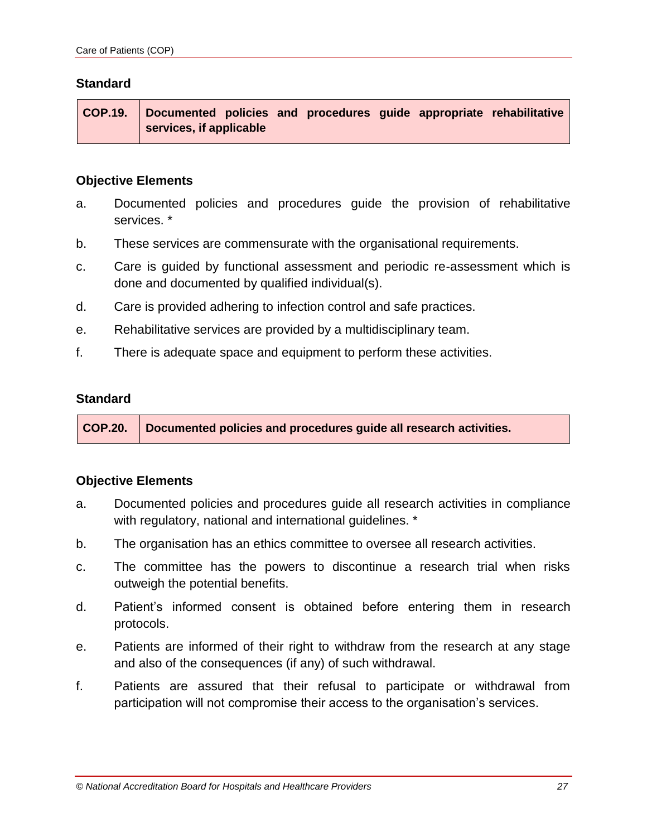**COP.19. Documented policies and procedures guide appropriate rehabilitative services, if applicable**

#### **Objective Elements**

- a. Documented policies and procedures guide the provision of rehabilitative services. \*
- b. These services are commensurate with the organisational requirements.
- c. Care is guided by functional assessment and periodic re-assessment which is done and documented by qualified individual(s).
- d. Care is provided adhering to infection control and safe practices.
- e. Rehabilitative services are provided by a multidisciplinary team.
- f. There is adequate space and equipment to perform these activities.

#### **Standard**

**COP.20. Documented policies and procedures guide all research activities.**

- a. Documented policies and procedures guide all research activities in compliance with regulatory, national and international guidelines. \*
- b. The organisation has an ethics committee to oversee all research activities.
- c. The committee has the powers to discontinue a research trial when risks outweigh the potential benefits.
- d. Patient's informed consent is obtained before entering them in research protocols.
- e. Patients are informed of their right to withdraw from the research at any stage and also of the consequences (if any) of such withdrawal.
- f. Patients are assured that their refusal to participate or withdrawal from participation will not compromise their access to the organisation's services.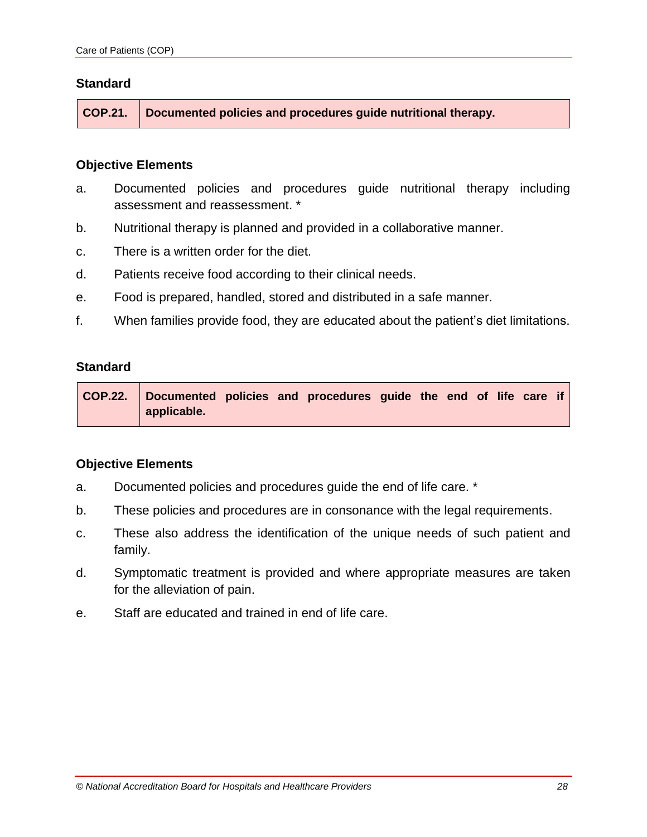**COP.21. Documented policies and procedures guide nutritional therapy.**

#### **Objective Elements**

- a. Documented policies and procedures guide nutritional therapy including assessment and reassessment. \*
- b. Nutritional therapy is planned and provided in a collaborative manner.
- c. There is a written order for the diet.
- d. Patients receive food according to their clinical needs.
- e. Food is prepared, handled, stored and distributed in a safe manner.
- f. When families provide food, they are educated about the patient's diet limitations.

#### **Standard**

**COP.22. Documented policies and procedures guide the end of life care if applicable.**

- a. Documented policies and procedures guide the end of life care. \*
- b. These policies and procedures are in consonance with the legal requirements.
- c. These also address the identification of the unique needs of such patient and family.
- d. Symptomatic treatment is provided and where appropriate measures are taken for the alleviation of pain.
- e. Staff are educated and trained in end of life care.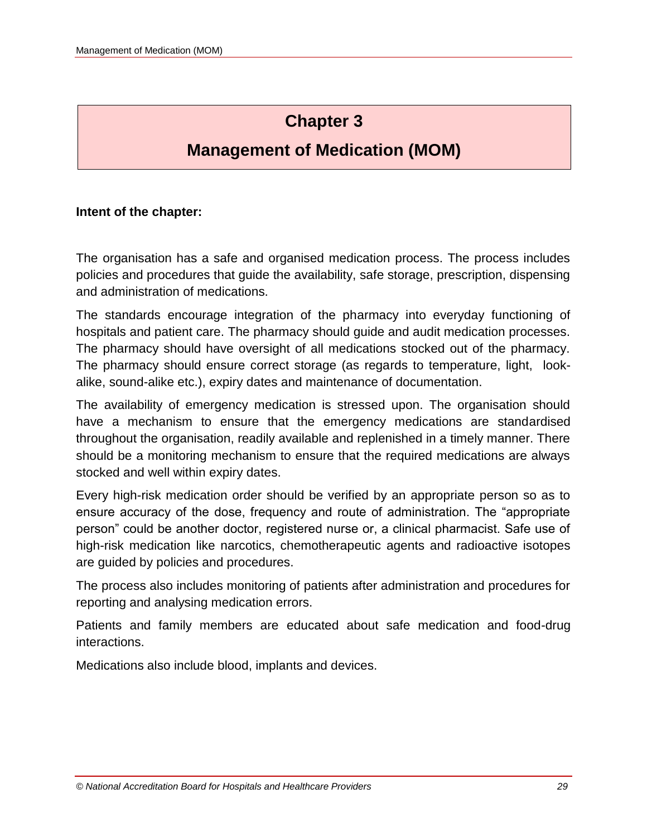# **Chapter 3**

# **Management of Medication (MOM)**

# **Intent of the chapter:**

The organisation has a safe and organised medication process. The process includes policies and procedures that guide the availability, safe storage, prescription, dispensing and administration of medications.

The standards encourage integration of the pharmacy into everyday functioning of hospitals and patient care. The pharmacy should guide and audit medication processes. The pharmacy should have oversight of all medications stocked out of the pharmacy. The pharmacy should ensure correct storage (as regards to temperature, light, lookalike, sound-alike etc.), expiry dates and maintenance of documentation.

The availability of emergency medication is stressed upon. The organisation should have a mechanism to ensure that the emergency medications are standardised throughout the organisation, readily available and replenished in a timely manner. There should be a monitoring mechanism to ensure that the required medications are always stocked and well within expiry dates.

Every high-risk medication order should be verified by an appropriate person so as to ensure accuracy of the dose, frequency and route of administration. The "appropriate person" could be another doctor, registered nurse or, a clinical pharmacist. Safe use of high-risk medication like narcotics, chemotherapeutic agents and radioactive isotopes are guided by policies and procedures.

The process also includes monitoring of patients after administration and procedures for reporting and analysing medication errors.

Patients and family members are educated about safe medication and food-drug interactions.

Medications also include blood, implants and devices.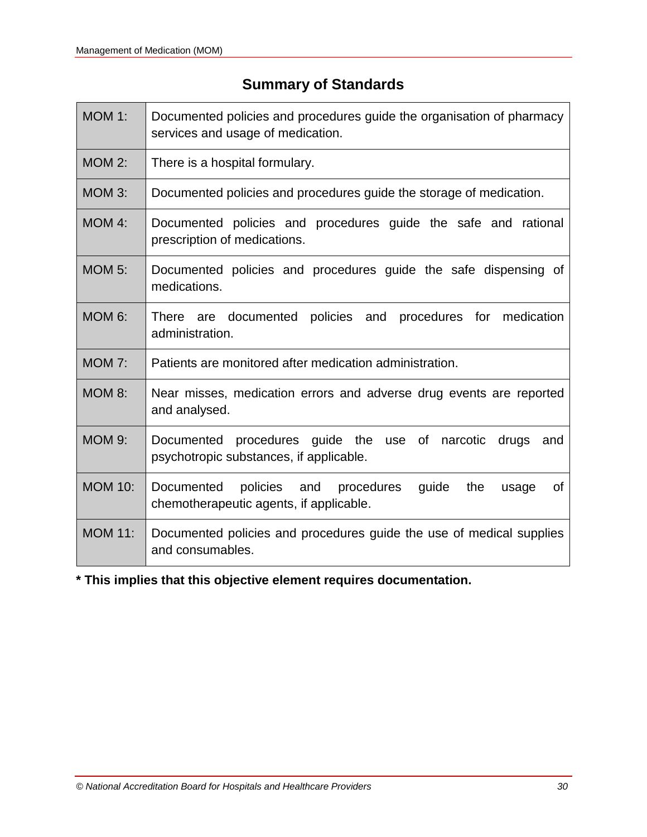# **Summary of Standards**

| <b>MOM 1:</b>  | Documented policies and procedures guide the organisation of pharmacy<br>services and usage of medication.      |  |  |  |  |  |  |  |  |  |  |
|----------------|-----------------------------------------------------------------------------------------------------------------|--|--|--|--|--|--|--|--|--|--|
| <b>MOM 2:</b>  | There is a hospital formulary.                                                                                  |  |  |  |  |  |  |  |  |  |  |
| <b>MOM 3:</b>  | Documented policies and procedures guide the storage of medication.                                             |  |  |  |  |  |  |  |  |  |  |
| MOM 4:         | Documented policies and procedures guide the safe and rational<br>prescription of medications.                  |  |  |  |  |  |  |  |  |  |  |
| <b>MOM 5:</b>  | Documented policies and procedures guide the safe dispensing of<br>medications.                                 |  |  |  |  |  |  |  |  |  |  |
| <b>MOM 6:</b>  | policies and<br>procedures for medication<br><b>There</b><br>documented<br>are<br>administration.               |  |  |  |  |  |  |  |  |  |  |
| <b>MOM 7:</b>  | Patients are monitored after medication administration.                                                         |  |  |  |  |  |  |  |  |  |  |
| <b>MOM 8:</b>  | Near misses, medication errors and adverse drug events are reported<br>and analysed.                            |  |  |  |  |  |  |  |  |  |  |
| <b>MOM 9:</b>  | procedures guide the use of narcotic<br>Documented<br>drugs<br>and<br>psychotropic substances, if applicable.   |  |  |  |  |  |  |  |  |  |  |
| <b>MOM 10:</b> | Documented<br>policies and procedures<br>guide<br>the<br>0f<br>usage<br>chemotherapeutic agents, if applicable. |  |  |  |  |  |  |  |  |  |  |
| <b>MOM 11:</b> | Documented policies and procedures guide the use of medical supplies<br>and consumables.                        |  |  |  |  |  |  |  |  |  |  |

**\* This implies that this objective element requires documentation.**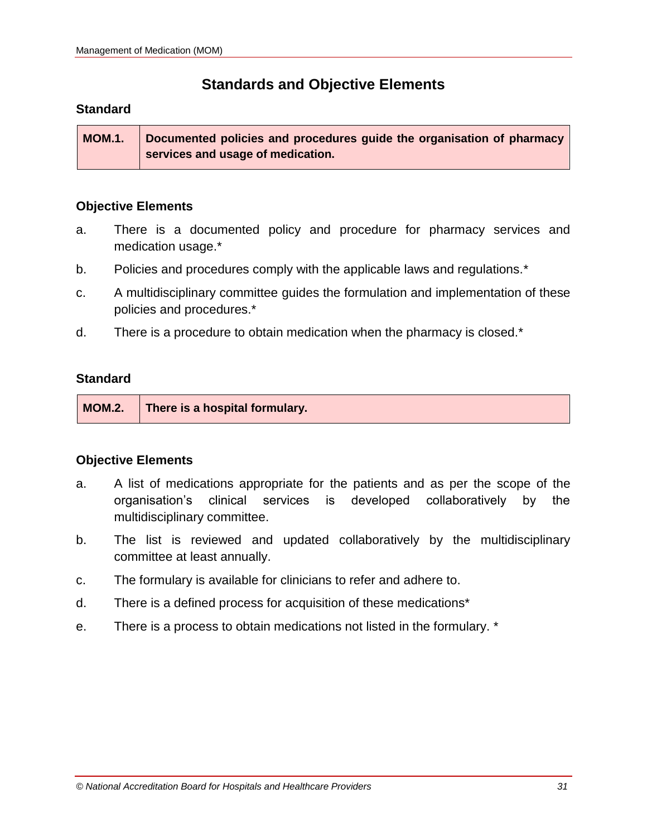# **Standards and Objective Elements**

# **Standard**

**MOM.1. Documented policies and procedures guide the organisation of pharmacy services and usage of medication.**

# **Objective Elements**

- a. There is a documented policy and procedure for pharmacy services and medication usage.\*
- b. Policies and procedures comply with the applicable laws and regulations.\*
- c. A multidisciplinary committee guides the formulation and implementation of these policies and procedures.\*
- d. There is a procedure to obtain medication when the pharmacy is closed.\*

# **Standard**

| MOM.2.   There is a hospital formulary. |
|-----------------------------------------|
|-----------------------------------------|

- a. A list of medications appropriate for the patients and as per the scope of the organisation's clinical services is developed collaboratively by the multidisciplinary committee.
- b. The list is reviewed and updated collaboratively by the multidisciplinary committee at least annually.
- c. The formulary is available for clinicians to refer and adhere to.
- d. There is a defined process for acquisition of these medications\*
- e. There is a process to obtain medications not listed in the formulary. \*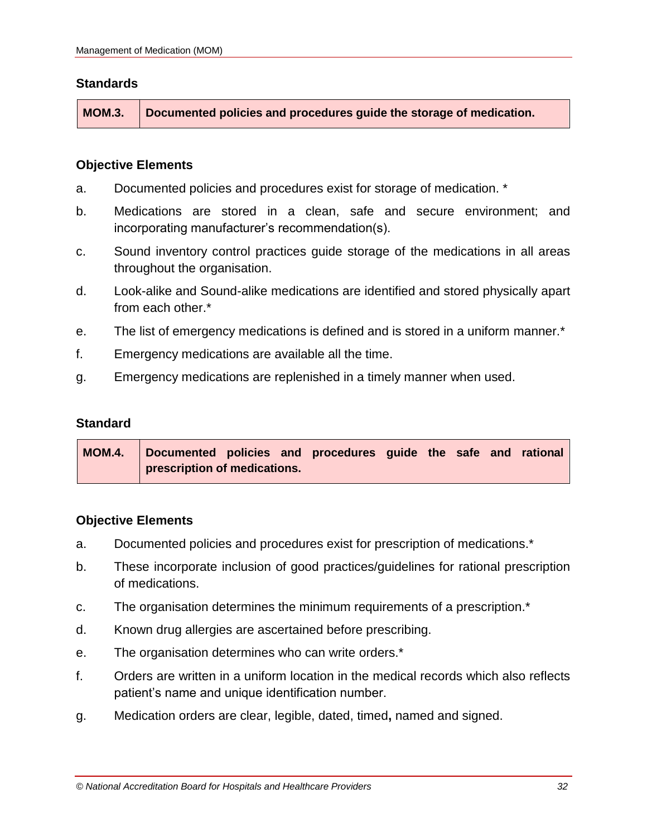**MOM.3. Documented policies and procedures guide the storage of medication.**

# **Objective Elements**

- a. Documented policies and procedures exist for storage of medication. \*
- b. Medications are stored in a clean, safe and secure environment; and incorporating manufacturer's recommendation(s).
- c. Sound inventory control practices guide storage of the medications in all areas throughout the organisation.
- d. Look-alike and Sound-alike medications are identified and stored physically apart from each other.<sup>\*</sup>
- e. The list of emergency medications is defined and is stored in a uniform manner.\*
- f. Emergency medications are available all the time.
- g. Emergency medications are replenished in a timely manner when used.

#### **Standard**

**MOM.4. Documented policies and procedures guide the safe and rational prescription of medications.**

- a. Documented policies and procedures exist for prescription of medications.\*
- b. These incorporate inclusion of good practices/guidelines for rational prescription of medications.
- c. The organisation determines the minimum requirements of a prescription.\*
- d. Known drug allergies are ascertained before prescribing.
- e. The organisation determines who can write orders.\*
- f. Orders are written in a uniform location in the medical records which also reflects patient's name and unique identification number.
- g. Medication orders are clear, legible, dated, timed**,** named and signed.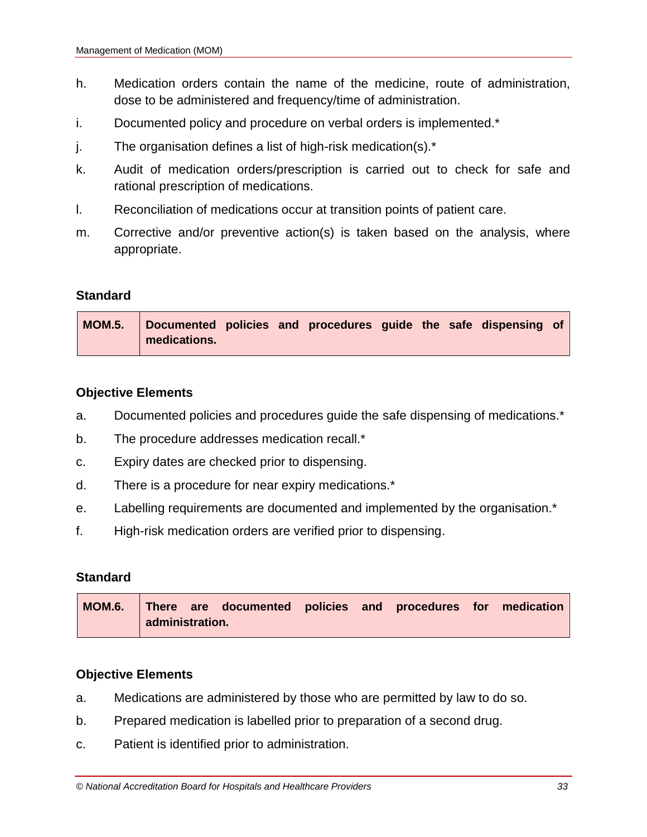- h. Medication orders contain the name of the medicine, route of administration, dose to be administered and frequency/time of administration.
- i. Documented policy and procedure on verbal orders is implemented.\*
- $j.$  The organisation defines a list of high-risk medication(s). $*$
- k. Audit of medication orders/prescription is carried out to check for safe and rational prescription of medications.
- l. Reconciliation of medications occur at transition points of patient care.
- m. Corrective and/or preventive action(s) is taken based on the analysis, where appropriate.

|              | MOM.5. Documented policies and procedures guide the safe dispensing of |  |  |  |  |  |
|--------------|------------------------------------------------------------------------|--|--|--|--|--|
| medications. |                                                                        |  |  |  |  |  |

# **Objective Elements**

- a. Documented policies and procedures guide the safe dispensing of medications.\*
- b. The procedure addresses medication recall.\*
- c. Expiry dates are checked prior to dispensing.
- d. There is a procedure for near expiry medications.\*
- e. Labelling requirements are documented and implemented by the organisation.\*
- f. High-risk medication orders are verified prior to dispensing.

# **Standard**

|  |                 | MOM.6. There are documented policies and procedures for medication |  |  |  |
|--|-----------------|--------------------------------------------------------------------|--|--|--|
|  | administration. |                                                                    |  |  |  |

- a. Medications are administered by those who are permitted by law to do so.
- b. Prepared medication is labelled prior to preparation of a second drug.
- c. Patient is identified prior to administration.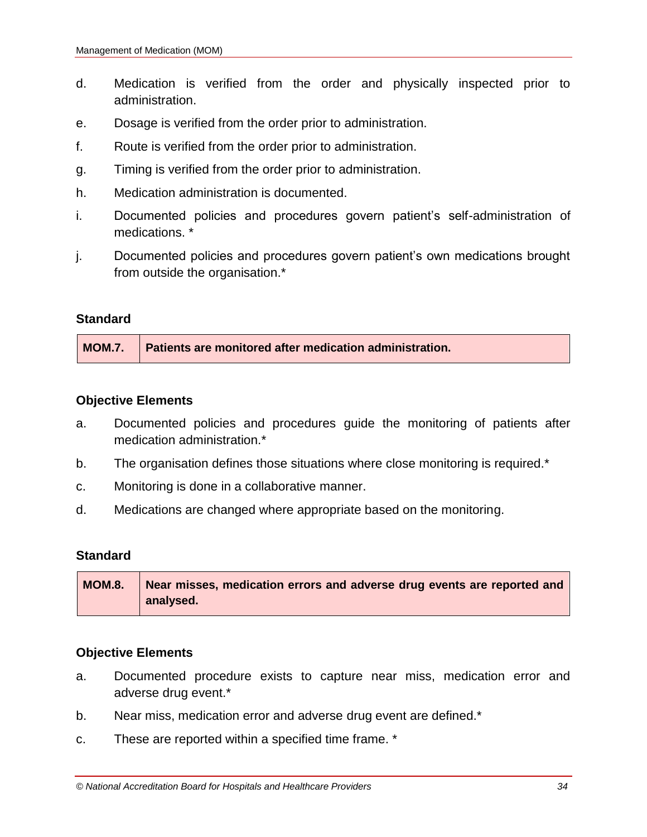- d. Medication is verified from the order and physically inspected prior to administration.
- e. Dosage is verified from the order prior to administration.
- f. Route is verified from the order prior to administration.
- g. Timing is verified from the order prior to administration.
- h. Medication administration is documented.
- i. Documented policies and procedures govern patient's self-administration of medications. \*
- j. Documented policies and procedures govern patient's own medications brought from outside the organisation.\*

|  | MOM.7. Patients are monitored after medication administration. |
|--|----------------------------------------------------------------|
|--|----------------------------------------------------------------|

#### **Objective Elements**

- a. Documented policies and procedures guide the monitoring of patients after medication administration.\*
- b. The organisation defines those situations where close monitoring is required.\*
- c. Monitoring is done in a collaborative manner.
- d. Medications are changed where appropriate based on the monitoring.

# **Standard**

| <b>MOM.8.</b> | Near misses, medication errors and adverse drug events are reported and |
|---------------|-------------------------------------------------------------------------|
|               | analysed.                                                               |

- a. Documented procedure exists to capture near miss, medication error and adverse drug event.\*
- b. Near miss, medication error and adverse drug event are defined.\*
- c. These are reported within a specified time frame. \*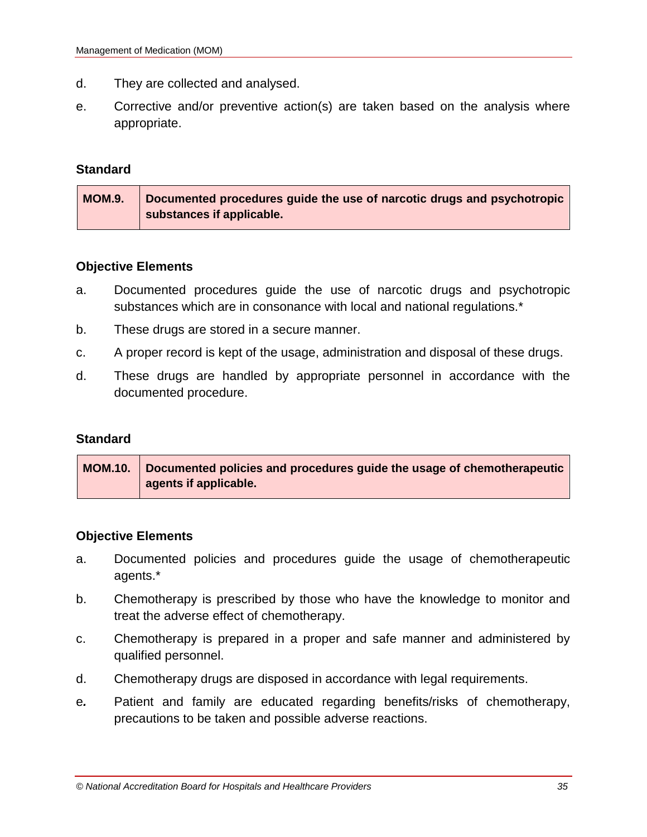- d. They are collected and analysed.
- e. Corrective and/or preventive action(s) are taken based on the analysis where appropriate.

| <b>MOM.9.</b> | Documented procedures guide the use of narcotic drugs and psychotropic |
|---------------|------------------------------------------------------------------------|
|               | substances if applicable.                                              |

# **Objective Elements**

- a. Documented procedures guide the use of narcotic drugs and psychotropic substances which are in consonance with local and national regulations.\*
- b. These drugs are stored in a secure manner.
- c. A proper record is kept of the usage, administration and disposal of these drugs.
- d. These drugs are handled by appropriate personnel in accordance with the documented procedure.

# **Standard**

| $\vert$ MOM.10. $\vert$ Documented policies and procedures guide the usage of chemotherapeutic |
|------------------------------------------------------------------------------------------------|
| agents if applicable.                                                                          |

- a. Documented policies and procedures guide the usage of chemotherapeutic agents.\*
- b. Chemotherapy is prescribed by those who have the knowledge to monitor and treat the adverse effect of chemotherapy.
- c. Chemotherapy is prepared in a proper and safe manner and administered by qualified personnel.
- d. Chemotherapy drugs are disposed in accordance with legal requirements.
- e*.* Patient and family are educated regarding benefits/risks of chemotherapy, precautions to be taken and possible adverse reactions.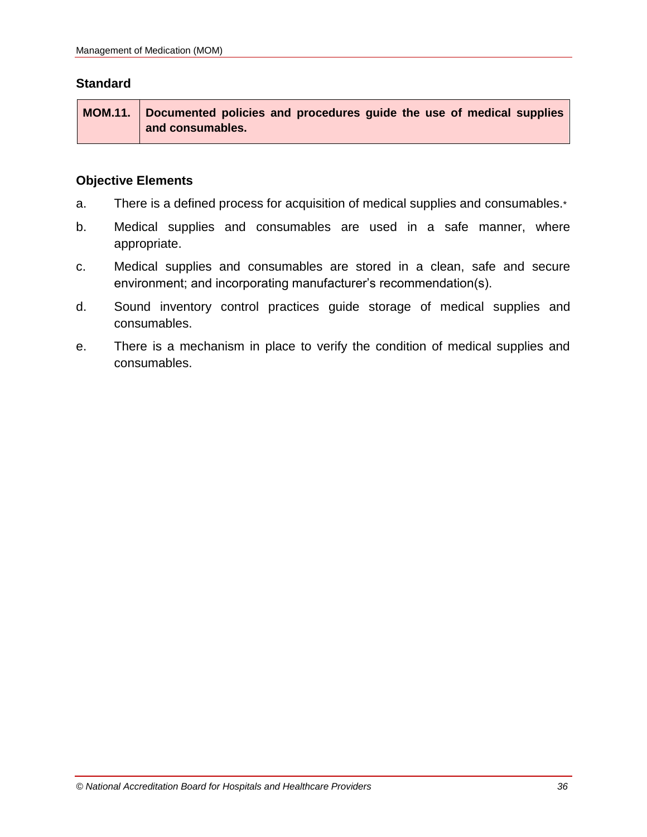**MOM.11. Documented policies and procedures guide the use of medical supplies and consumables.**

- a. There is a defined process for acquisition of medical supplies and consumables.\*
- b. Medical supplies and consumables are used in a safe manner, where appropriate.
- c. Medical supplies and consumables are stored in a clean, safe and secure environment; and incorporating manufacturer's recommendation(s).
- d. Sound inventory control practices guide storage of medical supplies and consumables.
- e. There is a mechanism in place to verify the condition of medical supplies and consumables.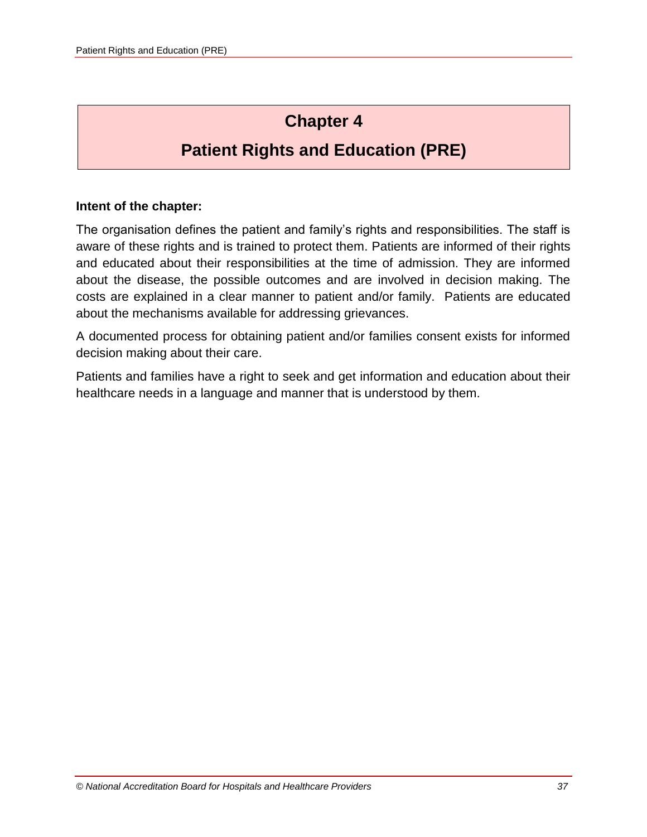# **Chapter 4**

# **Patient Rights and Education (PRE)**

#### **Intent of the chapter:**

The organisation defines the patient and family's rights and responsibilities. The staff is aware of these rights and is trained to protect them. Patients are informed of their rights and educated about their responsibilities at the time of admission. They are informed about the disease, the possible outcomes and are involved in decision making. The costs are explained in a clear manner to patient and/or family. Patients are educated about the mechanisms available for addressing grievances.

A documented process for obtaining patient and/or families consent exists for informed decision making about their care.

Patients and families have a right to seek and get information and education about their healthcare needs in a language and manner that is understood by them.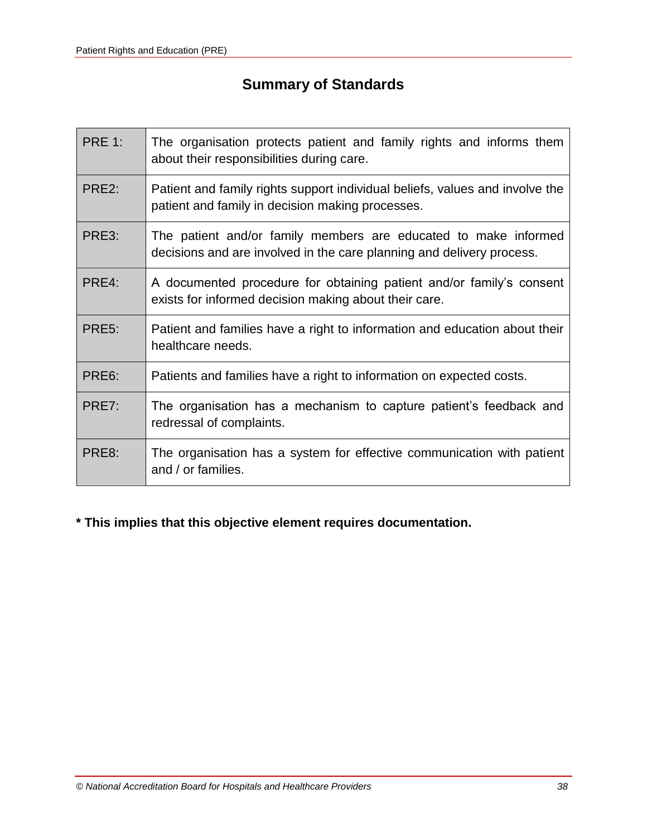# **Summary of Standards**

| <b>PRE 1:</b>      | The organisation protects patient and family rights and informs them<br>about their responsibilities during care.                        |
|--------------------|------------------------------------------------------------------------------------------------------------------------------------------|
| PRE <sub>2</sub> : | Patient and family rights support individual beliefs, values and involve the<br>patient and family in decision making processes.         |
| PRE3:              | The patient and/or family members are educated to make informed<br>decisions and are involved in the care planning and delivery process. |
| PRE4:              | A documented procedure for obtaining patient and/or family's consent<br>exists for informed decision making about their care.            |
| PRE <sub>5</sub> : | Patient and families have a right to information and education about their<br>healthcare needs.                                          |
| PRE6:              | Patients and families have a right to information on expected costs.                                                                     |
| PRE7:              | The organisation has a mechanism to capture patient's feedback and<br>redressal of complaints.                                           |
| PRE8:              | The organisation has a system for effective communication with patient<br>and / or families.                                             |

# **\* This implies that this objective element requires documentation.**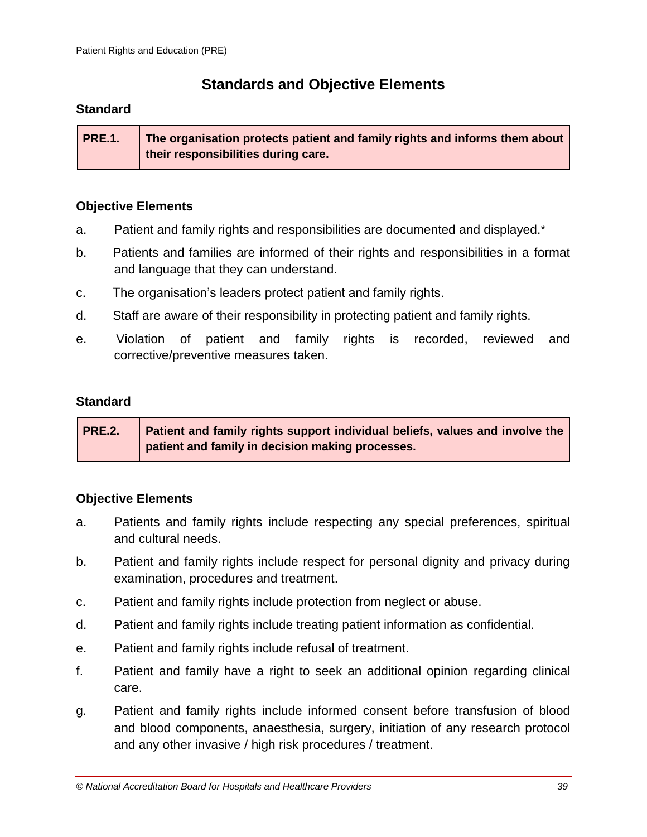# **Standards and Objective Elements**

#### **Standard**

**PRE.1. The organisation protects patient and family rights and informs them about their responsibilities during care.**

#### **Objective Elements**

- a. Patient and family rights and responsibilities are documented and displayed.\*
- b. Patients and families are informed of their rights and responsibilities in a format and language that they can understand.
- c. The organisation's leaders protect patient and family rights.
- d. Staff are aware of their responsibility in protecting patient and family rights.
- e. Violation of patient and family rights is recorded, reviewed and corrective/preventive measures taken.

### **Standard**

**PRE.2. Patient and family rights support individual beliefs, values and involve the patient and family in decision making processes.**

- a. Patients and family rights include respecting any special preferences, spiritual and cultural needs.
- b. Patient and family rights include respect for personal dignity and privacy during examination, procedures and treatment.
- c. Patient and family rights include protection from neglect or abuse.
- d. Patient and family rights include treating patient information as confidential.
- e. Patient and family rights include refusal of treatment.
- f. Patient and family have a right to seek an additional opinion regarding clinical care.
- g. Patient and family rights include informed consent before transfusion of blood and blood components, anaesthesia, surgery, initiation of any research protocol and any other invasive / high risk procedures / treatment.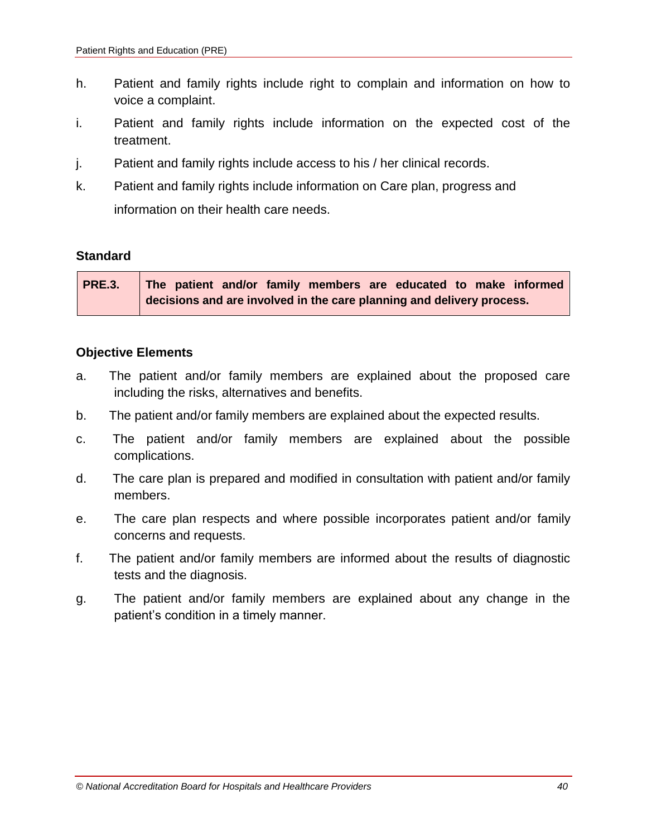- h. Patient and family rights include right to complain and information on how to voice a complaint.
- i. Patient and family rights include information on the expected cost of the treatment.
- j. Patient and family rights include access to his / her clinical records.
- k. Patient and family rights include information on Care plan, progress and information on their health care needs.

| <b>PRE.3.</b> | The patient and/or family members are educated to make informed       |
|---------------|-----------------------------------------------------------------------|
|               | decisions and are involved in the care planning and delivery process. |

- a. The patient and/or family members are explained about the proposed care including the risks, alternatives and benefits.
- b. The patient and/or family members are explained about the expected results.
- c. The patient and/or family members are explained about the possible complications.
- d. The care plan is prepared and modified in consultation with patient and/or family members.
- e. The care plan respects and where possible incorporates patient and/or family concerns and requests.
- f. The patient and/or family members are informed about the results of diagnostic tests and the diagnosis.
- g. The patient and/or family members are explained about any change in the patient's condition in a timely manner.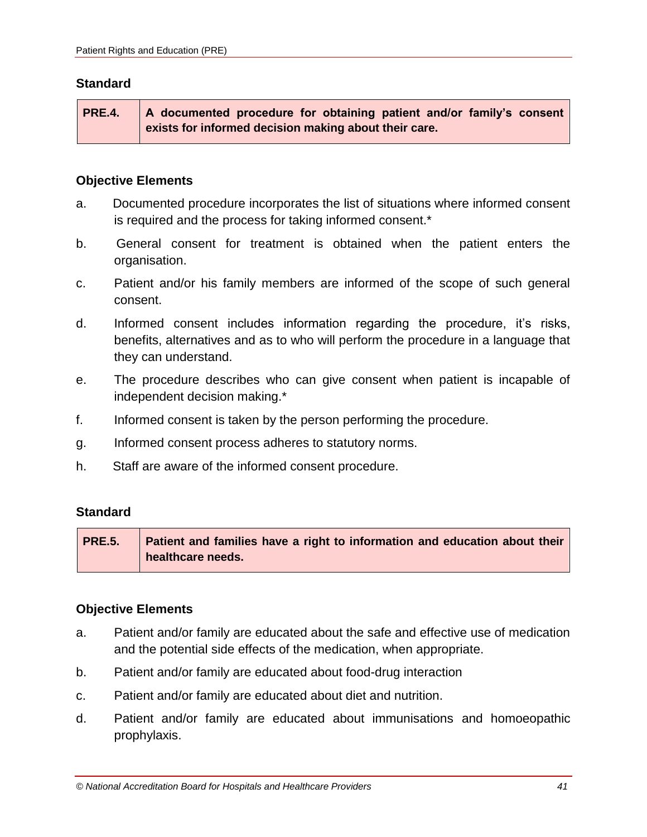**PRE.4. A documented procedure for obtaining patient and/or family's consent exists for informed decision making about their care.**

#### **Objective Elements**

- a. Documented procedure incorporates the list of situations where informed consent is required and the process for taking informed consent.\*
- b. General consent for treatment is obtained when the patient enters the organisation.
- c. Patient and/or his family members are informed of the scope of such general consent.
- d. Informed consent includes information regarding the procedure, it's risks, benefits, alternatives and as to who will perform the procedure in a language that they can understand.
- e. The procedure describes who can give consent when patient is incapable of independent decision making.\*
- f. Informed consent is taken by the person performing the procedure.
- g. Informed consent process adheres to statutory norms.
- h. Staff are aware of the informed consent procedure.

## **Standard**

**PRE.5. Patient and families have a right to information and education about their healthcare needs.**

- a. Patient and/or family are educated about the safe and effective use of medication and the potential side effects of the medication, when appropriate.
- b. Patient and/or family are educated about food-drug interaction
- c. Patient and/or family are educated about diet and nutrition.
- d. Patient and/or family are educated about immunisations and homoeopathic prophylaxis.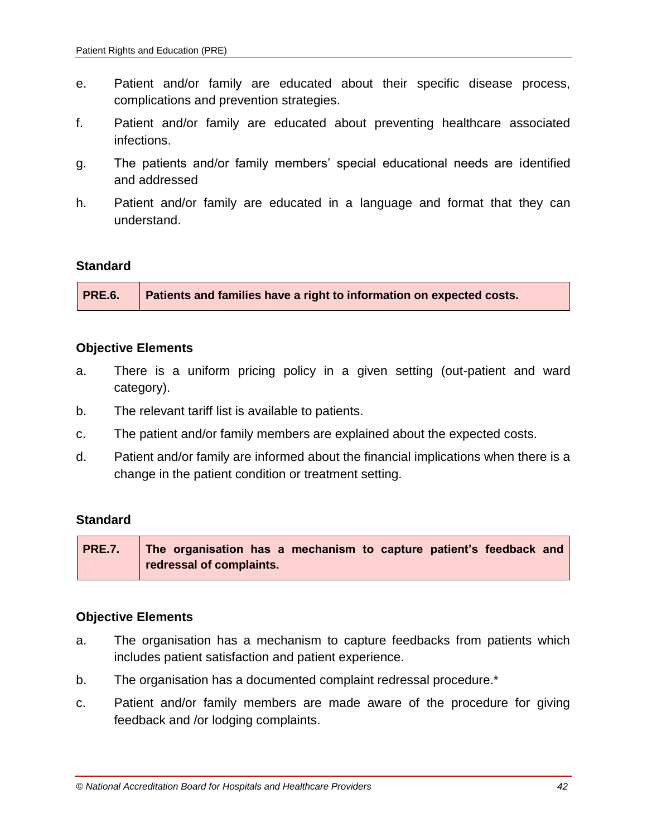- e. Patient and/or family are educated about their specific disease process, complications and prevention strategies.
- f. Patient and/or family are educated about preventing healthcare associated infections.
- g. The patients and/or family members' special educational needs are identified and addressed
- h. Patient and/or family are educated in a language and format that they can understand.

#### **Objective Elements**

- a. There is a uniform pricing policy in a given setting (out-patient and ward category).
- b. The relevant tariff list is available to patients.
- c. The patient and/or family members are explained about the expected costs.
- d. Patient and/or family are informed about the financial implications when there is a change in the patient condition or treatment setting.

#### **Standard**

**PRE.7. The organisation has a mechanism to capture patient's feedback and redressal of complaints.**

- a. The organisation has a mechanism to capture feedbacks from patients which includes patient satisfaction and patient experience.
- b. The organisation has a documented complaint redressal procedure.\*
- c. Patient and/or family members are made aware of the procedure for giving feedback and /or lodging complaints.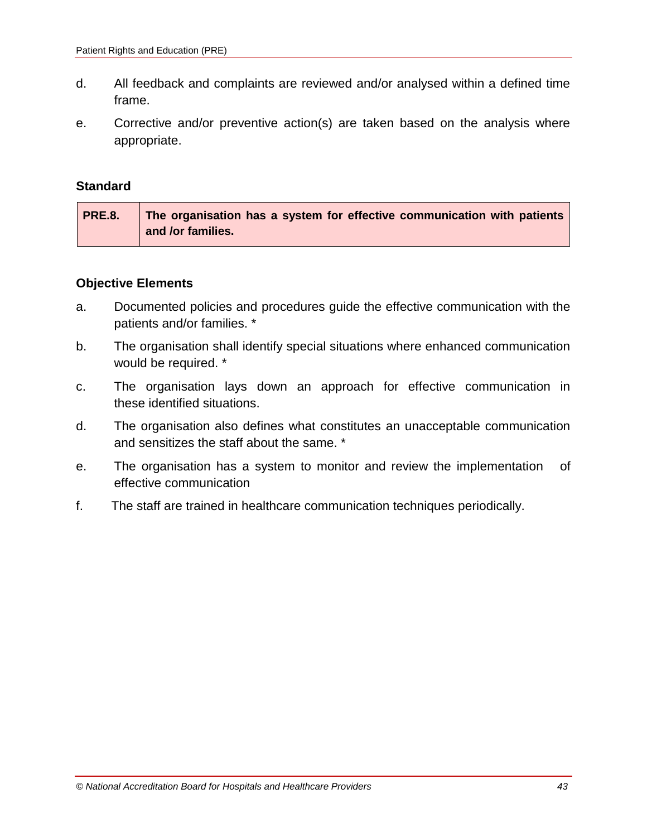- d. All feedback and complaints are reviewed and/or analysed within a defined time frame.
- e. Corrective and/or preventive action(s) are taken based on the analysis where appropriate.

| <b>PRE.8.</b> | The organisation has a system for effective communication with patients |
|---------------|-------------------------------------------------------------------------|
|               | and /or families.                                                       |

- a. Documented policies and procedures guide the effective communication with the patients and/or families. \*
- b. The organisation shall identify special situations where enhanced communication would be required. \*
- c. The organisation lays down an approach for effective communication in these identified situations.
- d. The organisation also defines what constitutes an unacceptable communication and sensitizes the staff about the same. \*
- e. The organisation has a system to monitor and review the implementation of effective communication
- f. The staff are trained in healthcare communication techniques periodically.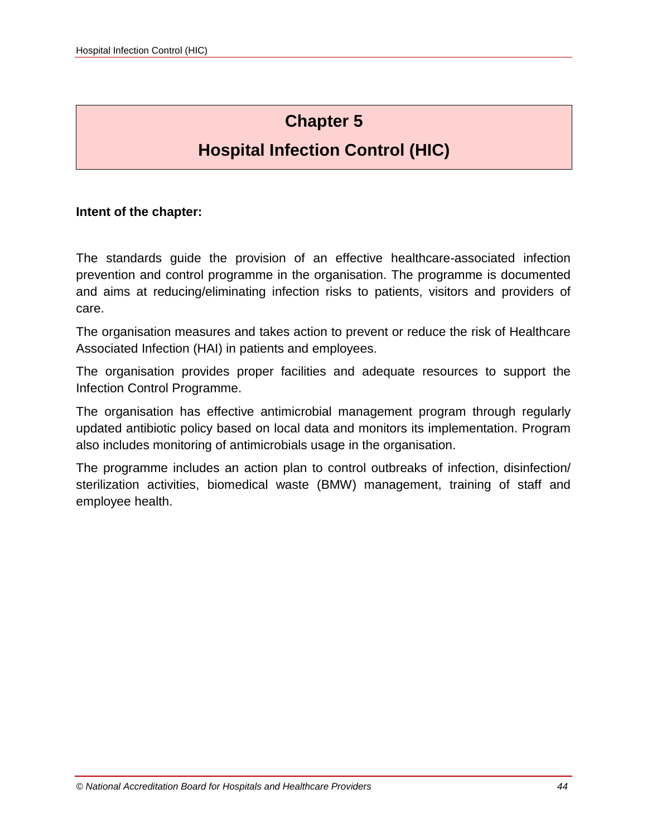# **Chapter 5**

# **Hospital Infection Control (HIC)**

#### **Intent of the chapter:**

The standards guide the provision of an effective healthcare-associated infection prevention and control programme in the organisation. The programme is documented and aims at reducing/eliminating infection risks to patients, visitors and providers of care.

The organisation measures and takes action to prevent or reduce the risk of Healthcare Associated Infection (HAI) in patients and employees.

The organisation provides proper facilities and adequate resources to support the Infection Control Programme.

The organisation has effective antimicrobial management program through regularly updated antibiotic policy based on local data and monitors its implementation. Program also includes monitoring of antimicrobials usage in the organisation.

The programme includes an action plan to control outbreaks of infection, disinfection/ sterilization activities, biomedical waste (BMW) management, training of staff and employee health.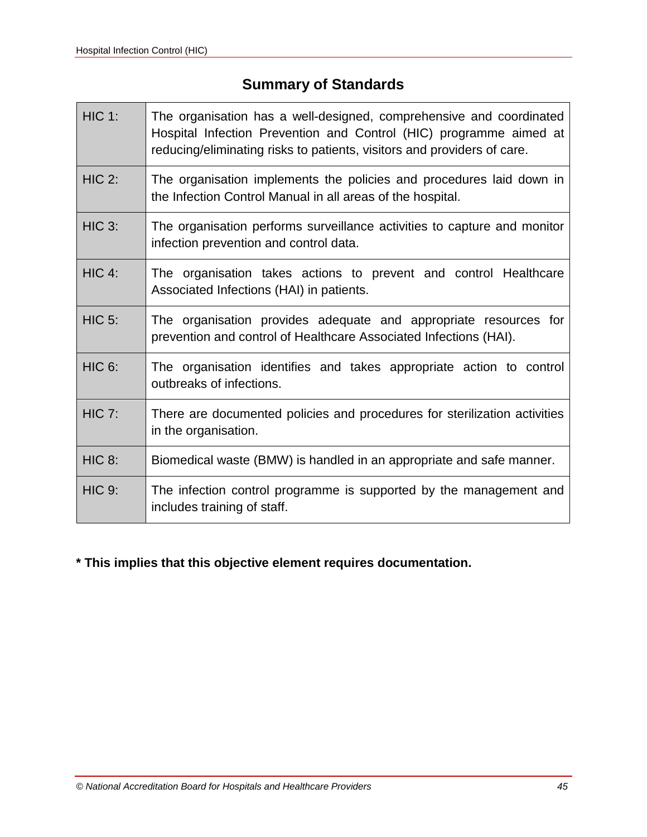# **Summary of Standards**

| $HIC$ 1:      | The organisation has a well-designed, comprehensive and coordinated<br>Hospital Infection Prevention and Control (HIC) programme aimed at<br>reducing/eliminating risks to patients, visitors and providers of care. |
|---------------|----------------------------------------------------------------------------------------------------------------------------------------------------------------------------------------------------------------------|
| <b>HIC 2:</b> | The organisation implements the policies and procedures laid down in<br>the Infection Control Manual in all areas of the hospital.                                                                                   |
| <b>HIC 3:</b> | The organisation performs surveillance activities to capture and monitor<br>infection prevention and control data.                                                                                                   |
| $HIC$ 4:      | The organisation takes actions to prevent and control Healthcare<br>Associated Infections (HAI) in patients.                                                                                                         |
| <b>HIC 5:</b> | The organisation provides adequate and appropriate resources for<br>prevention and control of Healthcare Associated Infections (HAI).                                                                                |
| <b>HIC 6:</b> | The organisation identifies and takes appropriate action to control<br>outbreaks of infections.                                                                                                                      |
| <b>HIC 7:</b> | There are documented policies and procedures for sterilization activities<br>in the organisation.                                                                                                                    |
| <b>HIC 8:</b> | Biomedical waste (BMW) is handled in an appropriate and safe manner.                                                                                                                                                 |
| <b>HIC 9:</b> | The infection control programme is supported by the management and<br>includes training of staff.                                                                                                                    |

# **\* This implies that this objective element requires documentation.**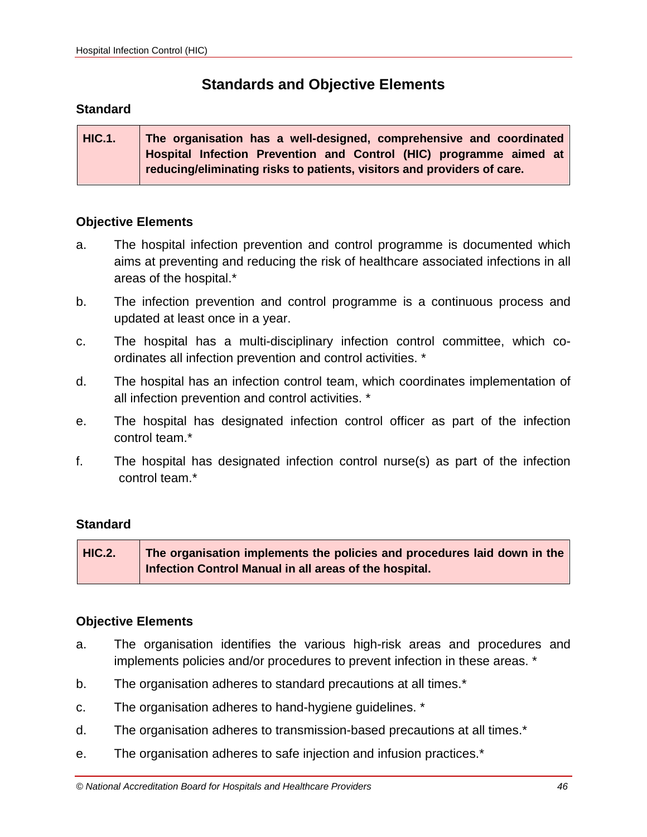# **Standards and Objective Elements**

#### **Standard**

**HIC.1. The organisation has a well-designed, comprehensive and coordinated Hospital Infection Prevention and Control (HIC) programme aimed at reducing/eliminating risks to patients, visitors and providers of care.**

#### **Objective Elements**

- a. The hospital infection prevention and control programme is documented which aims at preventing and reducing the risk of healthcare associated infections in all areas of the hospital.\*
- b. The infection prevention and control programme is a continuous process and updated at least once in a year.
- c. The hospital has a multi-disciplinary infection control committee, which coordinates all infection prevention and control activities. \*
- d. The hospital has an infection control team, which coordinates implementation of all infection prevention and control activities. \*
- e. The hospital has designated infection control officer as part of the infection control team.\*
- f. The hospital has designated infection control nurse(s) as part of the infection control team.\*

#### **Standard**

**HIC.2. The organisation implements the policies and procedures laid down in the Infection Control Manual in all areas of the hospital.**

- a. The organisation identifies the various high-risk areas and procedures and implements policies and/or procedures to prevent infection in these areas. \*
- b. The organisation adheres to standard precautions at all times.\*
- c. The organisation adheres to hand-hygiene guidelines. \*
- d. The organisation adheres to transmission-based precautions at all times.\*
- e. The organisation adheres to safe injection and infusion practices.\*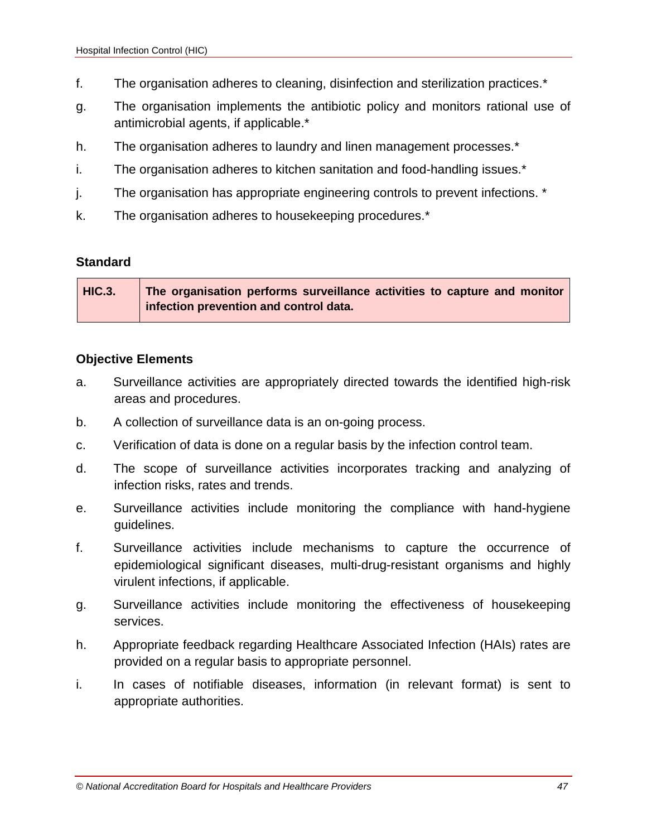- f. The organisation adheres to cleaning, disinfection and sterilization practices.\*
- g. The organisation implements the antibiotic policy and monitors rational use of antimicrobial agents, if applicable.\*
- h. The organisation adheres to laundry and linen management processes.\*
- i. The organisation adheres to kitchen sanitation and food-handling issues.\*
- j. The organisation has appropriate engineering controls to prevent infections. \*
- k. The organisation adheres to housekeeping procedures.\*

| <b>HIC.3.</b> | The organisation performs surveillance activities to capture and monitor |
|---------------|--------------------------------------------------------------------------|
|               | infection prevention and control data.                                   |

- a. Surveillance activities are appropriately directed towards the identified high-risk areas and procedures.
- b. A collection of surveillance data is an on-going process.
- c. Verification of data is done on a regular basis by the infection control team.
- d. The scope of surveillance activities incorporates tracking and analyzing of infection risks, rates and trends.
- e. Surveillance activities include monitoring the compliance with hand-hygiene guidelines.
- f. Surveillance activities include mechanisms to capture the occurrence of epidemiological significant diseases, multi-drug-resistant organisms and highly virulent infections, if applicable.
- g. Surveillance activities include monitoring the effectiveness of housekeeping services.
- h. Appropriate feedback regarding Healthcare Associated Infection (HAIs) rates are provided on a regular basis to appropriate personnel.
- i. In cases of notifiable diseases, information (in relevant format) is sent to appropriate authorities.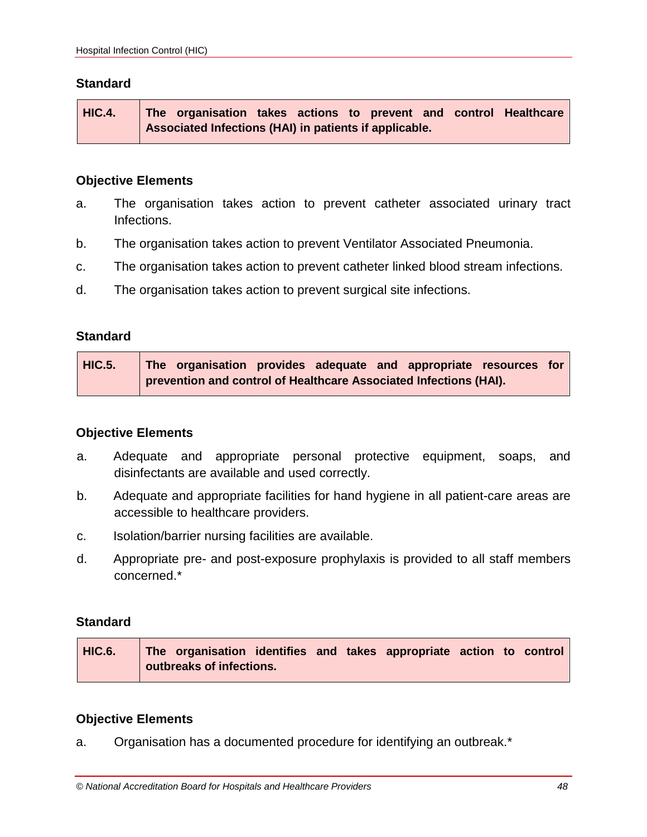**HIC.4. The organisation takes actions to prevent and control Healthcare Associated Infections (HAI) in patients if applicable.**

#### **Objective Elements**

- a. The organisation takes action to prevent catheter associated urinary tract Infections.
- b. The organisation takes action to prevent Ventilator Associated Pneumonia.
- c. The organisation takes action to prevent catheter linked blood stream infections.
- d. The organisation takes action to prevent surgical site infections.

#### **Standard**

| <b>HIC.5.</b> | The organisation provides adequate and appropriate resources for  |  |  |  |
|---------------|-------------------------------------------------------------------|--|--|--|
|               | prevention and control of Healthcare Associated Infections (HAI). |  |  |  |

#### **Objective Elements**

- a. Adequate and appropriate personal protective equipment, soaps, and disinfectants are available and used correctly.
- b. Adequate and appropriate facilities for hand hygiene in all patient-care areas are accessible to healthcare providers.
- c. Isolation/barrier nursing facilities are available.
- d. Appropriate pre- and post-exposure prophylaxis is provided to all staff members concerned.\*

#### **Standard**

| HIC.6. The organisation identifies and takes appropriate action to control |
|----------------------------------------------------------------------------|
| outbreaks of infections.                                                   |

#### **Objective Elements**

a. Organisation has a documented procedure for identifying an outbreak.\*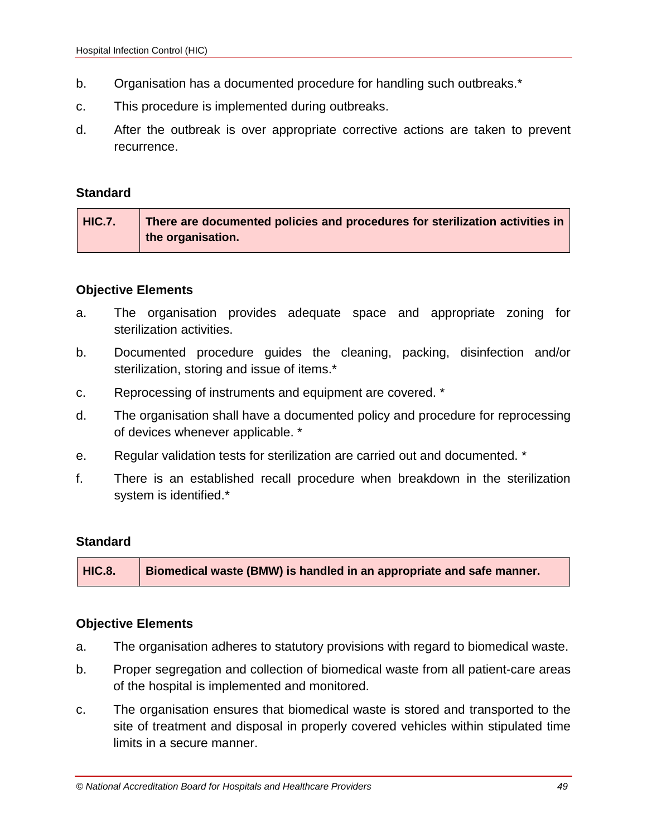- b. Organisation has a documented procedure for handling such outbreaks.\*
- c. This procedure is implemented during outbreaks.
- d. After the outbreak is over appropriate corrective actions are taken to prevent recurrence.

| <b>HIC.7.</b> | There are documented policies and procedures for sterilization activities in |
|---------------|------------------------------------------------------------------------------|
|               | the organisation.                                                            |

#### **Objective Elements**

- a. The organisation provides adequate space and appropriate zoning for sterilization activities.
- b. Documented procedure guides the cleaning, packing, disinfection and/or sterilization, storing and issue of items.\*
- c. Reprocessing of instruments and equipment are covered. \*
- d. The organisation shall have a documented policy and procedure for reprocessing of devices whenever applicable. \*
- e. Regular validation tests for sterilization are carried out and documented. \*
- f. There is an established recall procedure when breakdown in the sterilization system is identified.\*

#### **Standard**

**HIC.8. Biomedical waste (BMW) is handled in an appropriate and safe manner.**

- a. The organisation adheres to statutory provisions with regard to biomedical waste.
- b. Proper segregation and collection of biomedical waste from all patient-care areas of the hospital is implemented and monitored.
- c. The organisation ensures that biomedical waste is stored and transported to the site of treatment and disposal in properly covered vehicles within stipulated time limits in a secure manner.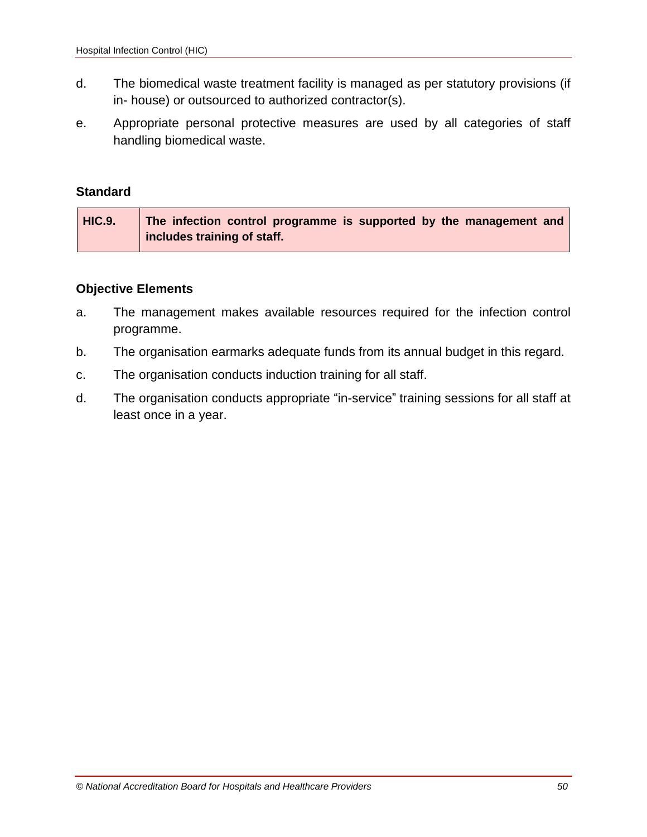- d. The biomedical waste treatment facility is managed as per statutory provisions (if in- house) or outsourced to authorized contractor(s).
- e. Appropriate personal protective measures are used by all categories of staff handling biomedical waste.

| HIC.9. | The infection control programme is supported by the management and |
|--------|--------------------------------------------------------------------|
|        | includes training of staff.                                        |

- a. The management makes available resources required for the infection control programme.
- b. The organisation earmarks adequate funds from its annual budget in this regard.
- c. The organisation conducts induction training for all staff.
- d. The organisation conducts appropriate "in-service" training sessions for all staff at least once in a year.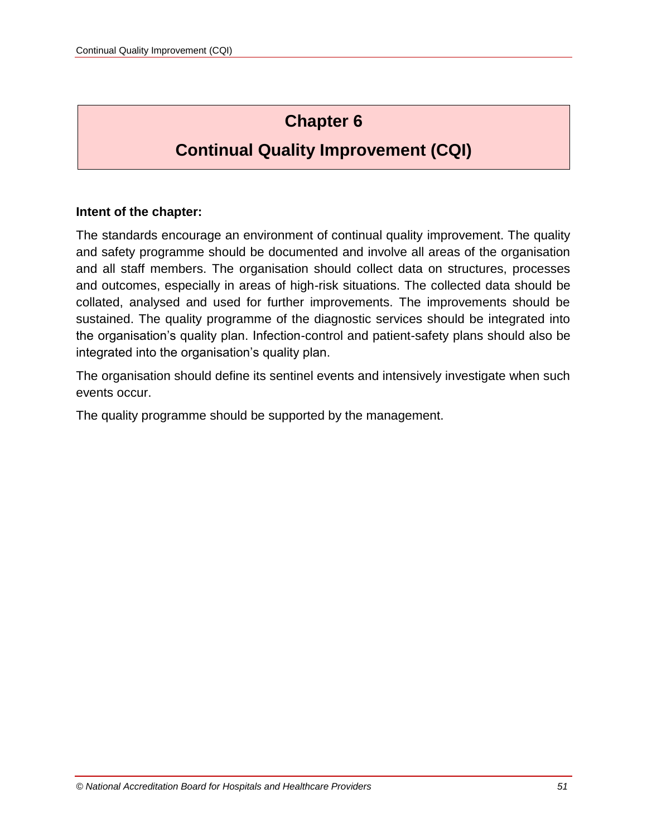# **Chapter 6**

# **Continual Quality Improvement (CQI)**

### **Intent of the chapter:**

The standards encourage an environment of continual quality improvement. The quality and safety programme should be documented and involve all areas of the organisation and all staff members. The organisation should collect data on structures, processes and outcomes, especially in areas of high-risk situations. The collected data should be collated, analysed and used for further improvements. The improvements should be sustained. The quality programme of the diagnostic services should be integrated into the organisation's quality plan. Infection-control and patient-safety plans should also be integrated into the organisation's quality plan.

The organisation should define its sentinel events and intensively investigate when such events occur.

The quality programme should be supported by the management.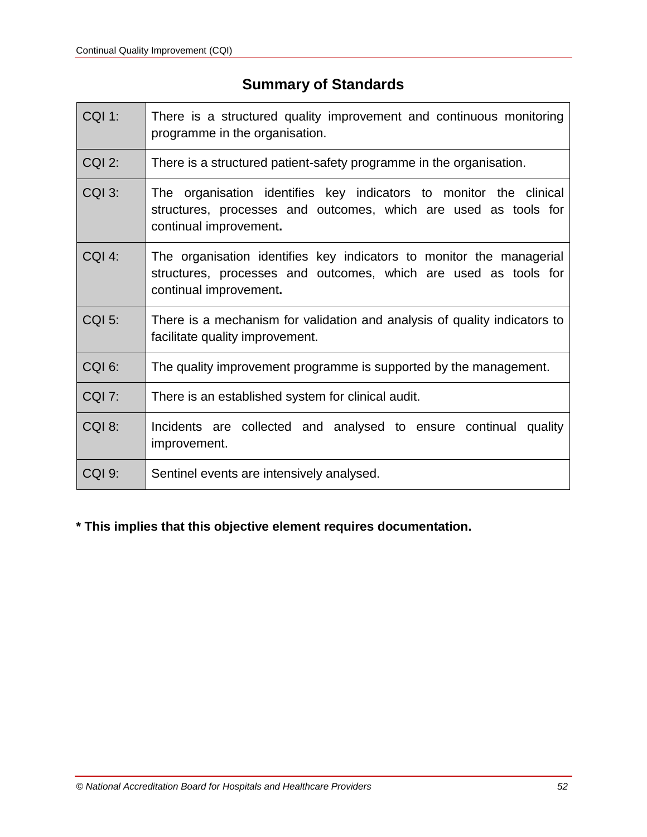# **Summary of Standards**

| <b>CQI 1:</b> | There is a structured quality improvement and continuous monitoring<br>programme in the organisation.                                                             |  |  |  |
|---------------|-------------------------------------------------------------------------------------------------------------------------------------------------------------------|--|--|--|
| <b>CQI 2:</b> | There is a structured patient-safety programme in the organisation.                                                                                               |  |  |  |
| CQI 3:        | The organisation identifies key indicators to monitor the clinical<br>structures, processes and outcomes, which are used as tools for<br>continual improvement.   |  |  |  |
| $COI$ 4:      | The organisation identifies key indicators to monitor the managerial<br>structures, processes and outcomes, which are used as tools for<br>continual improvement. |  |  |  |
| <b>CQI 5:</b> | There is a mechanism for validation and analysis of quality indicators to<br>facilitate quality improvement.                                                      |  |  |  |
| CQI 6:        | The quality improvement programme is supported by the management.                                                                                                 |  |  |  |
| <b>CQI 7:</b> | There is an established system for clinical audit.                                                                                                                |  |  |  |
| CQI 8:        | Incidents are collected and analysed to ensure continual quality<br>improvement.                                                                                  |  |  |  |
| <b>CQI 9:</b> | Sentinel events are intensively analysed.                                                                                                                         |  |  |  |

# **\* This implies that this objective element requires documentation.**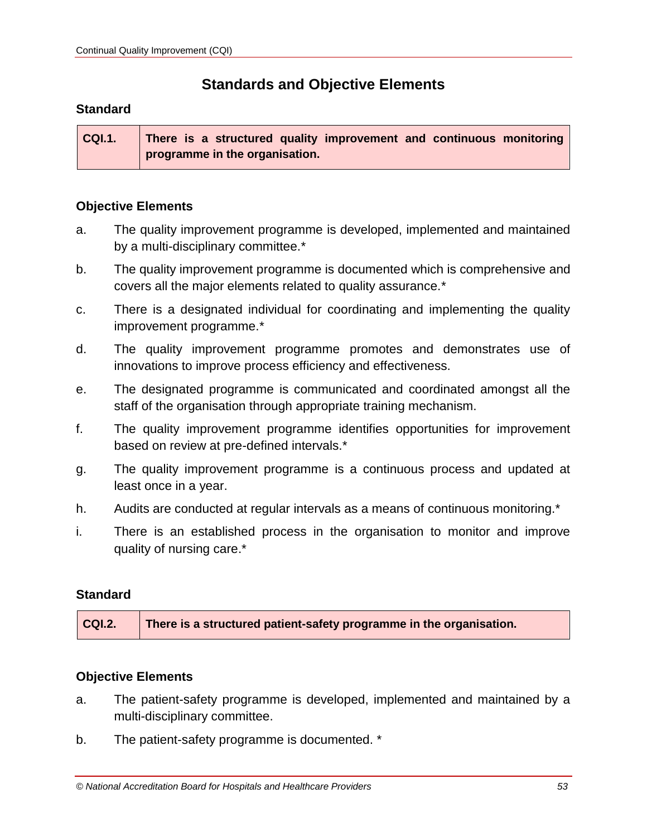# **Standards and Objective Elements**

#### **Standard**

**CQI.1. There is a structured quality improvement and continuous monitoring programme in the organisation.**

#### **Objective Elements**

- a. The quality improvement programme is developed, implemented and maintained by a multi-disciplinary committee.\*
- b. The quality improvement programme is documented which is comprehensive and covers all the major elements related to quality assurance.\*
- c. There is a designated individual for coordinating and implementing the quality improvement programme.\*
- d. The quality improvement programme promotes and demonstrates use of innovations to improve process efficiency and effectiveness.
- e. The designated programme is communicated and coordinated amongst all the staff of the organisation through appropriate training mechanism.
- f. The quality improvement programme identifies opportunities for improvement based on review at pre-defined intervals.\*
- g. The quality improvement programme is a continuous process and updated at least once in a year.
- h. Audits are conducted at regular intervals as a means of continuous monitoring.<sup>\*</sup>
- i. There is an established process in the organisation to monitor and improve quality of nursing care.\*

#### **Standard**

| CQI.2. | There is a structured patient-safety programme in the organisation. |
|--------|---------------------------------------------------------------------|
|--------|---------------------------------------------------------------------|

- a. The patient-safety programme is developed, implemented and maintained by a multi-disciplinary committee.
- b. The patient-safety programme is documented. \*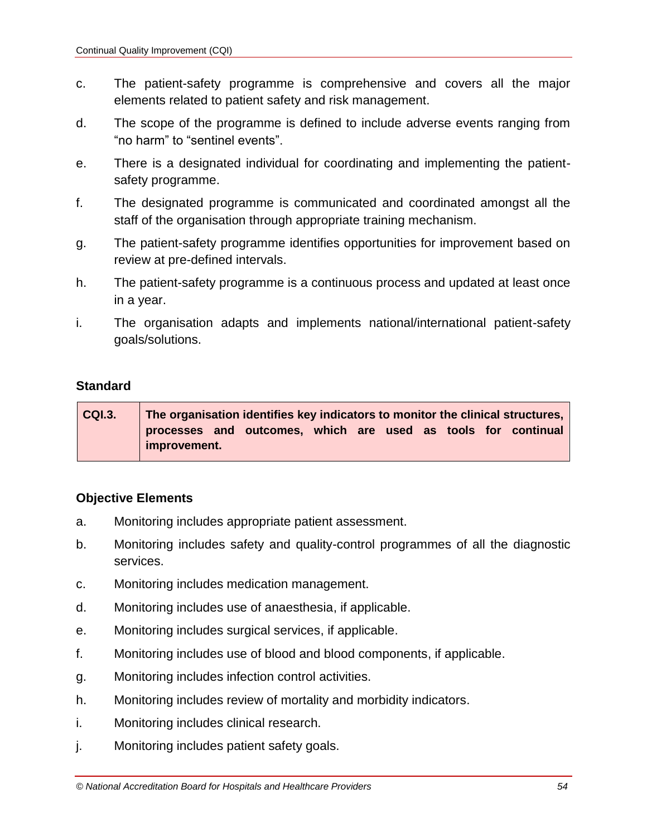- c. The patient-safety programme is comprehensive and covers all the major elements related to patient safety and risk management.
- d. The scope of the programme is defined to include adverse events ranging from "no harm" to "sentinel events".
- e. There is a designated individual for coordinating and implementing the patientsafety programme.
- f. The designated programme is communicated and coordinated amongst all the staff of the organisation through appropriate training mechanism.
- g. The patient-safety programme identifies opportunities for improvement based on review at pre-defined intervals.
- h. The patient-safety programme is a continuous process and updated at least once in a year.
- i. The organisation adapts and implements national/international patient-safety goals/solutions.

| CQI.3. | The organisation identifies key indicators to monitor the clinical structures, |  |                                                               |  |  |  |  |  |  |
|--------|--------------------------------------------------------------------------------|--|---------------------------------------------------------------|--|--|--|--|--|--|
|        |                                                                                |  | processes and outcomes, which are used as tools for continual |  |  |  |  |  |  |
|        | improvement.                                                                   |  |                                                               |  |  |  |  |  |  |

- a. Monitoring includes appropriate patient assessment.
- b. Monitoring includes safety and quality-control programmes of all the diagnostic services.
- c. Monitoring includes medication management.
- d. Monitoring includes use of anaesthesia, if applicable.
- e. Monitoring includes surgical services, if applicable.
- f. Monitoring includes use of blood and blood components, if applicable.
- g. Monitoring includes infection control activities.
- h. Monitoring includes review of mortality and morbidity indicators.
- i. Monitoring includes clinical research.
- j. Monitoring includes patient safety goals.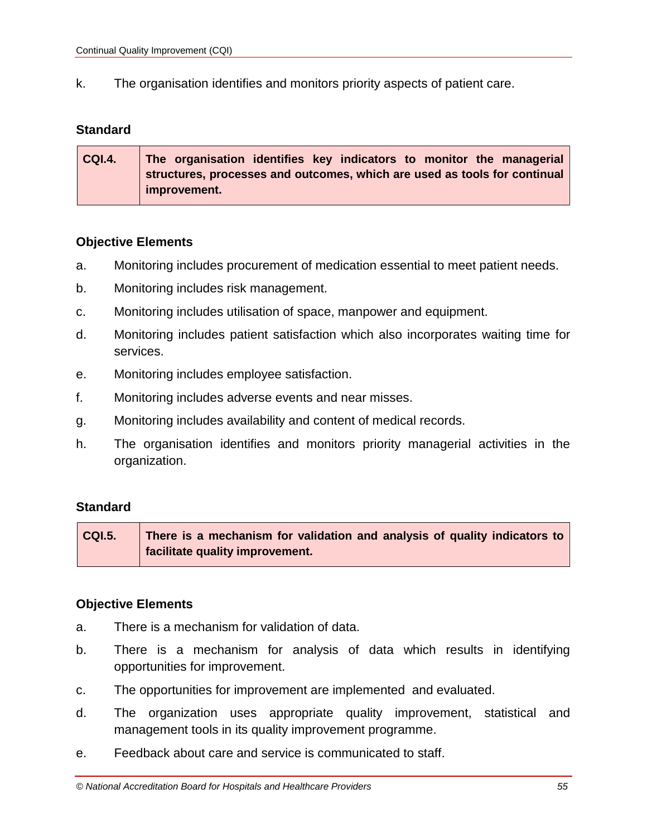k. The organisation identifies and monitors priority aspects of patient care.

#### **Standard**

| CQI.4. | The organisation identifies key indicators to monitor the managerial      |
|--------|---------------------------------------------------------------------------|
|        | structures, processes and outcomes, which are used as tools for continual |
|        | improvement.                                                              |

#### **Objective Elements**

- a. Monitoring includes procurement of medication essential to meet patient needs.
- b. Monitoring includes risk management.
- c. Monitoring includes utilisation of space, manpower and equipment.
- d. Monitoring includes patient satisfaction which also incorporates waiting time for services.
- e. Monitoring includes employee satisfaction.
- f. Monitoring includes adverse events and near misses.
- g. Monitoring includes availability and content of medical records.
- h. The organisation identifies and monitors priority managerial activities in the organization.

#### **Standard**

**CQI.5. There is a mechanism for validation and analysis of quality indicators to facilitate quality improvement.**

- a. There is a mechanism for validation of data.
- b. There is a mechanism for analysis of data which results in identifying opportunities for improvement.
- c. The opportunities for improvement are implemented and evaluated.
- d. The organization uses appropriate quality improvement, statistical and management tools in its quality improvement programme.
- e. Feedback about care and service is communicated to staff.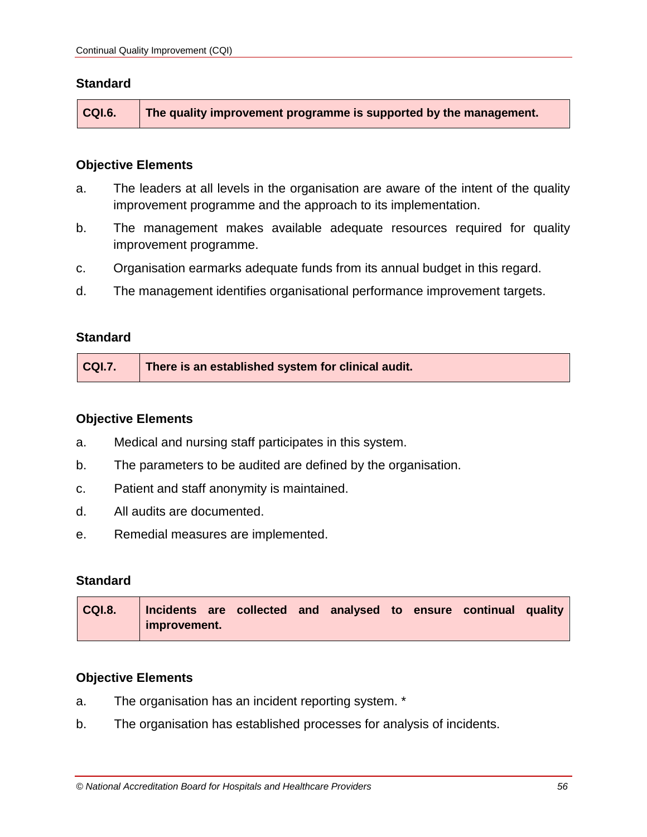| CQI.6. | The quality improvement programme is supported by the management. $\,$ |
|--------|------------------------------------------------------------------------|
|        |                                                                        |

#### **Objective Elements**

- a. The leaders at all levels in the organisation are aware of the intent of the quality improvement programme and the approach to its implementation.
- b. The management makes available adequate resources required for quality improvement programme.
- c. Organisation earmarks adequate funds from its annual budget in this regard.
- d. The management identifies organisational performance improvement targets.

### **Standard**

| CQI.7.<br>There is an established system for clinical audit. |
|--------------------------------------------------------------|
|--------------------------------------------------------------|

#### **Objective Elements**

- a. Medical and nursing staff participates in this system.
- b. The parameters to be audited are defined by the organisation.
- c. Patient and staff anonymity is maintained.
- d. All audits are documented.
- e. Remedial measures are implemented.

### **Standard**

| CQI.8. |              |  |  |  | Incidents are collected and analysed to ensure continual quality |  |
|--------|--------------|--|--|--|------------------------------------------------------------------|--|
|        | improvement. |  |  |  |                                                                  |  |

- a. The organisation has an incident reporting system. \*
- b. The organisation has established processes for analysis of incidents.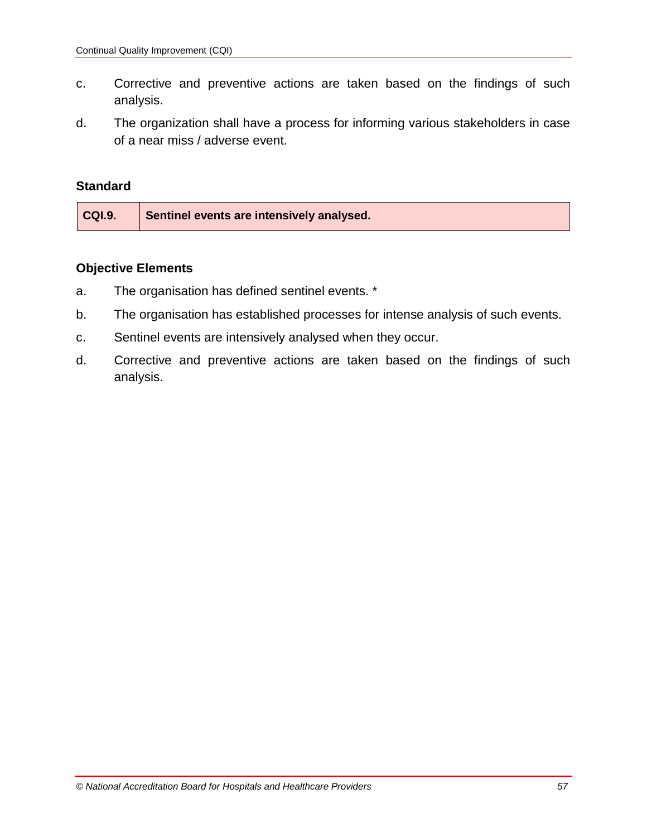- c. Corrective and preventive actions are taken based on the findings of such analysis.
- d. The organization shall have a process for informing various stakeholders in case of a near miss / adverse event.

| CQI.9.<br>Sentinel events are intensively analysed. |
|-----------------------------------------------------|
|-----------------------------------------------------|

- a. The organisation has defined sentinel events. \*
- b. The organisation has established processes for intense analysis of such events.
- c. Sentinel events are intensively analysed when they occur.
- d. Corrective and preventive actions are taken based on the findings of such analysis.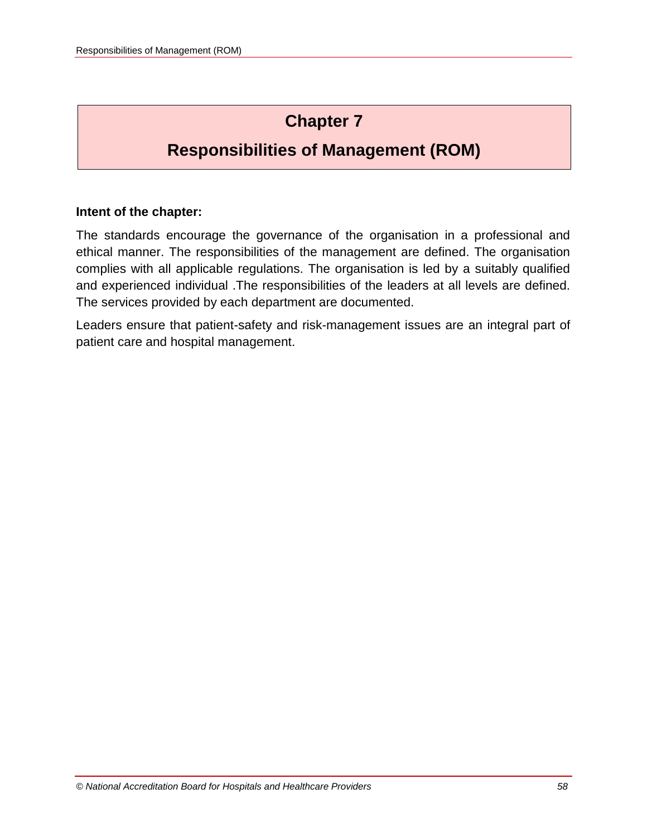# **Chapter 7**

# **Responsibilities of Management (ROM)**

## **Intent of the chapter:**

The standards encourage the governance of the organisation in a professional and ethical manner. The responsibilities of the management are defined. The organisation complies with all applicable regulations. The organisation is led by a suitably qualified and experienced individual .The responsibilities of the leaders at all levels are defined. The services provided by each department are documented.

Leaders ensure that patient-safety and risk-management issues are an integral part of patient care and hospital management.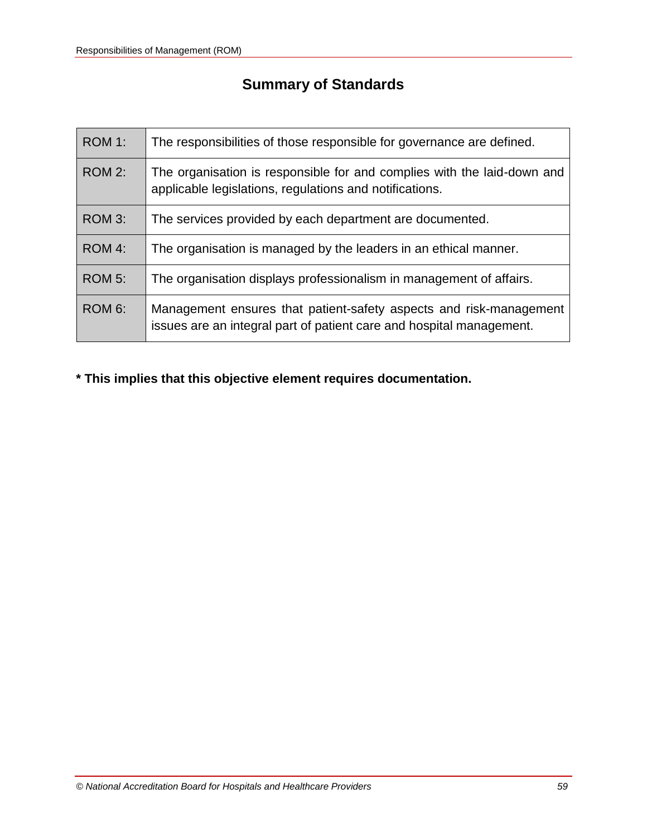# **Summary of Standards**

| ROM 1:        | The responsibilities of those responsible for governance are defined.                                                                      |
|---------------|--------------------------------------------------------------------------------------------------------------------------------------------|
| ROM 2:        | The organisation is responsible for and complies with the laid-down and<br>applicable legislations, regulations and notifications.         |
| ROM 3:        | The services provided by each department are documented.                                                                                   |
| ROM 4:        | The organisation is managed by the leaders in an ethical manner.                                                                           |
| <b>ROM 5:</b> | The organisation displays professionalism in management of affairs.                                                                        |
| ROM 6:        | Management ensures that patient-safety aspects and risk-management<br>issues are an integral part of patient care and hospital management. |

**\* This implies that this objective element requires documentation.**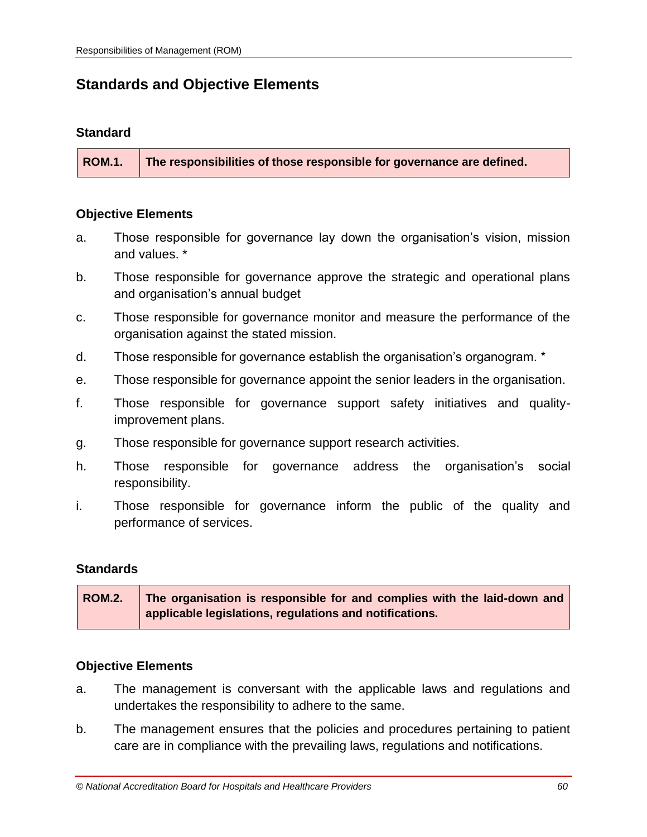# **Standards and Objective Elements**

#### **Standard**

**ROM.1. The responsibilities of those responsible for governance are defined.**

#### **Objective Elements**

- a. Those responsible for governance lay down the organisation's vision, mission and values. \*
- b. Those responsible for governance approve the strategic and operational plans and organisation's annual budget
- c. Those responsible for governance monitor and measure the performance of the organisation against the stated mission.
- d. Those responsible for governance establish the organisation's organogram. \*
- e. Those responsible for governance appoint the senior leaders in the organisation.
- f. Those responsible for governance support safety initiatives and qualityimprovement plans.
- g. Those responsible for governance support research activities.
- h. Those responsible for governance address the organisation's social responsibility.
- i. Those responsible for governance inform the public of the quality and performance of services.

#### **Standards**

| <b>ROM.2.</b> | The organisation is responsible for and complies with the laid-down and |
|---------------|-------------------------------------------------------------------------|
|               | applicable legislations, regulations and notifications.                 |

- a. The management is conversant with the applicable laws and regulations and undertakes the responsibility to adhere to the same.
- b. The management ensures that the policies and procedures pertaining to patient care are in compliance with the prevailing laws, regulations and notifications.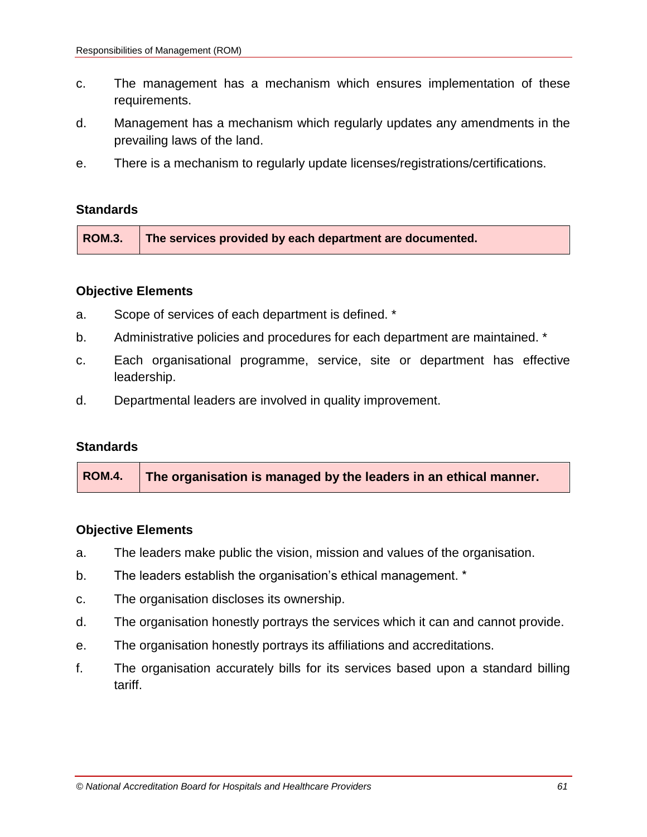- c. The management has a mechanism which ensures implementation of these requirements.
- d. Management has a mechanism which regularly updates any amendments in the prevailing laws of the land.
- e. There is a mechanism to regularly update licenses/registrations/certifications.

#### **Objective Elements**

- a. Scope of services of each department is defined. \*
- b. Administrative policies and procedures for each department are maintained. \*
- c. Each organisational programme, service, site or department has effective leadership.
- d. Departmental leaders are involved in quality improvement.

#### **Standards**

|  | ROM.4. The organisation is managed by the leaders in an ethical manner. |
|--|-------------------------------------------------------------------------|
|--|-------------------------------------------------------------------------|

- a. The leaders make public the vision, mission and values of the organisation.
- b. The leaders establish the organisation's ethical management. \*
- c. The organisation discloses its ownership.
- d. The organisation honestly portrays the services which it can and cannot provide.
- e. The organisation honestly portrays its affiliations and accreditations.
- f. The organisation accurately bills for its services based upon a standard billing tariff.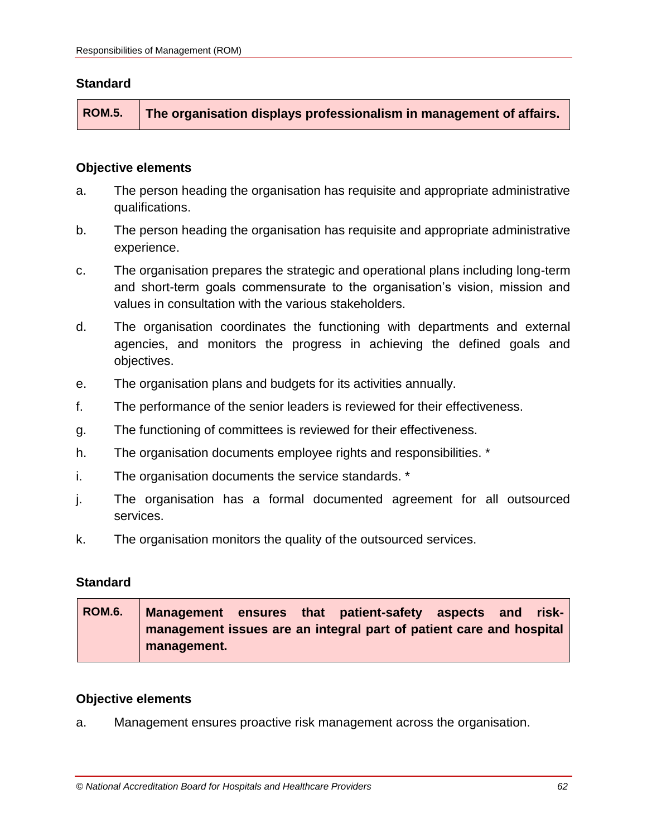#### **Objective elements**

- a. The person heading the organisation has requisite and appropriate administrative qualifications.
- b. The person heading the organisation has requisite and appropriate administrative experience.
- c. The organisation prepares the strategic and operational plans including long-term and short-term goals commensurate to the organisation's vision, mission and values in consultation with the various stakeholders.
- d. The organisation coordinates the functioning with departments and external agencies, and monitors the progress in achieving the defined goals and objectives.
- e. The organisation plans and budgets for its activities annually.
- f. The performance of the senior leaders is reviewed for their effectiveness.
- g. The functioning of committees is reviewed for their effectiveness.
- h. The organisation documents employee rights and responsibilities. \*
- i. The organisation documents the service standards. \*
- j. The organisation has a formal documented agreement for all outsourced services.
- k. The organisation monitors the quality of the outsourced services.

#### **Standard**

**ROM.6. Management ensures that patient-safety aspects and riskmanagement issues are an integral part of patient care and hospital management.**

#### **Objective elements**

a. Management ensures proactive risk management across the organisation.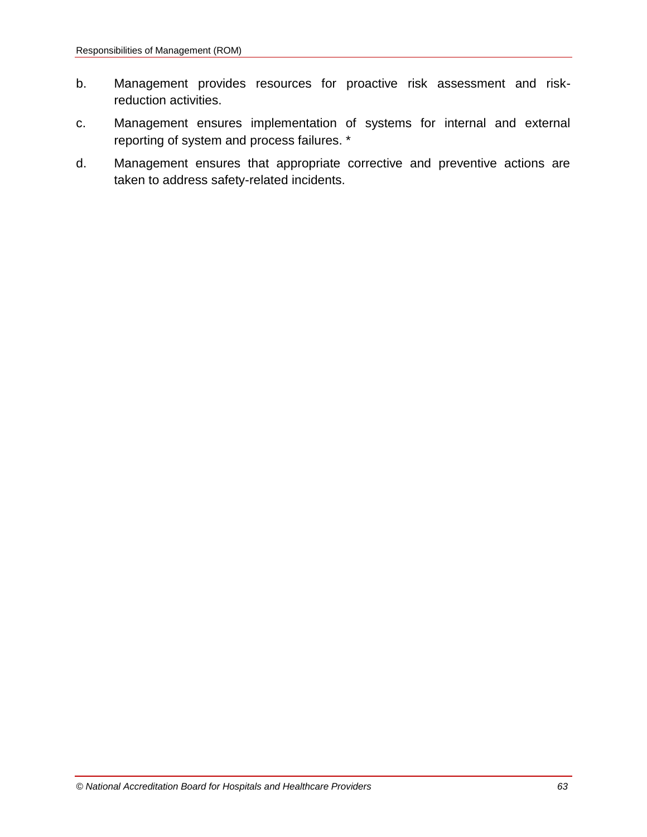- b. Management provides resources for proactive risk assessment and riskreduction activities.
- c. Management ensures implementation of systems for internal and external reporting of system and process failures. \*
- d. Management ensures that appropriate corrective and preventive actions are taken to address safety-related incidents.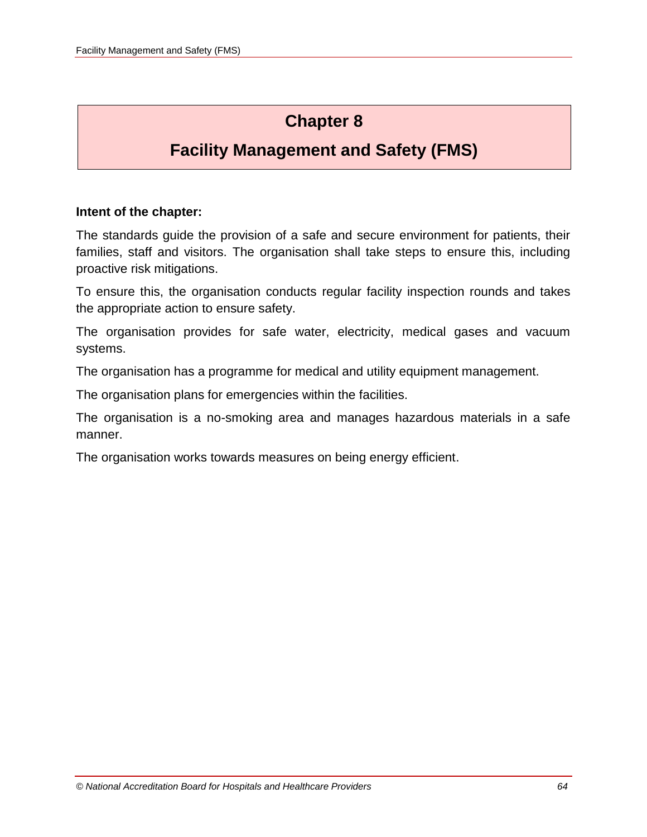# **Chapter 8**

# **Facility Management and Safety (FMS)**

## **Intent of the chapter:**

The standards guide the provision of a safe and secure environment for patients, their families, staff and visitors. The organisation shall take steps to ensure this, including proactive risk mitigations.

To ensure this, the organisation conducts regular facility inspection rounds and takes the appropriate action to ensure safety.

The organisation provides for safe water, electricity, medical gases and vacuum systems.

The organisation has a programme for medical and utility equipment management.

The organisation plans for emergencies within the facilities.

The organisation is a no-smoking area and manages hazardous materials in a safe manner.

The organisation works towards measures on being energy efficient.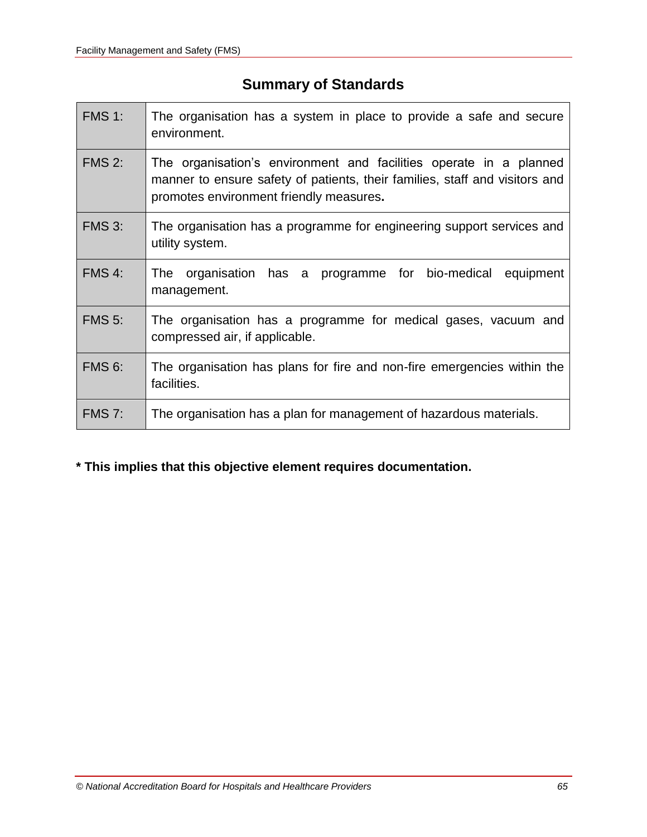# **Summary of Standards**

| <b>FMS 1:</b> | The organisation has a system in place to provide a safe and secure<br>environment.                                                                                                          |  |  |  |
|---------------|----------------------------------------------------------------------------------------------------------------------------------------------------------------------------------------------|--|--|--|
| <b>FMS 2:</b> | The organisation's environment and facilities operate in a planned<br>manner to ensure safety of patients, their families, staff and visitors and<br>promotes environment friendly measures. |  |  |  |
| <b>FMS 3:</b> | The organisation has a programme for engineering support services and<br>utility system.                                                                                                     |  |  |  |
| FMS 4:        | organisation has a programme for bio-medical<br><b>The</b><br>equipment<br>management.                                                                                                       |  |  |  |
| <b>FMS 5:</b> | The organisation has a programme for medical gases, vacuum and<br>compressed air, if applicable.                                                                                             |  |  |  |
| <b>FMS 6:</b> | The organisation has plans for fire and non-fire emergencies within the<br>facilities.                                                                                                       |  |  |  |
| <b>FMS 7:</b> | The organisation has a plan for management of hazardous materials.                                                                                                                           |  |  |  |

# **\* This implies that this objective element requires documentation.**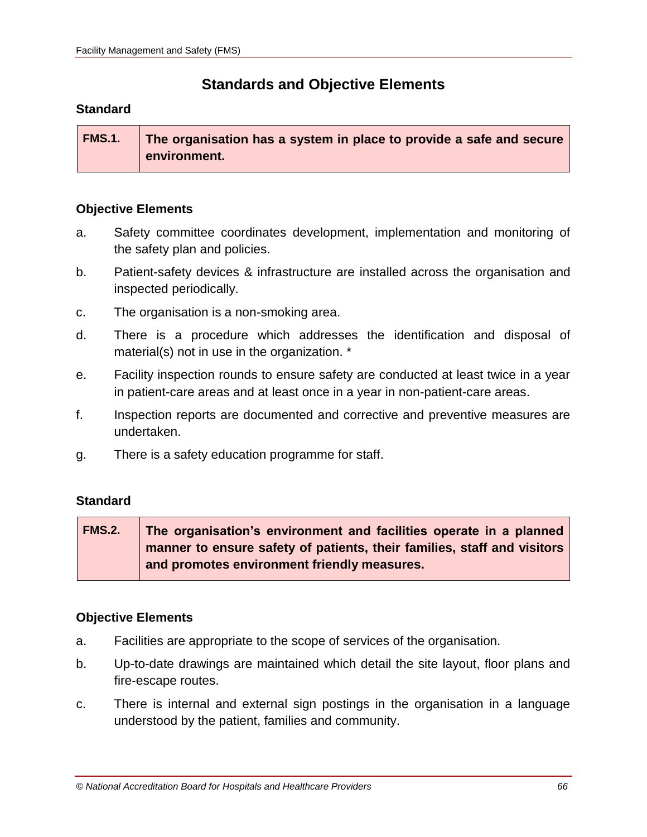# **Standards and Objective Elements**

### **Standard**

| <b>FMS.1.</b> | The organisation has a system in place to provide a safe and secure |
|---------------|---------------------------------------------------------------------|
|               | environment.                                                        |

### **Objective Elements**

- a. Safety committee coordinates development, implementation and monitoring of the safety plan and policies.
- b. Patient-safety devices & infrastructure are installed across the organisation and inspected periodically.
- c. The organisation is a non-smoking area.
- d. There is a procedure which addresses the identification and disposal of material(s) not in use in the organization. \*
- e. Facility inspection rounds to ensure safety are conducted at least twice in a year in patient-care areas and at least once in a year in non-patient-care areas.
- f. Inspection reports are documented and corrective and preventive measures are undertaken.
- g. There is a safety education programme for staff.

## **Standard**

**FMS.2. The organisation's environment and facilities operate in a planned manner to ensure safety of patients, their families, staff and visitors and promotes environment friendly measures.**

- a. Facilities are appropriate to the scope of services of the organisation.
- b. Up-to-date drawings are maintained which detail the site layout, floor plans and fire-escape routes.
- c. There is internal and external sign postings in the organisation in a language understood by the patient, families and community.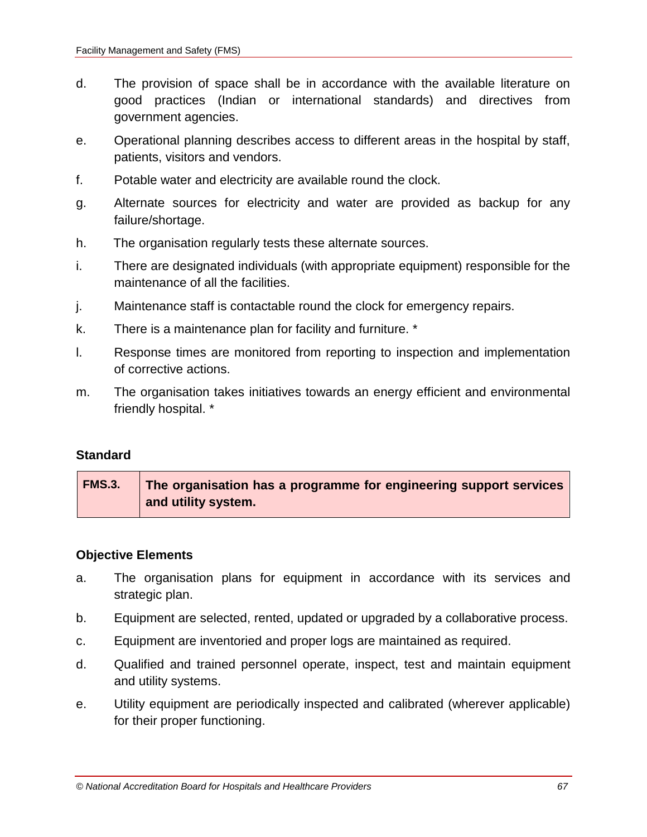- d. The provision of space shall be in accordance with the available literature on good practices (Indian or international standards) and directives from government agencies.
- e. Operational planning describes access to different areas in the hospital by staff, patients, visitors and vendors.
- f. Potable water and electricity are available round the clock.
- g. Alternate sources for electricity and water are provided as backup for any failure/shortage.
- h. The organisation regularly tests these alternate sources.
- i. There are designated individuals (with appropriate equipment) responsible for the maintenance of all the facilities.
- j. Maintenance staff is contactable round the clock for emergency repairs.
- k. There is a maintenance plan for facility and furniture. \*
- l. Response times are monitored from reporting to inspection and implementation of corrective actions.
- m. The organisation takes initiatives towards an energy efficient and environmental friendly hospital. \*

| <b>FMS.3.</b> | The organisation has a programme for engineering support services |
|---------------|-------------------------------------------------------------------|
|               | and utility system.                                               |

- a. The organisation plans for equipment in accordance with its services and strategic plan.
- b. Equipment are selected, rented, updated or upgraded by a collaborative process.
- c. Equipment are inventoried and proper logs are maintained as required.
- d. Qualified and trained personnel operate, inspect, test and maintain equipment and utility systems.
- e. Utility equipment are periodically inspected and calibrated (wherever applicable) for their proper functioning.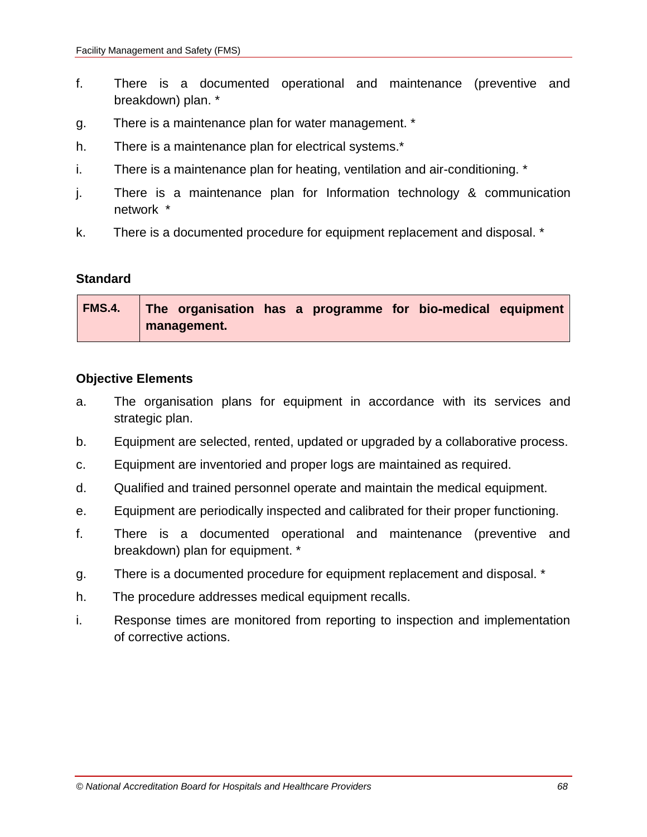- f. There is a documented operational and maintenance (preventive and breakdown) plan. \*
- g. There is a maintenance plan for water management. \*
- h. There is a maintenance plan for electrical systems.\*
- i. There is a maintenance plan for heating, ventilation and air-conditioning. \*
- j. There is a maintenance plan for Information technology & communication network \*
- k. There is a documented procedure for equipment replacement and disposal. \*

| FMS.4. The organisation has a programme for bio-medical equipment |
|-------------------------------------------------------------------|
| I management.                                                     |

- a. The organisation plans for equipment in accordance with its services and strategic plan.
- b. Equipment are selected, rented, updated or upgraded by a collaborative process.
- c. Equipment are inventoried and proper logs are maintained as required.
- d. Qualified and trained personnel operate and maintain the medical equipment.
- e. Equipment are periodically inspected and calibrated for their proper functioning.
- f. There is a documented operational and maintenance (preventive and breakdown) plan for equipment. \*
- g. There is a documented procedure for equipment replacement and disposal. \*
- h. The procedure addresses medical equipment recalls.
- i. Response times are monitored from reporting to inspection and implementation of corrective actions.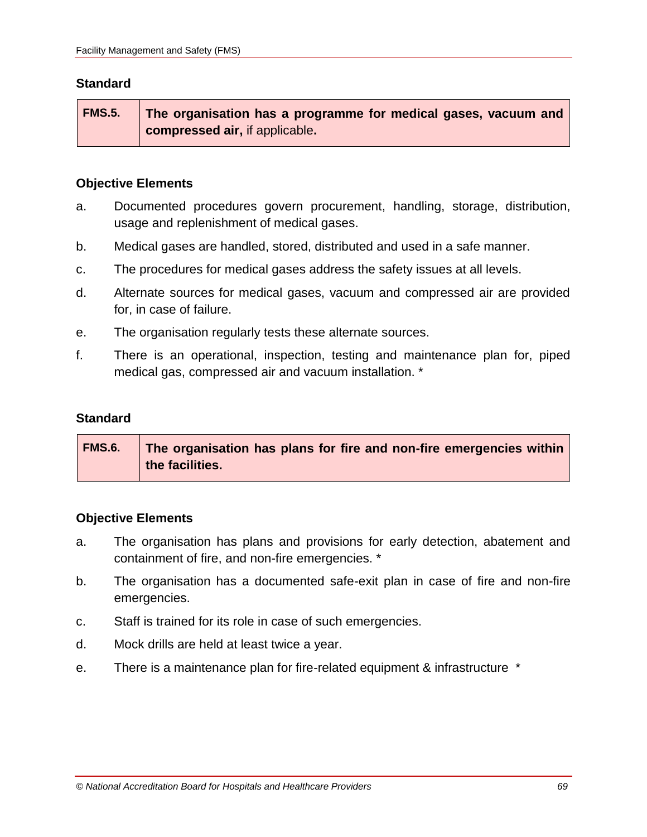**FMS.5. The organisation has a programme for medical gases, vacuum and compressed air,** if applicable**.**

### **Objective Elements**

- a. Documented procedures govern procurement, handling, storage, distribution, usage and replenishment of medical gases.
- b. Medical gases are handled, stored, distributed and used in a safe manner.
- c. The procedures for medical gases address the safety issues at all levels.
- d. Alternate sources for medical gases, vacuum and compressed air are provided for, in case of failure.
- e. The organisation regularly tests these alternate sources.
- f. There is an operational, inspection, testing and maintenance plan for, piped medical gas, compressed air and vacuum installation. \*

#### **Standard**

| <b>FMS.6.</b> | The organisation has plans for fire and non-fire emergencies within |
|---------------|---------------------------------------------------------------------|
|               | the facilities.                                                     |

- a. The organisation has plans and provisions for early detection, abatement and containment of fire, and non-fire emergencies. \*
- b. The organisation has a documented safe-exit plan in case of fire and non-fire emergencies.
- c. Staff is trained for its role in case of such emergencies.
- d. Mock drills are held at least twice a year.
- e. There is a maintenance plan for fire-related equipment & infrastructure \*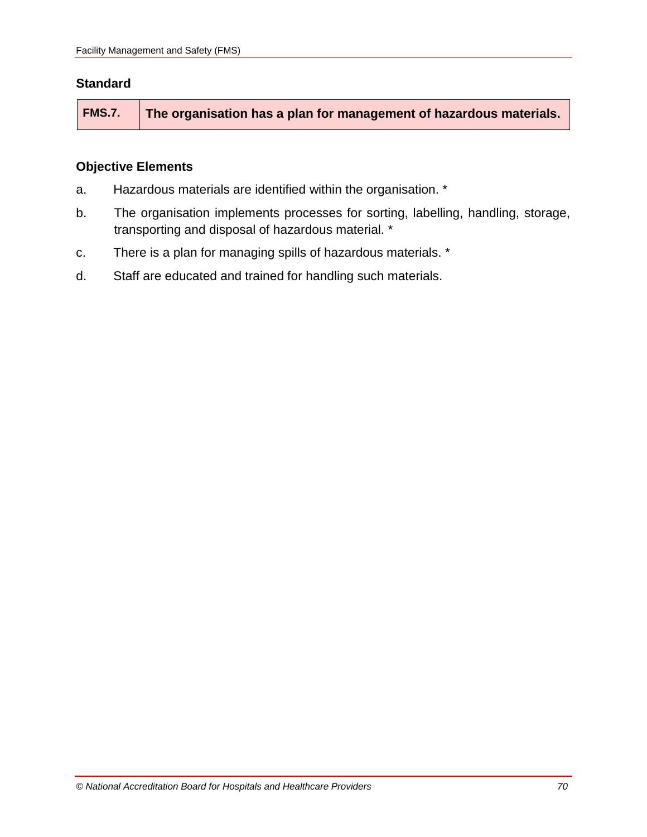|  | FMS.7.   The organisation has a plan for management of hazardous materials. |
|--|-----------------------------------------------------------------------------|
|--|-----------------------------------------------------------------------------|

- a. Hazardous materials are identified within the organisation. \*
- b. The organisation implements processes for sorting, labelling, handling, storage, transporting and disposal of hazardous material. \*
- c. There is a plan for managing spills of hazardous materials. \*
- d. Staff are educated and trained for handling such materials.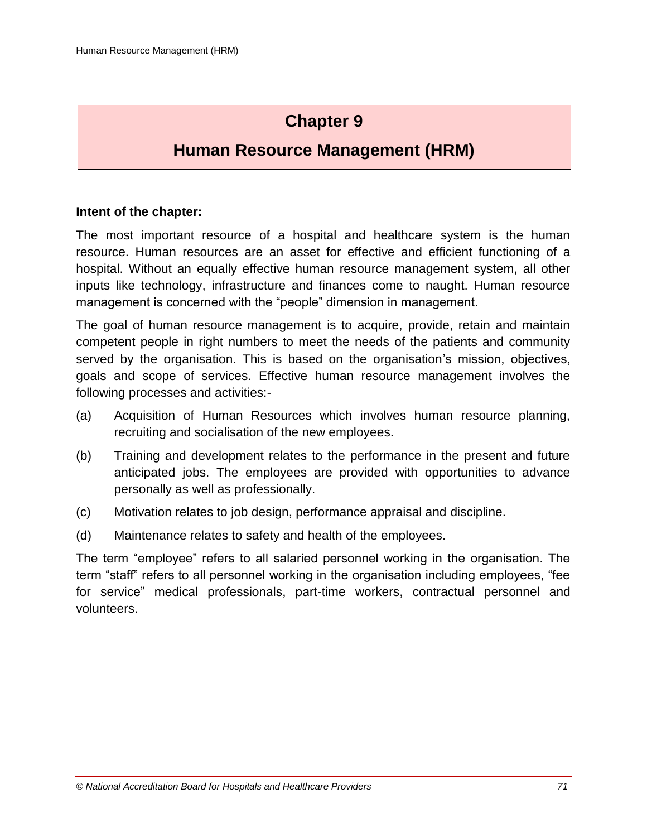# **Chapter 9**

# **Human Resource Management (HRM)**

#### **Intent of the chapter:**

The most important resource of a hospital and healthcare system is the human resource. Human resources are an asset for effective and efficient functioning of a hospital. Without an equally effective human resource management system, all other inputs like technology, infrastructure and finances come to naught. Human resource management is concerned with the "people" dimension in management.

The goal of human resource management is to acquire, provide, retain and maintain competent people in right numbers to meet the needs of the patients and community served by the organisation. This is based on the organisation's mission, objectives, goals and scope of services. Effective human resource management involves the following processes and activities:-

- (a) Acquisition of Human Resources which involves human resource planning, recruiting and socialisation of the new employees.
- (b) Training and development relates to the performance in the present and future anticipated jobs. The employees are provided with opportunities to advance personally as well as professionally.
- (c) Motivation relates to job design, performance appraisal and discipline.
- (d) Maintenance relates to safety and health of the employees.

The term "employee" refers to all salaried personnel working in the organisation. The term "staff" refers to all personnel working in the organisation including employees, "fee for service" medical professionals, part-time workers, contractual personnel and volunteers.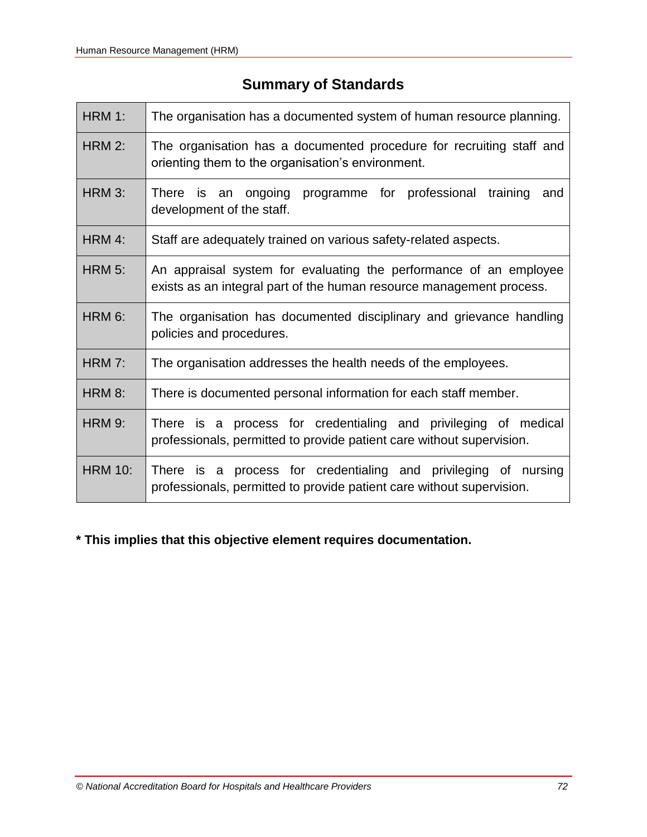# **Summary of Standards**

| <b>HRM 1:</b>  | The organisation has a documented system of human resource planning.                                                                      |  |  |  |  |  |  |  |  |
|----------------|-------------------------------------------------------------------------------------------------------------------------------------------|--|--|--|--|--|--|--|--|
| <b>HRM 2:</b>  | The organisation has a documented procedure for recruiting staff and<br>orienting them to the organisation's environment.                 |  |  |  |  |  |  |  |  |
| HRM 3:         | programme for professional<br>There is an ongoing<br>training<br>and<br>development of the staff.                                         |  |  |  |  |  |  |  |  |
| HRM 4:         | Staff are adequately trained on various safety-related aspects.                                                                           |  |  |  |  |  |  |  |  |
| <b>HRM 5:</b>  | An appraisal system for evaluating the performance of an employee<br>exists as an integral part of the human resource management process. |  |  |  |  |  |  |  |  |
| HRM 6:         | The organisation has documented disciplinary and grievance handling<br>policies and procedures.                                           |  |  |  |  |  |  |  |  |
| <b>HRM 7:</b>  | The organisation addresses the health needs of the employees.                                                                             |  |  |  |  |  |  |  |  |
| HRM 8:         | There is documented personal information for each staff member.                                                                           |  |  |  |  |  |  |  |  |
| <b>HRM 9:</b>  | There is a process for credentialing and privileging of medical<br>professionals, permitted to provide patient care without supervision.  |  |  |  |  |  |  |  |  |
| <b>HRM 10:</b> | There is a process for credentialing and privileging of nursing<br>professionals, permitted to provide patient care without supervision.  |  |  |  |  |  |  |  |  |

# **\* This implies that this objective element requires documentation.**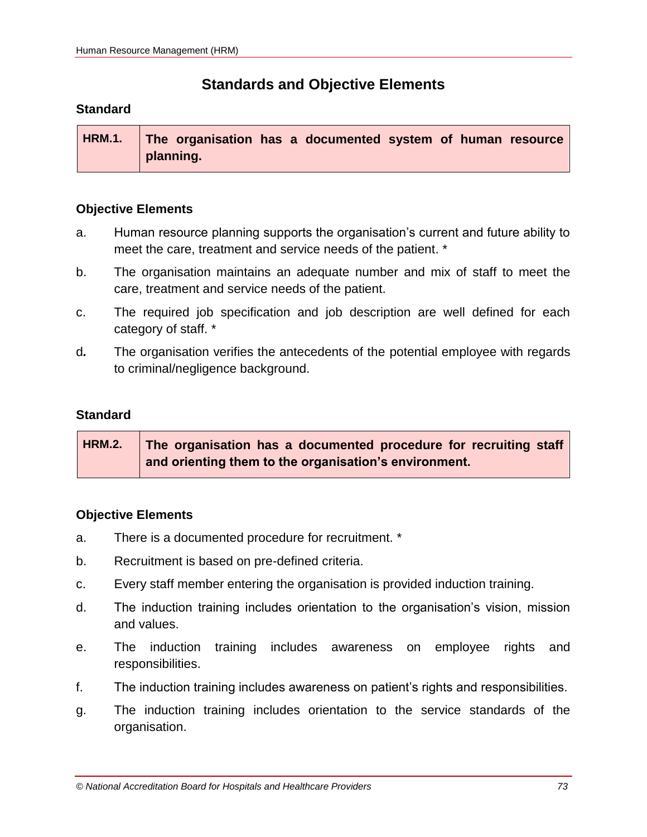# **Standards and Objective Elements**

# **Standard**

| <b>HRM.1.</b> The organisation has a documented system of human resource |
|--------------------------------------------------------------------------|
| planning.                                                                |

# **Objective Elements**

- a. Human resource planning supports the organisation's current and future ability to meet the care, treatment and service needs of the patient. \*
- b. The organisation maintains an adequate number and mix of staff to meet the care, treatment and service needs of the patient.
- c. The required job specification and job description are well defined for each category of staff. \*
- d*.* The organisation verifies the antecedents of the potential employee with regards to criminal/negligence background.

# **Standard**

| <b>HRM.2.</b> | The organisation has a documented procedure for recruiting staff |
|---------------|------------------------------------------------------------------|
|               | and orienting them to the organisation's environment.            |

- a. There is a documented procedure for recruitment. \*
- b. Recruitment is based on pre-defined criteria.
- c. Every staff member entering the organisation is provided induction training.
- d. The induction training includes orientation to the organisation's vision, mission and values.
- e. The induction training includes awareness on employee rights and responsibilities.
- f. The induction training includes awareness on patient's rights and responsibilities.
- g. The induction training includes orientation to the service standards of the organisation.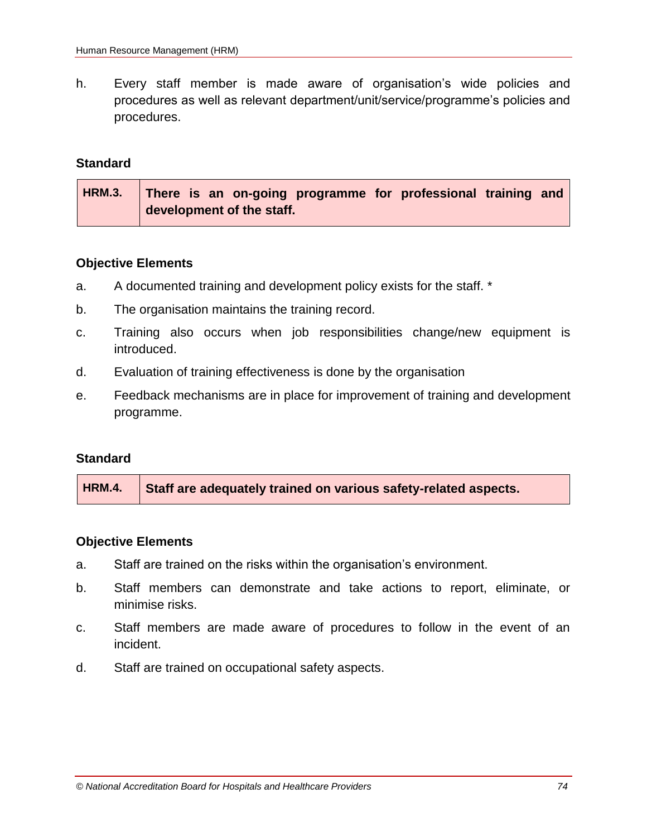h. Every staff member is made aware of organisation's wide policies and procedures as well as relevant department/unit/service/programme's policies and procedures.

### **Standard**

| HRM.3.   There is an on-going programme for professional training and |  |  |  |  |  |
|-----------------------------------------------------------------------|--|--|--|--|--|
| development of the staff.                                             |  |  |  |  |  |

#### **Objective Elements**

- a. A documented training and development policy exists for the staff. \*
- b. The organisation maintains the training record.
- c. Training also occurs when job responsibilities change/new equipment is introduced.
- d. Evaluation of training effectiveness is done by the organisation
- e. Feedback mechanisms are in place for improvement of training and development programme.

### **Standard**

- a. Staff are trained on the risks within the organisation's environment.
- b. Staff members can demonstrate and take actions to report, eliminate, or minimise risks.
- c. Staff members are made aware of procedures to follow in the event of an incident.
- d. Staff are trained on occupational safety aspects.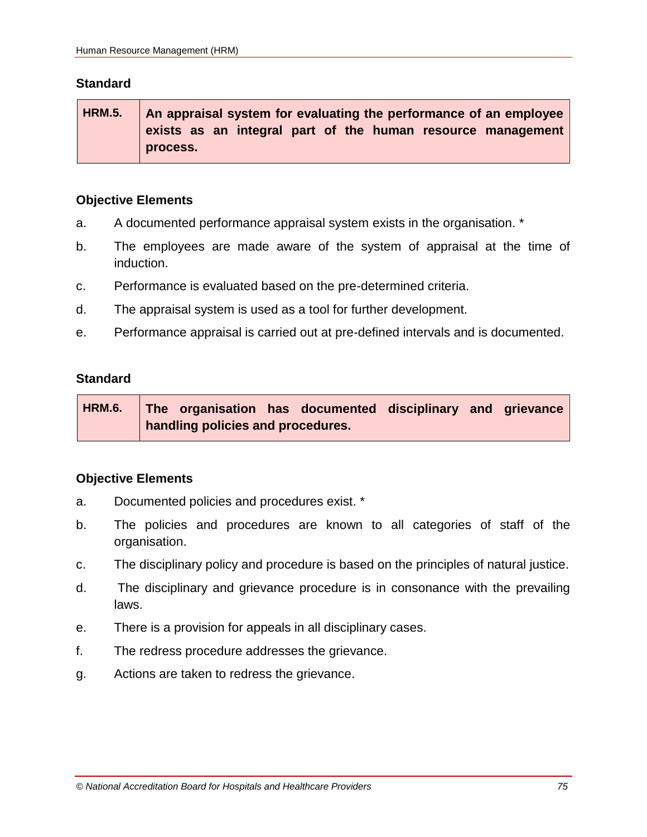**HRM.5. An appraisal system for evaluating the performance of an employee exists as an integral part of the human resource management process.**

### **Objective Elements**

- a. A documented performance appraisal system exists in the organisation. \*
- b. The employees are made aware of the system of appraisal at the time of induction.
- c. Performance is evaluated based on the pre-determined criteria.
- d. The appraisal system is used as a tool for further development.
- e. Performance appraisal is carried out at pre-defined intervals and is documented.

### **Standard**

**HRM.6. The organisation has documented disciplinary and grievance handling policies and procedures.**

- a. Documented policies and procedures exist. \*
- b. The policies and procedures are known to all categories of staff of the organisation.
- c. The disciplinary policy and procedure is based on the principles of natural justice.
- d. The disciplinary and grievance procedure is in consonance with the prevailing laws.
- e. There is a provision for appeals in all disciplinary cases.
- f. The redress procedure addresses the grievance.
- g. Actions are taken to redress the grievance.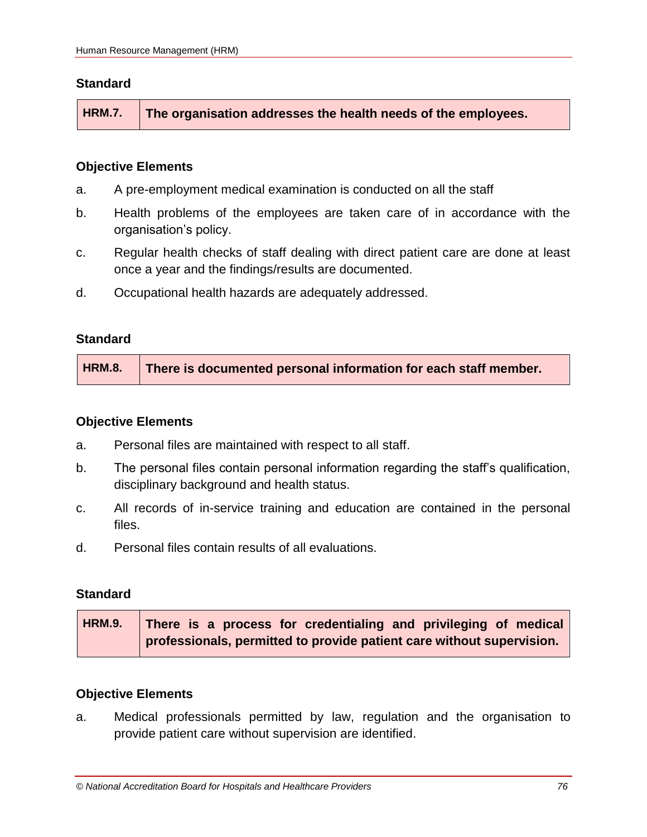**HRM.7. The organisation addresses the health needs of the employees.**

### **Objective Elements**

- a. A pre-employment medical examination is conducted on all the staff
- b. Health problems of the employees are taken care of in accordance with the organisation's policy.
- c. Regular health checks of staff dealing with direct patient care are done at least once a year and the findings/results are documented.
- d. Occupational health hazards are adequately addressed.

### **Standard**

### **Objective Elements**

- a. Personal files are maintained with respect to all staff.
- b. The personal files contain personal information regarding the staff's qualification, disciplinary background and health status.
- c. All records of in-service training and education are contained in the personal files.
- d. Personal files contain results of all evaluations.

### **Standard**

| <b>HRM.9.</b> | There is a process for credentialing and privileging of medical       |  |  |  |  |  |  |  |
|---------------|-----------------------------------------------------------------------|--|--|--|--|--|--|--|
|               | professionals, permitted to provide patient care without supervision. |  |  |  |  |  |  |  |

### **Objective Elements**

a. Medical professionals permitted by law, regulation and the organisation to provide patient care without supervision are identified.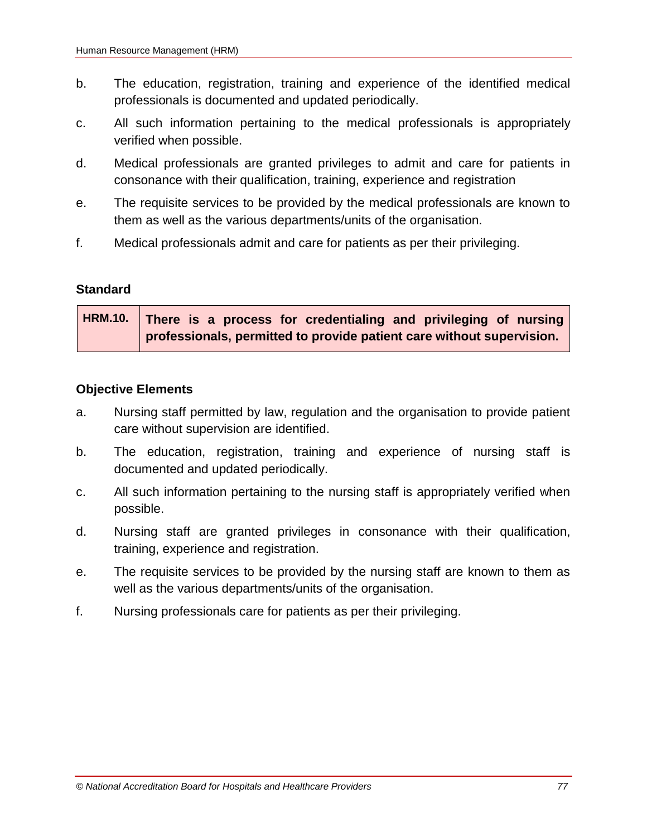- b. The education, registration, training and experience of the identified medical professionals is documented and updated periodically.
- c. All such information pertaining to the medical professionals is appropriately verified when possible.
- d. Medical professionals are granted privileges to admit and care for patients in consonance with their qualification, training, experience and registration
- e. The requisite services to be provided by the medical professionals are known to them as well as the various departments/units of the organisation.
- f. Medical professionals admit and care for patients as per their privileging.

**HRM.10. There is a process for credentialing and privileging of nursing professionals, permitted to provide patient care without supervision.**

- a. Nursing staff permitted by law, regulation and the organisation to provide patient care without supervision are identified.
- b. The education, registration, training and experience of nursing staff is documented and updated periodically.
- c. All such information pertaining to the nursing staff is appropriately verified when possible.
- d. Nursing staff are granted privileges in consonance with their qualification, training, experience and registration.
- e. The requisite services to be provided by the nursing staff are known to them as well as the various departments/units of the organisation.
- f. Nursing professionals care for patients as per their privileging.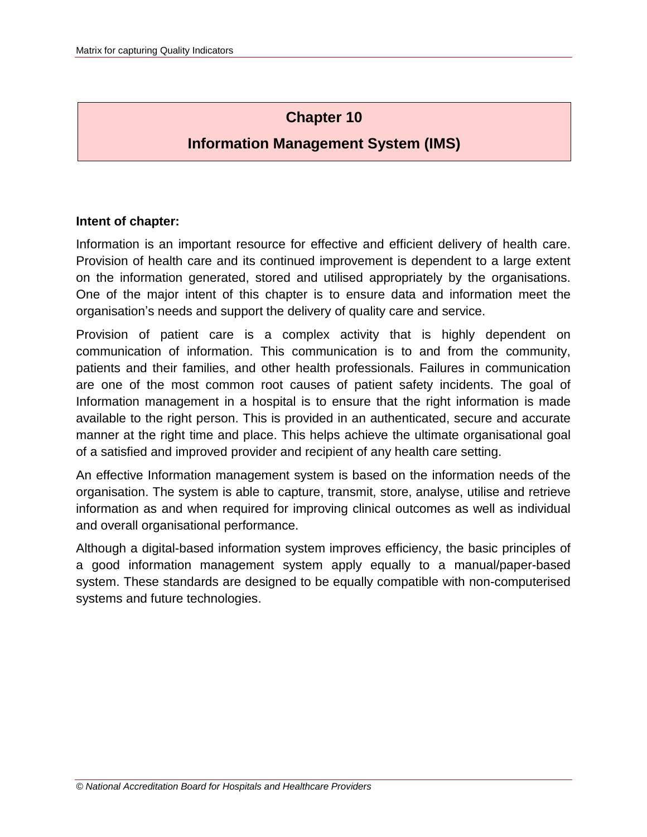# **Chapter 10**

# **Information Management System (IMS)**

# **Intent of chapter:**

Information is an important resource for effective and efficient delivery of health care. Provision of health care and its continued improvement is dependent to a large extent on the information generated, stored and utilised appropriately by the organisations. One of the major intent of this chapter is to ensure data and information meet the organisation's needs and support the delivery of quality care and service.

Provision of patient care is a complex activity that is highly dependent on communication of information. This communication is to and from the community, patients and their families, and other health professionals. Failures in communication are one of the most common root causes of patient safety incidents. The goal of Information management in a hospital is to ensure that the right information is made available to the right person. This is provided in an authenticated, secure and accurate manner at the right time and place. This helps achieve the ultimate organisational goal of a satisfied and improved provider and recipient of any health care setting.

An effective Information management system is based on the information needs of the organisation. The system is able to capture, transmit, store, analyse, utilise and retrieve information as and when required for improving clinical outcomes as well as individual and overall organisational performance.

Although a digital-based information system improves efficiency, the basic principles of a good information management system apply equally to a manual/paper-based system. These standards are designed to be equally compatible with non-computerised systems and future technologies.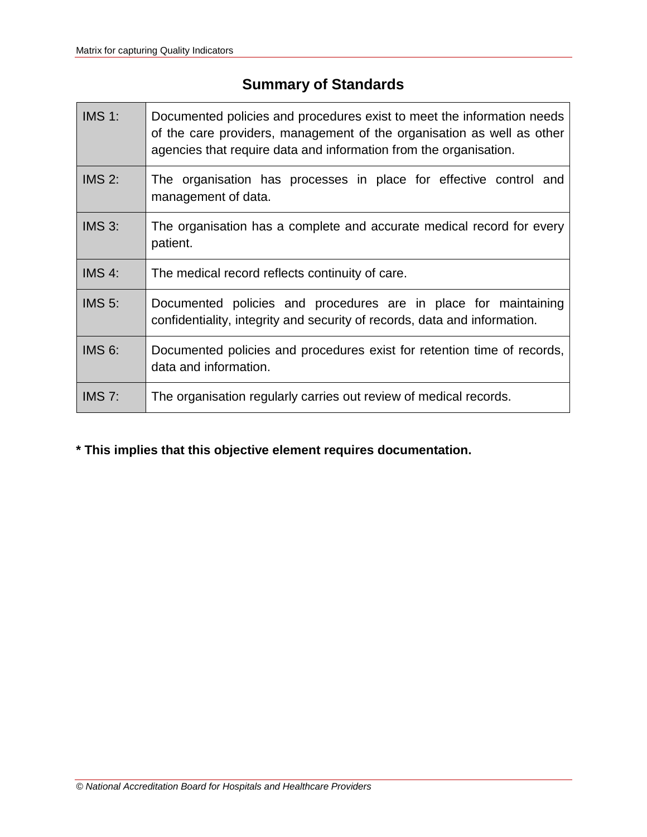# **Summary of Standards**

| <b>IMS 1:</b> | Documented policies and procedures exist to meet the information needs<br>of the care providers, management of the organisation as well as other<br>agencies that require data and information from the organisation. |  |  |  |  |  |  |
|---------------|-----------------------------------------------------------------------------------------------------------------------------------------------------------------------------------------------------------------------|--|--|--|--|--|--|
| IMS 2:        | The organisation has processes in place for effective control and<br>management of data.                                                                                                                              |  |  |  |  |  |  |
| IMS 3:        | The organisation has a complete and accurate medical record for every<br>patient.                                                                                                                                     |  |  |  |  |  |  |
| IMS 4:        | The medical record reflects continuity of care.                                                                                                                                                                       |  |  |  |  |  |  |
| IMS $5$ :     | Documented policies and procedures are in place for maintaining<br>confidentiality, integrity and security of records, data and information.                                                                          |  |  |  |  |  |  |
| <b>IMS 6:</b> | Documented policies and procedures exist for retention time of records,<br>data and information.                                                                                                                      |  |  |  |  |  |  |
| IMS $7:$      | The organisation regularly carries out review of medical records.                                                                                                                                                     |  |  |  |  |  |  |

# **\* This implies that this objective element requires documentation.**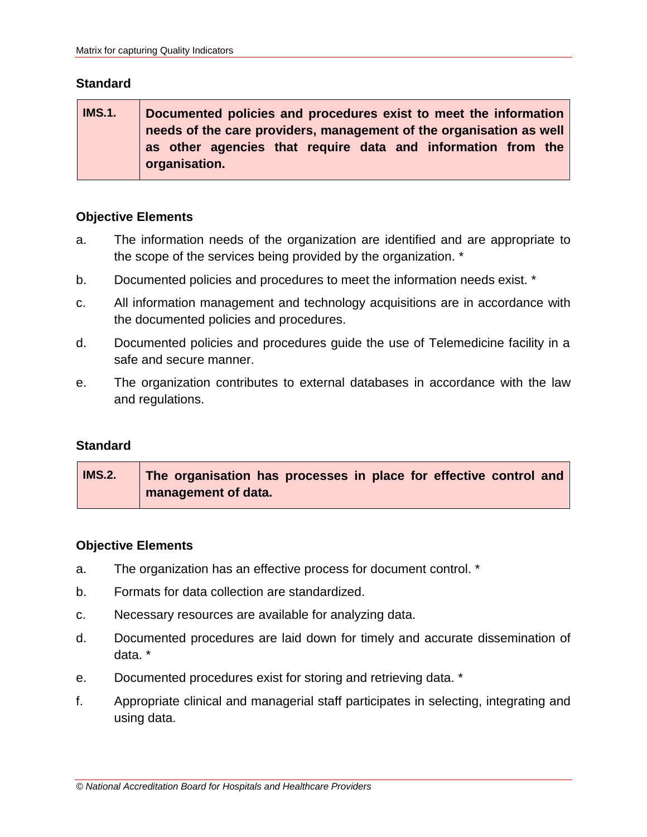| <b>IMS.1.</b>                                                       | Documented policies and procedures exist to meet the information |  |  |  |  |  |  |
|---------------------------------------------------------------------|------------------------------------------------------------------|--|--|--|--|--|--|
| needs of the care providers, management of the organisation as well |                                                                  |  |  |  |  |  |  |
|                                                                     | as other agencies that require data and information from the     |  |  |  |  |  |  |
|                                                                     | organisation.                                                    |  |  |  |  |  |  |

# **Objective Elements**

- a. The information needs of the organization are identified and are appropriate to the scope of the services being provided by the organization. \*
- b. Documented policies and procedures to meet the information needs exist. \*
- c. All information management and technology acquisitions are in accordance with the documented policies and procedures.
- d. Documented policies and procedures guide the use of Telemedicine facility in a safe and secure manner.
- e. The organization contributes to external databases in accordance with the law and regulations.

### **Standard**

| <b>IMS.2.</b> | The organisation has processes in place for effective control and |
|---------------|-------------------------------------------------------------------|
|               | management of data.                                               |

- a. The organization has an effective process for document control. \*
- b. Formats for data collection are standardized.
- c. Necessary resources are available for analyzing data.
- d. Documented procedures are laid down for timely and accurate dissemination of data. \*
- e. Documented procedures exist for storing and retrieving data. \*
- f. Appropriate clinical and managerial staff participates in selecting, integrating and using data.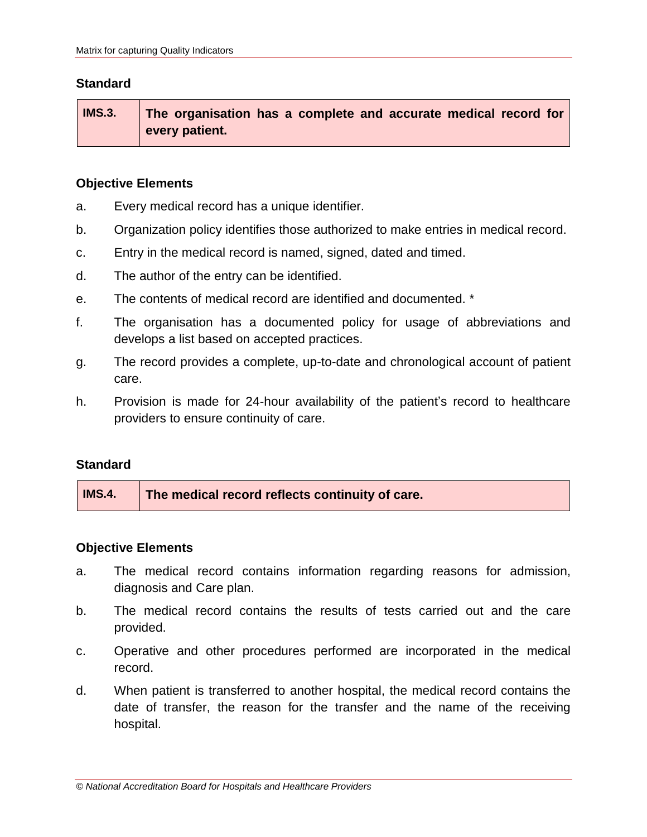**IMS.3. The organisation has a complete and accurate medical record for every patient.**

# **Objective Elements**

- a. Every medical record has a unique identifier.
- b. Organization policy identifies those authorized to make entries in medical record.
- c. Entry in the medical record is named, signed, dated and timed.
- d. The author of the entry can be identified.
- e. The contents of medical record are identified and documented. \*
- f. The organisation has a documented policy for usage of abbreviations and develops a list based on accepted practices.
- g. The record provides a complete, up-to-date and chronological account of patient care.
- h. Provision is made for 24-hour availability of the patient's record to healthcare providers to ensure continuity of care.

### **Standard**

| <b>IMS.4.</b> | The medical record reflects continuity of care. |
|---------------|-------------------------------------------------|
|---------------|-------------------------------------------------|

- a. The medical record contains information regarding reasons for admission, diagnosis and Care plan.
- b. The medical record contains the results of tests carried out and the care provided.
- c. Operative and other procedures performed are incorporated in the medical record.
- d. When patient is transferred to another hospital, the medical record contains the date of transfer, the reason for the transfer and the name of the receiving hospital.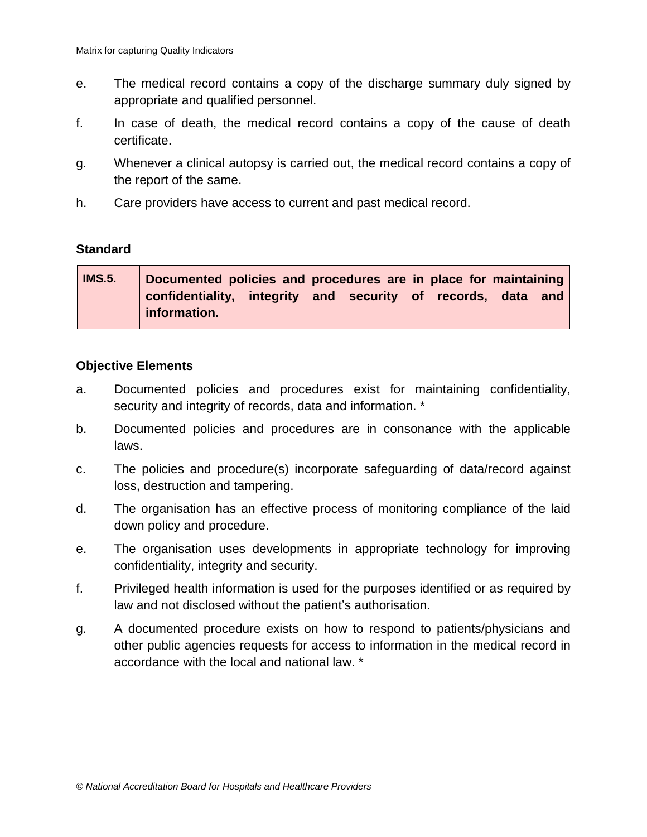- e. The medical record contains a copy of the discharge summary duly signed by appropriate and qualified personnel.
- f. In case of death, the medical record contains a copy of the cause of death certificate.
- g. Whenever a clinical autopsy is carried out, the medical record contains a copy of the report of the same.
- h. Care providers have access to current and past medical record.

| <b>IMS.5.</b> | Documented policies and procedures are in place for maintaining |  |  |  |  |
|---------------|-----------------------------------------------------------------|--|--|--|--|
|               | confidentiality, integrity and security of records, data and    |  |  |  |  |
|               | information.                                                    |  |  |  |  |

- a. Documented policies and procedures exist for maintaining confidentiality, security and integrity of records, data and information.<sup>\*</sup>
- b. Documented policies and procedures are in consonance with the applicable laws.
- c. The policies and procedure(s) incorporate safeguarding of data/record against loss, destruction and tampering.
- d. The organisation has an effective process of monitoring compliance of the laid down policy and procedure.
- e. The organisation uses developments in appropriate technology for improving confidentiality, integrity and security.
- f. Privileged health information is used for the purposes identified or as required by law and not disclosed without the patient's authorisation.
- g. A documented procedure exists on how to respond to patients/physicians and other public agencies requests for access to information in the medical record in accordance with the local and national law. \*